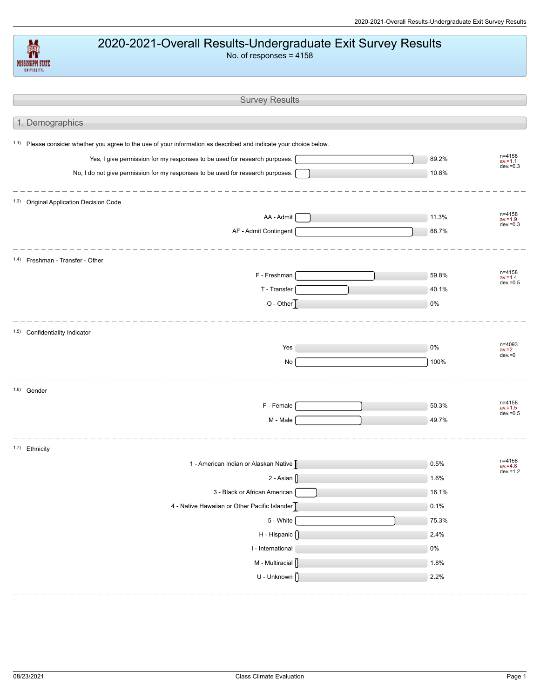## 2020-2021-Overall Results-Undergraduate Exit Survey Results

No. of responses = 4158

| <b>Survey Results</b>                                                                                                         |         |                                     |
|-------------------------------------------------------------------------------------------------------------------------------|---------|-------------------------------------|
| 1. Demographics                                                                                                               |         |                                     |
|                                                                                                                               |         |                                     |
| <sup>1.1)</sup> Please consider whether you agree to the use of your information as described and indicate your choice below. |         |                                     |
| Yes, I give permission for my responses to be used for research purposes.                                                     | 89.2%   | n=4158<br>$av = 1.1$<br>$dev = 0.3$ |
| No, I do not give permission for my responses to be used for research purposes.                                               | 10.8%   |                                     |
| 1.3) Original Application Decision Code                                                                                       |         |                                     |
| AA - Admit                                                                                                                    | 11.3%   | n=4158<br>$av = 1.9$                |
| AF - Admit Contingent                                                                                                         | 88.7%   | $dev = 0.3$                         |
| 1.4) Freshman - Transfer - Other                                                                                              |         |                                     |
| F - Freshman                                                                                                                  | 59.8%   | n=4158<br>$av = 1.4$                |
| T - Transfer                                                                                                                  | 40.1%   | $dev = 0.5$                         |
| $O - Other$                                                                                                                   | 0%      |                                     |
| 1.5) Confidentiality Indicator                                                                                                |         |                                     |
| Yes                                                                                                                           | 0%      | n=4093<br>$av = 2$                  |
| $\mathsf{No}$                                                                                                                 | 100%    | $dev = 0$                           |
| 1.6) Gender                                                                                                                   |         |                                     |
| F - Female                                                                                                                    | 50.3%   | n=4158<br>$av = 1.5$                |
| M - Male                                                                                                                      | 49.7%   | $dev = 0.5$                         |
| 1.7) Ethnicity                                                                                                                |         |                                     |
| 1 - American Indian or Alaskan Native                                                                                         | 0.5%    | n=4158<br>$av = 4.8$                |
| $2 - Asian$                                                                                                                   | $1.6\%$ | $dev = 1.2$                         |
| 3 - Black or African American                                                                                                 | 16.1%   |                                     |
| 4 - Native Hawaiian or Other Pacific Islander                                                                                 | 0.1%    |                                     |
| 5 - White                                                                                                                     | 75.3%   |                                     |
| H - Hispanic ()                                                                                                               | 2.4%    |                                     |
| I - International                                                                                                             | $0\%$   |                                     |
| M - Multiracial ()                                                                                                            | 1.8%    |                                     |
| U - Unknown $\int$                                                                                                            | 2.2%    |                                     |

MISSISSIPPI STATE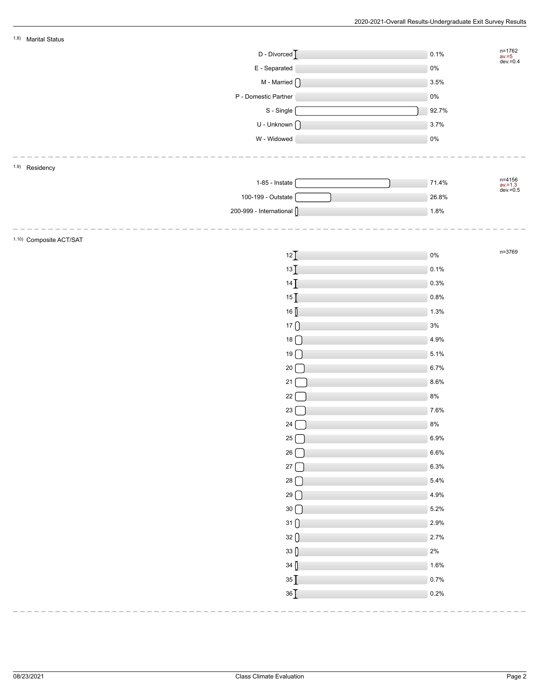| 1.8) Marital Status                               |    |                                        |  |
|---------------------------------------------------|----|----------------------------------------|--|
| D - Divorced                                      |    | n=1762<br>av.=5<br>dev.=0.4<br>0.1%    |  |
| E - Separated                                     |    | $0\%$                                  |  |
| M - Married $\bigcap$                             |    | 3.5%                                   |  |
| P - Domestic Partner                              |    | $0\%$                                  |  |
| S - Single                                        |    | 92.7%                                  |  |
| $U$ - Unknown $\bigcap$                           |    | 3.7%                                   |  |
| W - Widowed                                       |    | $0\%$                                  |  |
|                                                   |    |                                        |  |
| 1.9) Residency                                    |    |                                        |  |
| $1-85$ - Instate                                  |    | n=4156<br>av.=1.3<br>dev.=0.5<br>71.4% |  |
| 100-199 - Outstate                                |    | 26.8%                                  |  |
| 200-999 - International ()                        |    | 1.8%                                   |  |
|                                                   |    |                                        |  |
| 1.10) Composite ACT/SAT                           |    |                                        |  |
| 12                                                |    | n=3769<br>$0\%$                        |  |
| 13                                                |    | 0.1%                                   |  |
| 14                                                |    | 0.3%                                   |  |
| 15                                                |    | 0.8%                                   |  |
| 16 []                                             |    | 1.3%                                   |  |
| $17$ $\bigcap$                                    |    | $3\%$                                  |  |
| $18$ $\bigcirc$                                   |    | 4.9%                                   |  |
| $19$ $\Box$                                       |    | 5.1%                                   |  |
| $20 \boxed{ }$                                    |    | 6.7%                                   |  |
| 21                                                |    | 8.6%                                   |  |
| 22                                                |    | $8\%$                                  |  |
| 23 <sup>2</sup>                                   |    | 7.6%                                   |  |
| 24                                                |    | $8\%$                                  |  |
|                                                   | 25 | 6.9%                                   |  |
|                                                   | 26 | 6.6%                                   |  |
|                                                   | 27 | 6.3%                                   |  |
| 28                                                |    | 5.4%                                   |  |
| 29                                                |    | 4.9%                                   |  |
|                                                   |    | 5.2%                                   |  |
| $30\bigcap$<br>31                                 |    | 2.9%                                   |  |
|                                                   |    | 2.7%                                   |  |
| 32()                                              |    |                                        |  |
| $33\begin{array}{ c } \hline \end{array}$<br>34() |    | $2\%$<br>1.6%                          |  |
|                                                   |    |                                        |  |
| $35$ $\bar{\rm I}$                                |    | 0.7%                                   |  |
| 36                                                |    | 0.2%                                   |  |
|                                                   |    |                                        |  |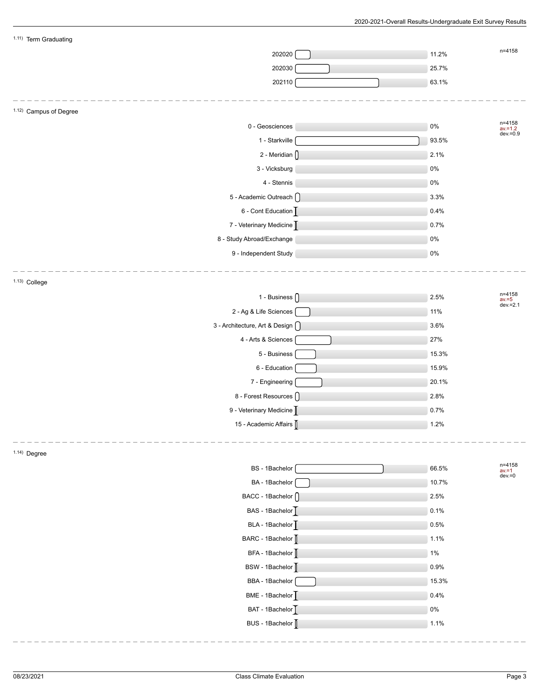| 1.11) Term Graduating             |       |                                  |
|-----------------------------------|-------|----------------------------------|
| 202020                            | 11.2% | n=4158                           |
| 202030                            | 25.7% |                                  |
| 202110                            | 63.1% |                                  |
|                                   |       |                                  |
| 1.12) Campus of Degree            |       |                                  |
| 0 - Geosciences                   | $0\%$ | n=4158<br>av.=1.2<br>dev.=0.9    |
| 1 - Starkville                    | 93.5% |                                  |
| 2 - Meridian ()                   | 2.1%  |                                  |
| 3 - Vicksburg                     | 0%    |                                  |
| 4 - Stennis                       | $0\%$ |                                  |
| 5 - Academic Outreach ()          | 3.3%  |                                  |
| 6 - Cont Education                | 0.4%  |                                  |
| 7 - Veterinary Medicine           | 0.7%  |                                  |
| 8 - Study Abroad/Exchange         | $0\%$ |                                  |
| 9 - Independent Study             | $0\%$ |                                  |
|                                   |       |                                  |
| 1.13) College                     |       |                                  |
| 1 - Business $\bigcap$            | 2.5%  | n=4158<br>$av = 5$<br>dev. = 2.1 |
| 2 - Ag & Life Sciences            | 11%   |                                  |
| 3 - Architecture, Art & Design () | 3.6%  |                                  |
| 4 - Arts & Sciences               | 27%   |                                  |
| 5 - Business                      | 15.3% |                                  |
| 6 - Education                     | 15.9% |                                  |
| 7 - Engineering                   | 20.1% |                                  |
| 8 - Forest Resources ()           | 2.8%  |                                  |
| 9 - Veterinary Medicine           | 0.7%  |                                  |
| 15 - Academic Affairs             | 1.2%  |                                  |
|                                   |       |                                  |
| $1.14)$ Degree                    |       |                                  |
| BS - 1Bachelor                    | 66.5% | n=4158<br>$av = 1$               |
| BA - 1Bachelor                    | 10.7% | $dev = 0$                        |
| BACC - 1Bachelor (                | 2.5%  |                                  |
| BAS - 1Bachelor                   | 0.1%  |                                  |
| BLA - 1Bachelor                   | 0.5%  |                                  |
| BARC - 1Bachelor                  | 1.1%  |                                  |
| BFA - 1Bachelor                   | 1%    |                                  |
| BSW - 1Bachelor                   | 0.9%  |                                  |
| BBA - 1Bachelor                   | 15.3% |                                  |
| BME - 1Bachelor <sup>T</sup>      | 0.4%  |                                  |
| BAT - 1Bachelor                   | $0\%$ |                                  |
| BUS - 1Bachelor                   | 1.1%  |                                  |
|                                   |       |                                  |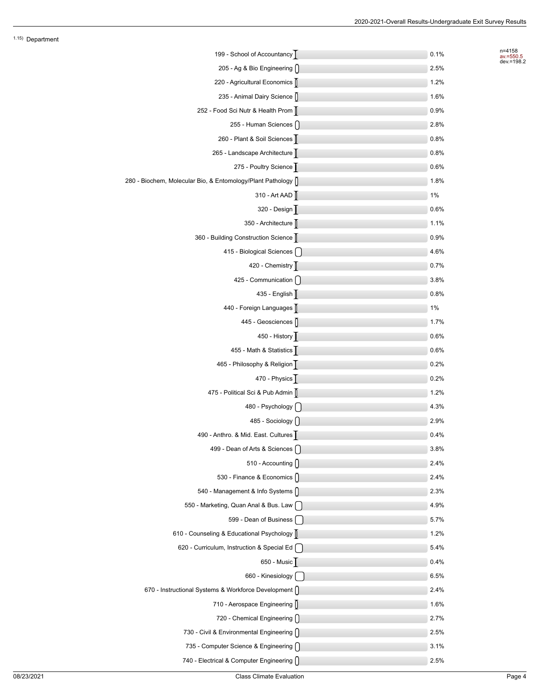n=4158 av.=550.5 dev.=198.2

| 199 - School of Accountancy                                   | 0.1% |
|---------------------------------------------------------------|------|
| 205 - Ag & Bio Engineering $\bigcap$                          | 2.5% |
| 220 - Agricultural Economics                                  | 1.2% |
| 235 - Animal Dairy Science                                    | 1.6% |
| 252 - Food Sci Nutr & Health Prom                             | 0.9% |
| 255 - Human Sciences []                                       | 2.8% |
| 260 - Plant & Soil Sciences                                   | 0.8% |
| 265 - Landscape Architecture                                  | 0.8% |
| 275 - Poultry Science                                         | 0.6% |
| 280 - Biochem, Molecular Bio, & Entomology/Plant Pathology [] | 1.8% |
| 310 - Art AAD                                                 | 1%   |
| 320 - Design                                                  | 0.6% |
| 350 - Architecture                                            | 1.1% |
| 360 - Building Construction Science                           | 0.9% |
| 415 - Biological Sciences [ ]                                 | 4.6% |
| 420 - Chemistry                                               | 0.7% |
| 425 - Communication [ ]                                       | 3.8% |
| 435 - English                                                 | 0.8% |
| 440 - Foreign Languages [                                     | 1%   |
| 445 - Geosciences ()                                          | 1.7% |
| 450 - History                                                 | 0.6% |
| 455 - Math & Statistics                                       | 0.6% |
| 465 - Philosophy & Religion                                   | 0.2% |
| 470 - Physics $\overline{ \left[}$                            | 0.2% |
| 475 - Political Sci & Pub Admin []                            | 1.2% |
| 480 - Psychology [ ]                                          | 4.3% |
| 485 - Sociology $[$                                           | 2.9% |
| 490 - Anthro. & Mid. East. Cultures                           | 0.4% |
| 499 - Dean of Arts & Sciences [                               | 3.8% |
| 510 - Accounting []                                           | 2.4% |
| 530 - Finance & Economics []                                  | 2.4% |
| 540 - Management & Info Systems []                            | 2.3% |
| 550 - Marketing, Quan Anal & Bus. Law                         | 4.9% |
| 599 - Dean of Business                                        | 5.7% |
| 610 - Counseling & Educational Psychology []                  | 1.2% |
| 620 - Curriculum, Instruction & Special Ed [                  | 5.4% |
| 650 - Music                                                   | 0.4% |
| 660 - Kinesiology                                             | 6.5% |
| 670 - Instructional Systems & Workforce Development []        | 2.4% |
| 710 - Aerospace Engineering []                                | 1.6% |
| 720 - Chemical Engineering []                                 | 2.7% |
| 730 - Civil & Environmental Engineering []                    | 2.5% |
| 735 - Computer Science & Engineering                          | 3.1% |
| 740 - Electrical & Computer Engineering []                    | 2.5% |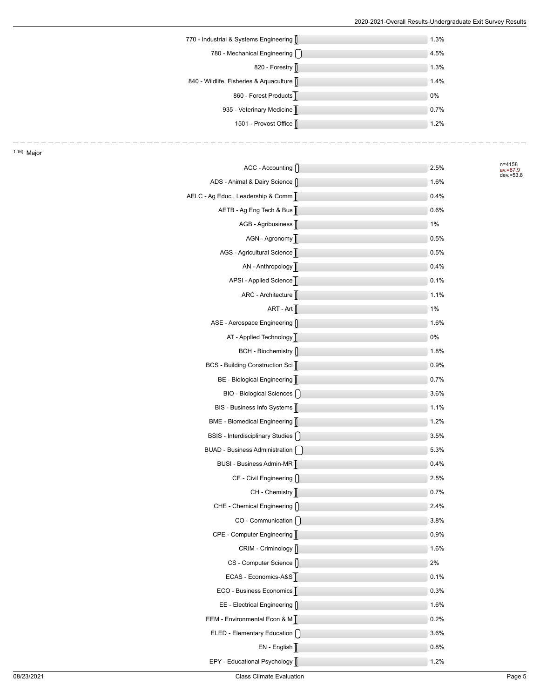| 770 - Industrial & Systems Engineering    | 1.3% |
|-------------------------------------------|------|
| 780 - Mechanical Engineering (            | 4.5% |
| 820 - Forestry                            | 1.3% |
| 840 - Wildlife, Fisheries & Aquaculture [ | 1.4% |
| 860 - Forest Products <sup>T</sup>        | 0%   |
| 935 - Veterinary Medicine                 | 0.7% |
| 1501 - Provost Office                     | 1.2% |
|                                           |      |

n=4158<br>av.=87.9<br>dev.=53.8

| $ACC - According$                  | 2.5% |
|------------------------------------|------|
| ADS - Animal & Dairy Science []    | 1.6% |
| AELC - Ag Educ., Leadership & Comm | 0.4% |
| AETB - Ag Eng Tech & Bus           | 0.6% |
| AGB - Agribusiness                 | 1%   |
| AGN - Agronomy                     | 0.5% |
| AGS - Agricultural Science         | 0.5% |
| AN - Anthropology                  | 0.4% |
| APSI - Applied Science             | 0.1% |
| ARC - Architecture                 | 1.1% |
| ART - Art $\sqrt{\phantom{a}}$     | 1%   |
| ASE - Aerospace Engineering []     | 1.6% |
| AT - Applied Technology            | 0%   |
| BCH - Biochemistry []              | 1.8% |
| BCS - Building Construction Sci    | 0.9% |
| BE - Biological Engineering        | 0.7% |
| BIO - Biological Sciences          | 3.6% |
| BIS - Business Info Systems        | 1.1% |
| BME - Biomedical Engineering       | 1.2% |
| BSIS - Interdisciplinary Studies   | 3.5% |
| BUAD - Business Administration     | 5.3% |
| BUSI - Business Admin-MR           | 0.4% |
| CE - Civil Engineering []          | 2.5% |
| CH - Chemistry                     | 0.7% |
| CHE - Chemical Engineering []      | 2.4% |
| CO - Communication                 | 3.8% |
| CPE - Computer Engineering         | 0.9% |
| CRIM - Criminology []              | 1.6% |
| CS - Computer Science []           | 2%   |
| ECAS - Economics-A&S               | 0.1% |
| ECO - Business Economics           | 0.3% |
| EE - Electrical Engineering []     | 1.6% |
| EEM - Environmental Econ & M       | 0.2% |
| ELED - Elementary Education [ ]    | 3.6% |
| $EN - English$                     | 0.8% |
| EPY - Educational Psychology       | 1.2% |

1.16) Major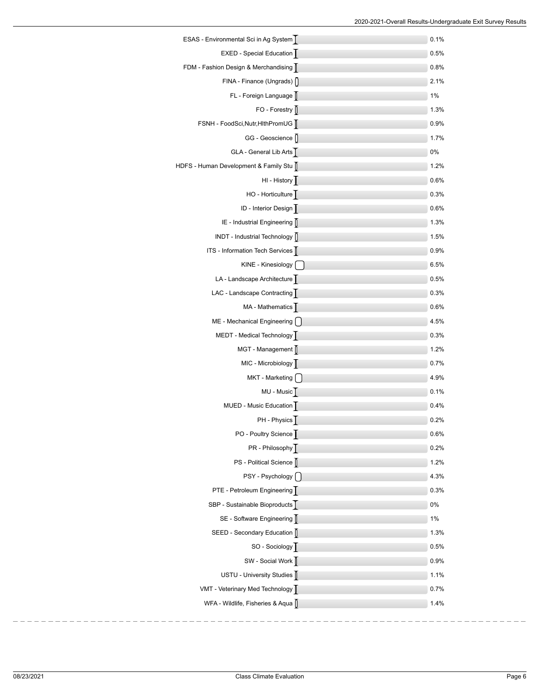| ESAS - Environmental Sci in Ag System | 0.1% |
|---------------------------------------|------|
| EXED - Special Education              | 0.5% |
| FDM - Fashion Design & Merchandising  | 0.8% |
| $FINA - Finance$ (Ungrads) $\bigcap$  | 2.1% |
| FL - Foreign Language                 | 1%   |
| $FO - Forestry$                       | 1.3% |
| FSNH - FoodSci, Nutr, HithPromUG      | 0.9% |
| GG - Geoscience []                    | 1.7% |
| GLA - General Lib Arts                | 0%   |
| HDFS - Human Development & Family Stu | 1.2% |
| HI - History                          | 0.6% |
| HO - Horticulture                     | 0.3% |
| ID - Interior Design                  | 0.6% |
| IE - Industrial Engineering []        | 1.3% |
| INDT - Industrial Technology [        | 1.5% |
| ITS - Information Tech Services       | 0.9% |
| KINE - Kinesiology [ ]                | 6.5% |
| LA - Landscape Architecture           | 0.5% |
| LAC - Landscape Contracting           | 0.3% |
| MA - Mathematics                      | 0.6% |
| ME - Mechanical Engineering [ ]       | 4.5% |
| MEDT - Medical Technology             | 0.3% |
| MGT - Management [                    | 1.2% |
| MIC - Microbiology                    | 0.7% |
| MKT - Marketing                       | 4.9% |
| MU - Music <sup>T</sup>               | 0.1% |
| MUED - Music Education                | 0.4% |
| PH - Physics                          | 0.2% |
| PO - Poultry Science                  | 0.6% |
| PR - Philosophy                       | 0.2% |
| PS - Political Science                | 1.2% |
| PSY - Psychology                      | 4.3% |
| PTE - Petroleum Engineering           | 0.3% |
| SBP - Sustainable Bioproducts         | 0%   |
| SE - Software Engineering [           | 1%   |
| SEED - Secondary Education            | 1.3% |
| SO - Sociology                        | 0.5% |
| SW - Social Work [                    | 0.9% |
| USTU - University Studies             | 1.1% |
| VMT - Veterinary Med Technology       | 0.7% |
| WFA - Wildlife, Fisheries & Aqua []   | 1.4% |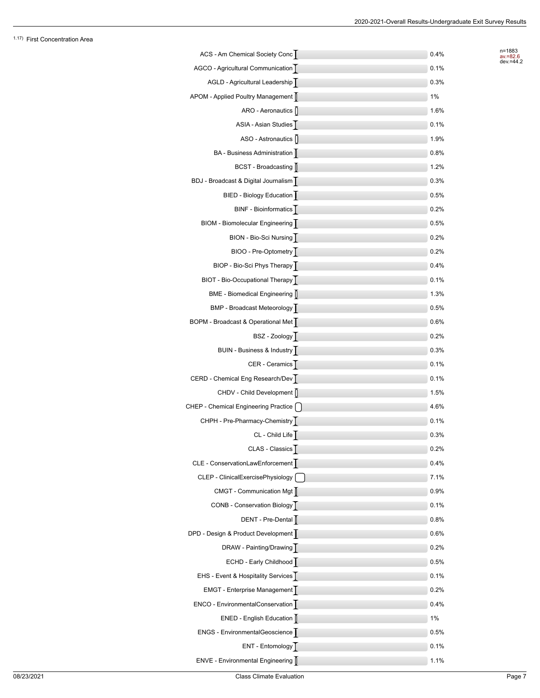n=1883<br>av.=82.6<br>dev.=44.2

| ACS - Am Chemical Society Conc       | 0.4% |
|--------------------------------------|------|
| AGCO - Agricultural Communication    | 0.1% |
| AGLD - Agricultural Leadership       | 0.3% |
| APOM - Applied Poultry Management [  | 1%   |
| ARO - Aeronautics []                 | 1.6% |
| ASIA - Asian Studies                 | 0.1% |
| ASO - Astronautics                   | 1.9% |
| BA - Business Administration         | 0.8% |
| BCST - Broadcasting                  | 1.2% |
| BDJ - Broadcast & Digital Journalism | 0.3% |
| BIED - Biology Education             | 0.5% |
| BINF - Bioinformatics                | 0.2% |
| BIOM - Biomolecular Engineering      | 0.5% |
| BION - Bio-Sci Nursing               | 0.2% |
| BIOO - Pre-Optometry                 | 0.2% |
| BIOP - Bio-Sci Phys Therapy          | 0.4% |
| BIOT - Bio-Occupational Therapy      | 0.1% |
| BME - Biomedical Engineering [       | 1.3% |
| BMP - Broadcast Meteorology          | 0.5% |
| BOPM - Broadcast & Operational Met   | 0.6% |
| BSZ - Zoology                        | 0.2% |
| BUIN - Business & Industry           | 0.3% |
| CER - Ceramics                       | 0.1% |
| CERD - Chemical Eng Research/Dev     | 0.1% |
| CHDV - Child Development ()          | 1.5% |
| CHEP - Chemical Engineering Practice | 4.6% |
| CHPH - Pre-Pharmacy-Chemistry        | 0.1% |
| CL - Child Life                      | 0.3% |
| CLAS - Classics                      | 0.2% |
| CLE - ConservationLawEnforcement     | 0.4% |
| CLEP - ClinicalExercisePhysiology    | 7.1% |
| CMGT - Communication Mgt [           | 0.9% |
| CONB - Conservation Biology          | 0.1% |
| DENT - Pre-Dental                    | 0.8% |
| DPD - Design & Product Development   | 0.6% |
| DRAW - Painting/Drawing              | 0.2% |
| ECHD - Early Childhood               | 0.5% |
| EHS - Event & Hospitality Services   | 0.1% |
| EMGT - Enterprise Management         | 0.2% |
| ENCO - EnvironmentalConservation     | 0.4% |
| ENED - English Education             | 1%   |
| ENGS - EnvironmentalGeoscience       | 0.5% |
| ENT - Entomology                     | 0.1% |
| ENVE - Environmental Engineering     | 1.1% |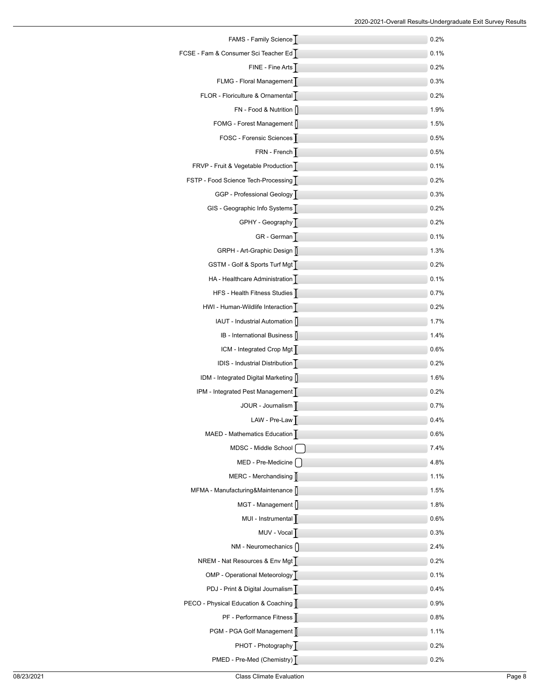| FAMS - Family Science                 | 0.2% |
|---------------------------------------|------|
| FCSE - Fam & Consumer Sci Teacher Ed  | 0.1% |
| FINE - Fine Arts                      | 0.2% |
| FLMG - Floral Management              | 0.3% |
| FLOR - Floriculture & Ornamental      | 0.2% |
| FN - Food & Nutrition []              | 1.9% |
| FOMG - Forest Management []           | 1.5% |
| FOSC - Forensic Sciences              | 0.5% |
| FRN - French                          | 0.5% |
| FRVP - Fruit & Vegetable Production   | 0.1% |
| FSTP - Food Science Tech-Processing   | 0.2% |
| GGP - Professional Geology            | 0.3% |
| GIS - Geographic Info Systems         | 0.2% |
| GPHY - Geography                      | 0.2% |
| GR - German                           | 0.1% |
| GRPH - Art-Graphic Design             | 1.3% |
| GSTM - Golf & Sports Turf Mgt         | 0.2% |
| HA - Healthcare Administration        | 0.1% |
| HFS - Health Fitness Studies          | 0.7% |
| HWI - Human-Wildlife Interaction      | 0.2% |
| IAUT - Industrial Automation []       | 1.7% |
| IB - International Business           | 1.4% |
| ICM - Integrated Crop Mgt             | 0.6% |
| IDIS - Industrial Distribution        | 0.2% |
| IDM - Integrated Digital Marketing [] | 1.6% |
| IPM - Integrated Pest Management      | 0.2% |
| JOUR - Journalism                     | 0.7% |
| LAW - Pre-Law                         | 0.4% |
| MAED - Mathematics Education          | 0.6% |
| MDSC - Middle School                  | 7.4% |
| MED - Pre-Medicine                    | 4.8% |
| $MERC - Merchandisplay$               | 1.1% |
| MFMA - Manufacturing&Maintenance []   | 1.5% |
| MGT - Management []                   | 1.8% |
| MUI - Instrumental                    | 0.6% |
| MUV - Vocal                           | 0.3% |
| NM - Neuromechanics []                | 2.4% |
| NREM - Nat Resources & Env Mgt        | 0.2% |
| OMP - Operational Meteorology         | 0.1% |
| PDJ - Print & Digital Journalism      | 0.4% |
| PECO - Physical Education & Coaching  | 0.9% |
| PF - Performance Fitness              | 0.8% |
| PGM - PGA Golf Management             | 1.1% |
| PHOT - Photography                    | 0.2% |
| PMED - Pre-Med (Chemistry)            | 0.2% |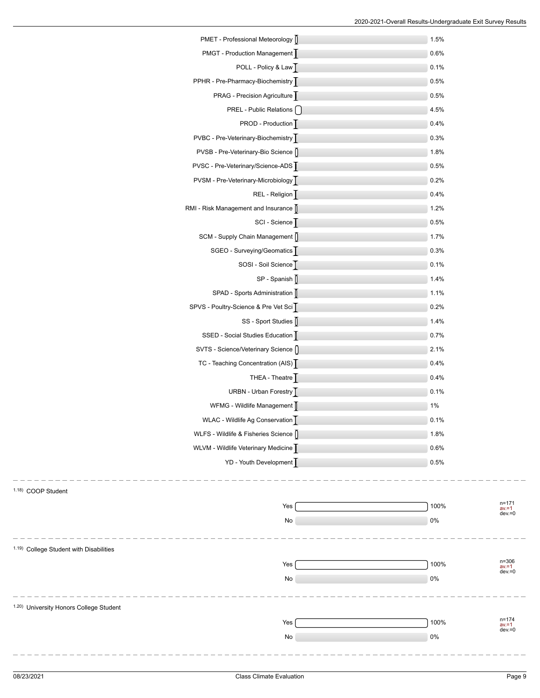| PMET - Professional Meteorology [        | 1.5%  |                                    |
|------------------------------------------|-------|------------------------------------|
| PMGT - Production Management             | 0.6%  |                                    |
| POLL - Policy & Law                      | 0.1%  |                                    |
| PPHR - Pre-Pharmacy-Biochemistry         | 0.5%  |                                    |
| PRAG - Precision Agriculture             | 0.5%  |                                    |
| <b>PREL</b> - Public Relations $\bigcap$ | 4.5%  |                                    |
| PROD - Production                        | 0.4%  |                                    |
| PVBC - Pre-Veterinary-Biochemistry       | 0.3%  |                                    |
| PVSB - Pre-Veterinary-Bio Science ()     | 1.8%  |                                    |
| PVSC - Pre-Veterinary/Science-ADS        | 0.5%  |                                    |
| PVSM - Pre-Veterinary-Microbiology       | 0.2%  |                                    |
| REL - Religion                           | 0.4%  |                                    |
| RMI - Risk Management and Insurance      | 1.2%  |                                    |
| SCI - Science                            | 0.5%  |                                    |
| SCM - Supply Chain Management ()         | 1.7%  |                                    |
| SGEO - Surveying/Geomatics               | 0.3%  |                                    |
| SOSI - Soil Science                      | 0.1%  |                                    |
| $SP - Spanish$                           | 1.4%  |                                    |
| SPAD - Sports Administration [           | 1.1%  |                                    |
| SPVS - Poultry-Science & Pre Vet Sci     | 0.2%  |                                    |
| SS - Sport Studies [                     | 1.4%  |                                    |
| SSED - Social Studies Education          | 0.7%  |                                    |
| SVTS - Science/Veterinary Science ()     | 2.1%  |                                    |
| TC - Teaching Concentration (AIS)        | 0.4%  |                                    |
| THEA - Theatre $\overline{ \cdot }$      | 0.4%  |                                    |
| URBN - Urban Forestry                    | 0.1%  |                                    |
| WFMG - Wildlife Management [             | $1\%$ |                                    |
| WLAC - Wildlife Ag Conservation          | 0.1%  |                                    |
| WLFS - Wildlife & Fisheries Science      | 1.8%  |                                    |
| WLVM - Wildlife Veterinary Medicine      | 0.6%  |                                    |
| YD - Youth Development                   | 0.5%  |                                    |
|                                          |       |                                    |
| 1.18) COOP Student                       |       |                                    |
| Yes                                      | 100%  | n=171<br>$av = 1$<br>$dev = 0$     |
| No                                       | 0%    |                                    |
|                                          |       |                                    |
| 1.19) College Student with Disabilities  |       |                                    |
| Yes                                      | 100%  | $n = 306$<br>$av = 1$<br>$dev = 0$ |
| No                                       | 0%    |                                    |
|                                          |       |                                    |
| 1.20) University Honors College Student  |       |                                    |
| Yes                                      | 100%  | $n = 174$<br>$av = 1$              |
| No                                       | 0%    | $dev = 0$                          |
|                                          |       |                                    |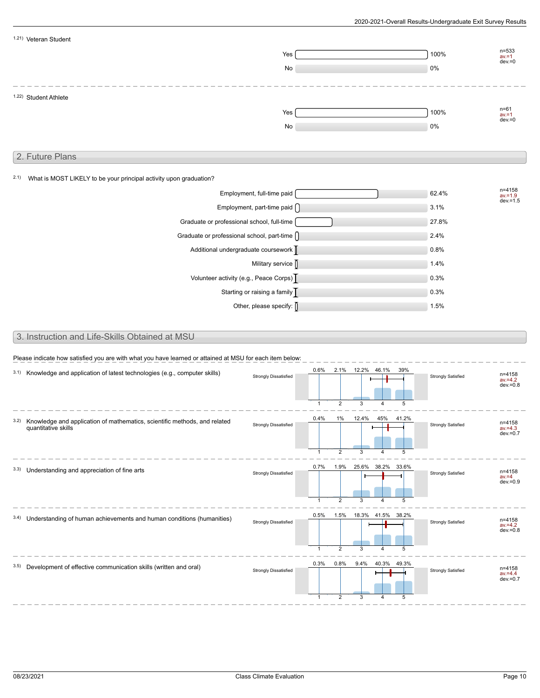| $n = 533$<br>100%<br>Yes<br>$av = 1$<br>$dev = 0$<br>0%<br>No<br>1.22) Student Athlete<br>$n = 61$<br>100%<br>Yes<br>$av = 1$<br>$dev = 0$<br>0%<br>No<br>2. Future Plans<br>What is MOST LIKELY to be your principal activity upon graduation?<br>n=4158<br>Employment, full-time paid<br>62.4%<br>$av = 1.9$<br>$dev = 1.5$<br>Employment, part-time paid $\bigcap$<br>3.1%<br>Graduate or professional school, full-time<br>27.8%<br>Graduate or professional school, part-time $\bigcap$<br>2.4%<br>Additional undergraduate coursework  <br>0.8%<br>Military service []<br>1.4%<br>Volunteer activity (e.g., Peace Corps)  <br>0.3%<br>Starting or raising a family $\overline{ \ }$<br>0.3%<br>Other, please specify: [<br>1.5%<br>3. Instruction and Life-Skills Obtained at MSU<br>Please indicate how satisfied you are with what you have learned or attained at MSU for each item below:<br>12.2%<br>0.6%<br>2.1%<br>46.1%<br>39%<br>3.1) Knowledge and application of latest technologies (e.g., computer skills)<br>n=4158<br><b>Strongly Dissatisfied</b><br><b>Strongly Satisfied</b><br>$av = 4.2$<br>$dev = 0.8$<br>$\mathbf{1}$<br>2<br>3<br>5<br>$\overline{4}$<br>0.4%<br>1%<br>45%<br>12.4%<br>41.2%<br>3.2) Knowledge and application of mathematics, scientific methods, and related<br>n=4158<br><b>Strongly Dissatisfied</b><br><b>Strongly Satisfied</b><br>quantitative skills<br>$av = 4.3$<br>$dev = 0.7$<br>$\mathbf{1}$<br>2<br>5<br>3<br>4<br>0.7%<br>1.9%<br>25.6% 38.2% 33.6%<br>3.3) Understanding and appreciation of fine arts<br>n=4158<br><b>Strongly Dissatisfied</b><br>Strongly Satisfied<br>$av = 4$<br>$dev = 0.9$<br>2<br>5<br>$\mathbf{1}$<br>3<br>4<br>0.5%<br>1.5% 18.3% 41.5% 38.2%<br>3.4) Understanding of human achievements and human conditions (humanities)<br>n=4158<br><b>Strongly Dissatisfied</b><br><b>Strongly Satisfied</b><br>$av = 4.2$<br>$dev = 0.8$<br>$\mathbf{1}$<br>$\overline{2}$<br>5<br>0.3%<br>$0.8\%$<br>9.4%<br>40.3% 49.3%<br>3.5) Development of effective communication skills (written and oral)<br>n=4158<br><b>Strongly Dissatisfied</b><br><b>Strongly Satisfied</b><br>$av = 4.4$<br>$dev = 0.7$ |      | 1.21) Veteran Student |  |  |  |  |
|--------------------------------------------------------------------------------------------------------------------------------------------------------------------------------------------------------------------------------------------------------------------------------------------------------------------------------------------------------------------------------------------------------------------------------------------------------------------------------------------------------------------------------------------------------------------------------------------------------------------------------------------------------------------------------------------------------------------------------------------------------------------------------------------------------------------------------------------------------------------------------------------------------------------------------------------------------------------------------------------------------------------------------------------------------------------------------------------------------------------------------------------------------------------------------------------------------------------------------------------------------------------------------------------------------------------------------------------------------------------------------------------------------------------------------------------------------------------------------------------------------------------------------------------------------------------------------------------------------------------------------------------------------------------------------------------------------------------------------------------------------------------------------------------------------------------------------------------------------------------------------------------------------------------------------------------------------------------------------------------------------------------------------------------------------------------------------------------------------------------------------------------------------------------------------------|------|-----------------------|--|--|--|--|
|                                                                                                                                                                                                                                                                                                                                                                                                                                                                                                                                                                                                                                                                                                                                                                                                                                                                                                                                                                                                                                                                                                                                                                                                                                                                                                                                                                                                                                                                                                                                                                                                                                                                                                                                                                                                                                                                                                                                                                                                                                                                                                                                                                                      |      |                       |  |  |  |  |
|                                                                                                                                                                                                                                                                                                                                                                                                                                                                                                                                                                                                                                                                                                                                                                                                                                                                                                                                                                                                                                                                                                                                                                                                                                                                                                                                                                                                                                                                                                                                                                                                                                                                                                                                                                                                                                                                                                                                                                                                                                                                                                                                                                                      |      |                       |  |  |  |  |
|                                                                                                                                                                                                                                                                                                                                                                                                                                                                                                                                                                                                                                                                                                                                                                                                                                                                                                                                                                                                                                                                                                                                                                                                                                                                                                                                                                                                                                                                                                                                                                                                                                                                                                                                                                                                                                                                                                                                                                                                                                                                                                                                                                                      |      |                       |  |  |  |  |
|                                                                                                                                                                                                                                                                                                                                                                                                                                                                                                                                                                                                                                                                                                                                                                                                                                                                                                                                                                                                                                                                                                                                                                                                                                                                                                                                                                                                                                                                                                                                                                                                                                                                                                                                                                                                                                                                                                                                                                                                                                                                                                                                                                                      |      |                       |  |  |  |  |
|                                                                                                                                                                                                                                                                                                                                                                                                                                                                                                                                                                                                                                                                                                                                                                                                                                                                                                                                                                                                                                                                                                                                                                                                                                                                                                                                                                                                                                                                                                                                                                                                                                                                                                                                                                                                                                                                                                                                                                                                                                                                                                                                                                                      |      |                       |  |  |  |  |
|                                                                                                                                                                                                                                                                                                                                                                                                                                                                                                                                                                                                                                                                                                                                                                                                                                                                                                                                                                                                                                                                                                                                                                                                                                                                                                                                                                                                                                                                                                                                                                                                                                                                                                                                                                                                                                                                                                                                                                                                                                                                                                                                                                                      |      |                       |  |  |  |  |
|                                                                                                                                                                                                                                                                                                                                                                                                                                                                                                                                                                                                                                                                                                                                                                                                                                                                                                                                                                                                                                                                                                                                                                                                                                                                                                                                                                                                                                                                                                                                                                                                                                                                                                                                                                                                                                                                                                                                                                                                                                                                                                                                                                                      |      |                       |  |  |  |  |
|                                                                                                                                                                                                                                                                                                                                                                                                                                                                                                                                                                                                                                                                                                                                                                                                                                                                                                                                                                                                                                                                                                                                                                                                                                                                                                                                                                                                                                                                                                                                                                                                                                                                                                                                                                                                                                                                                                                                                                                                                                                                                                                                                                                      |      |                       |  |  |  |  |
|                                                                                                                                                                                                                                                                                                                                                                                                                                                                                                                                                                                                                                                                                                                                                                                                                                                                                                                                                                                                                                                                                                                                                                                                                                                                                                                                                                                                                                                                                                                                                                                                                                                                                                                                                                                                                                                                                                                                                                                                                                                                                                                                                                                      |      |                       |  |  |  |  |
|                                                                                                                                                                                                                                                                                                                                                                                                                                                                                                                                                                                                                                                                                                                                                                                                                                                                                                                                                                                                                                                                                                                                                                                                                                                                                                                                                                                                                                                                                                                                                                                                                                                                                                                                                                                                                                                                                                                                                                                                                                                                                                                                                                                      | 2.1) |                       |  |  |  |  |
|                                                                                                                                                                                                                                                                                                                                                                                                                                                                                                                                                                                                                                                                                                                                                                                                                                                                                                                                                                                                                                                                                                                                                                                                                                                                                                                                                                                                                                                                                                                                                                                                                                                                                                                                                                                                                                                                                                                                                                                                                                                                                                                                                                                      |      |                       |  |  |  |  |
|                                                                                                                                                                                                                                                                                                                                                                                                                                                                                                                                                                                                                                                                                                                                                                                                                                                                                                                                                                                                                                                                                                                                                                                                                                                                                                                                                                                                                                                                                                                                                                                                                                                                                                                                                                                                                                                                                                                                                                                                                                                                                                                                                                                      |      |                       |  |  |  |  |
|                                                                                                                                                                                                                                                                                                                                                                                                                                                                                                                                                                                                                                                                                                                                                                                                                                                                                                                                                                                                                                                                                                                                                                                                                                                                                                                                                                                                                                                                                                                                                                                                                                                                                                                                                                                                                                                                                                                                                                                                                                                                                                                                                                                      |      |                       |  |  |  |  |
|                                                                                                                                                                                                                                                                                                                                                                                                                                                                                                                                                                                                                                                                                                                                                                                                                                                                                                                                                                                                                                                                                                                                                                                                                                                                                                                                                                                                                                                                                                                                                                                                                                                                                                                                                                                                                                                                                                                                                                                                                                                                                                                                                                                      |      |                       |  |  |  |  |
|                                                                                                                                                                                                                                                                                                                                                                                                                                                                                                                                                                                                                                                                                                                                                                                                                                                                                                                                                                                                                                                                                                                                                                                                                                                                                                                                                                                                                                                                                                                                                                                                                                                                                                                                                                                                                                                                                                                                                                                                                                                                                                                                                                                      |      |                       |  |  |  |  |
|                                                                                                                                                                                                                                                                                                                                                                                                                                                                                                                                                                                                                                                                                                                                                                                                                                                                                                                                                                                                                                                                                                                                                                                                                                                                                                                                                                                                                                                                                                                                                                                                                                                                                                                                                                                                                                                                                                                                                                                                                                                                                                                                                                                      |      |                       |  |  |  |  |
|                                                                                                                                                                                                                                                                                                                                                                                                                                                                                                                                                                                                                                                                                                                                                                                                                                                                                                                                                                                                                                                                                                                                                                                                                                                                                                                                                                                                                                                                                                                                                                                                                                                                                                                                                                                                                                                                                                                                                                                                                                                                                                                                                                                      |      |                       |  |  |  |  |
|                                                                                                                                                                                                                                                                                                                                                                                                                                                                                                                                                                                                                                                                                                                                                                                                                                                                                                                                                                                                                                                                                                                                                                                                                                                                                                                                                                                                                                                                                                                                                                                                                                                                                                                                                                                                                                                                                                                                                                                                                                                                                                                                                                                      |      |                       |  |  |  |  |
|                                                                                                                                                                                                                                                                                                                                                                                                                                                                                                                                                                                                                                                                                                                                                                                                                                                                                                                                                                                                                                                                                                                                                                                                                                                                                                                                                                                                                                                                                                                                                                                                                                                                                                                                                                                                                                                                                                                                                                                                                                                                                                                                                                                      |      |                       |  |  |  |  |
|                                                                                                                                                                                                                                                                                                                                                                                                                                                                                                                                                                                                                                                                                                                                                                                                                                                                                                                                                                                                                                                                                                                                                                                                                                                                                                                                                                                                                                                                                                                                                                                                                                                                                                                                                                                                                                                                                                                                                                                                                                                                                                                                                                                      |      |                       |  |  |  |  |
|                                                                                                                                                                                                                                                                                                                                                                                                                                                                                                                                                                                                                                                                                                                                                                                                                                                                                                                                                                                                                                                                                                                                                                                                                                                                                                                                                                                                                                                                                                                                                                                                                                                                                                                                                                                                                                                                                                                                                                                                                                                                                                                                                                                      |      |                       |  |  |  |  |
|                                                                                                                                                                                                                                                                                                                                                                                                                                                                                                                                                                                                                                                                                                                                                                                                                                                                                                                                                                                                                                                                                                                                                                                                                                                                                                                                                                                                                                                                                                                                                                                                                                                                                                                                                                                                                                                                                                                                                                                                                                                                                                                                                                                      |      |                       |  |  |  |  |
|                                                                                                                                                                                                                                                                                                                                                                                                                                                                                                                                                                                                                                                                                                                                                                                                                                                                                                                                                                                                                                                                                                                                                                                                                                                                                                                                                                                                                                                                                                                                                                                                                                                                                                                                                                                                                                                                                                                                                                                                                                                                                                                                                                                      |      |                       |  |  |  |  |
|                                                                                                                                                                                                                                                                                                                                                                                                                                                                                                                                                                                                                                                                                                                                                                                                                                                                                                                                                                                                                                                                                                                                                                                                                                                                                                                                                                                                                                                                                                                                                                                                                                                                                                                                                                                                                                                                                                                                                                                                                                                                                                                                                                                      |      |                       |  |  |  |  |
|                                                                                                                                                                                                                                                                                                                                                                                                                                                                                                                                                                                                                                                                                                                                                                                                                                                                                                                                                                                                                                                                                                                                                                                                                                                                                                                                                                                                                                                                                                                                                                                                                                                                                                                                                                                                                                                                                                                                                                                                                                                                                                                                                                                      |      |                       |  |  |  |  |
|                                                                                                                                                                                                                                                                                                                                                                                                                                                                                                                                                                                                                                                                                                                                                                                                                                                                                                                                                                                                                                                                                                                                                                                                                                                                                                                                                                                                                                                                                                                                                                                                                                                                                                                                                                                                                                                                                                                                                                                                                                                                                                                                                                                      |      |                       |  |  |  |  |
|                                                                                                                                                                                                                                                                                                                                                                                                                                                                                                                                                                                                                                                                                                                                                                                                                                                                                                                                                                                                                                                                                                                                                                                                                                                                                                                                                                                                                                                                                                                                                                                                                                                                                                                                                                                                                                                                                                                                                                                                                                                                                                                                                                                      |      |                       |  |  |  |  |
|                                                                                                                                                                                                                                                                                                                                                                                                                                                                                                                                                                                                                                                                                                                                                                                                                                                                                                                                                                                                                                                                                                                                                                                                                                                                                                                                                                                                                                                                                                                                                                                                                                                                                                                                                                                                                                                                                                                                                                                                                                                                                                                                                                                      |      |                       |  |  |  |  |
|                                                                                                                                                                                                                                                                                                                                                                                                                                                                                                                                                                                                                                                                                                                                                                                                                                                                                                                                                                                                                                                                                                                                                                                                                                                                                                                                                                                                                                                                                                                                                                                                                                                                                                                                                                                                                                                                                                                                                                                                                                                                                                                                                                                      |      |                       |  |  |  |  |
|                                                                                                                                                                                                                                                                                                                                                                                                                                                                                                                                                                                                                                                                                                                                                                                                                                                                                                                                                                                                                                                                                                                                                                                                                                                                                                                                                                                                                                                                                                                                                                                                                                                                                                                                                                                                                                                                                                                                                                                                                                                                                                                                                                                      |      |                       |  |  |  |  |
|                                                                                                                                                                                                                                                                                                                                                                                                                                                                                                                                                                                                                                                                                                                                                                                                                                                                                                                                                                                                                                                                                                                                                                                                                                                                                                                                                                                                                                                                                                                                                                                                                                                                                                                                                                                                                                                                                                                                                                                                                                                                                                                                                                                      |      |                       |  |  |  |  |
|                                                                                                                                                                                                                                                                                                                                                                                                                                                                                                                                                                                                                                                                                                                                                                                                                                                                                                                                                                                                                                                                                                                                                                                                                                                                                                                                                                                                                                                                                                                                                                                                                                                                                                                                                                                                                                                                                                                                                                                                                                                                                                                                                                                      |      |                       |  |  |  |  |
|                                                                                                                                                                                                                                                                                                                                                                                                                                                                                                                                                                                                                                                                                                                                                                                                                                                                                                                                                                                                                                                                                                                                                                                                                                                                                                                                                                                                                                                                                                                                                                                                                                                                                                                                                                                                                                                                                                                                                                                                                                                                                                                                                                                      |      |                       |  |  |  |  |
|                                                                                                                                                                                                                                                                                                                                                                                                                                                                                                                                                                                                                                                                                                                                                                                                                                                                                                                                                                                                                                                                                                                                                                                                                                                                                                                                                                                                                                                                                                                                                                                                                                                                                                                                                                                                                                                                                                                                                                                                                                                                                                                                                                                      |      |                       |  |  |  |  |
|                                                                                                                                                                                                                                                                                                                                                                                                                                                                                                                                                                                                                                                                                                                                                                                                                                                                                                                                                                                                                                                                                                                                                                                                                                                                                                                                                                                                                                                                                                                                                                                                                                                                                                                                                                                                                                                                                                                                                                                                                                                                                                                                                                                      |      |                       |  |  |  |  |
|                                                                                                                                                                                                                                                                                                                                                                                                                                                                                                                                                                                                                                                                                                                                                                                                                                                                                                                                                                                                                                                                                                                                                                                                                                                                                                                                                                                                                                                                                                                                                                                                                                                                                                                                                                                                                                                                                                                                                                                                                                                                                                                                                                                      |      |                       |  |  |  |  |
|                                                                                                                                                                                                                                                                                                                                                                                                                                                                                                                                                                                                                                                                                                                                                                                                                                                                                                                                                                                                                                                                                                                                                                                                                                                                                                                                                                                                                                                                                                                                                                                                                                                                                                                                                                                                                                                                                                                                                                                                                                                                                                                                                                                      |      |                       |  |  |  |  |
|                                                                                                                                                                                                                                                                                                                                                                                                                                                                                                                                                                                                                                                                                                                                                                                                                                                                                                                                                                                                                                                                                                                                                                                                                                                                                                                                                                                                                                                                                                                                                                                                                                                                                                                                                                                                                                                                                                                                                                                                                                                                                                                                                                                      |      |                       |  |  |  |  |

1 2 3 4 5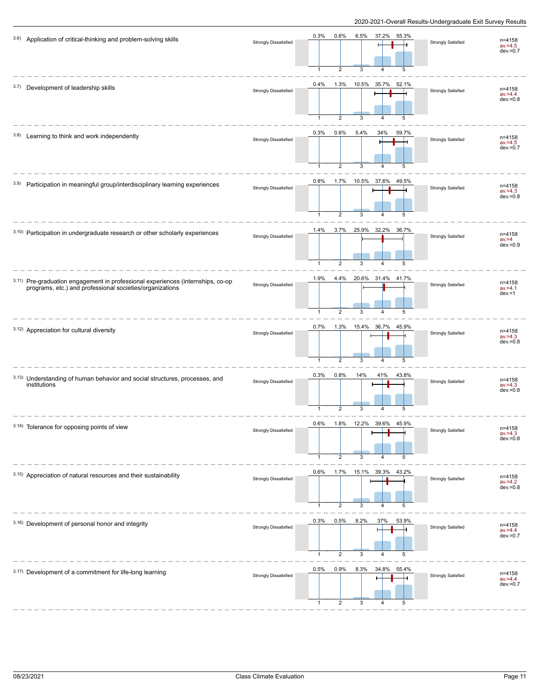| 3.6) Application of critical-thinking and problem-solving skills                                                                            | <b>Strongly Dissatisfied</b> | 0.3%<br>0.6%<br>6.5%<br>37.2%<br>55.3%<br>$\overline{1}$<br>$\overline{2}$<br>3<br>$\overline{\mathbf{A}}$<br>5 | <b>Strongly Satisfied</b> | n=4158<br>$av = 4.5$<br>$dev = 0.7$ |
|---------------------------------------------------------------------------------------------------------------------------------------------|------------------------------|-----------------------------------------------------------------------------------------------------------------|---------------------------|-------------------------------------|
| 3.7) Development of leadership skills                                                                                                       | <b>Strongly Dissatisfied</b> | 0.4%<br>1.3%<br>10.5%<br>35.7%<br>52.1%<br>$\overline{1}$<br>$\overline{2}$<br>3<br>$\overline{4}$<br>5         | <b>Strongly Satisfied</b> | n=4158<br>$av = 4.4$<br>$dev = 0.8$ |
| 3.8) Learning to think and work independently                                                                                               | <b>Strongly Dissatisfied</b> | 0.3%<br>0.6%<br>5.4%<br>34%<br>59.7%<br>$\overline{2}$<br>3<br>$\mathbf{1}$<br>5<br>4                           | <b>Strongly Satisfied</b> | n=4158<br>$av = 4.5$<br>$dev = 0.7$ |
| 3.9) Participation in meaningful group/interdisciplinary learning experiences                                                               | Strongly Dissatisfied        | 0.8%<br>1.7%  10.5%  37.6%<br>49.5%<br>$\overline{2}$<br>1<br>3<br>5                                            | <b>Strongly Satisfied</b> | n=4158<br>$av = 4.3$<br>$dev = 0.8$ |
| 3.10) Participation in undergraduate research or other scholarly experiences                                                                | <b>Strongly Dissatisfied</b> | 3.7%<br>25.9%<br>32.2%<br>36.7%<br>1.4%<br>$\overline{1}$<br>2<br>3<br>5<br>4                                   | <b>Strongly Satisfied</b> | n=4158<br>$av = 4$<br>$dev = 0.9$   |
| 3.11) Pre-graduation engagement in professional experiences (internships, co-op<br>programs, etc.) and professional societies/organizations | <b>Strongly Dissatisfied</b> | 20.6% 31.4% 41.7%<br>1.9%<br>4.4%<br>$\overline{2}$<br>3<br>$\mathbf{1}$<br>5<br>4                              | <b>Strongly Satisfied</b> | n=4158<br>$av = 4.1$<br>$dev = 1$   |
| 3.12) Appreciation for cultural diversity                                                                                                   | Strongly Dissatisfied        | 15.4% 36.7%<br>0.7%<br>1.3%<br>45.9%<br>$\overline{2}$<br>3<br>1<br>4<br>5                                      | <b>Strongly Satisfied</b> | n=4158<br>$av = 4.3$<br>$dev = 0.8$ |
| 3.13) Understanding of human behavior and social structures, processes, and<br>institutions                                                 | <b>Strongly Dissatisfied</b> | 0.3%<br>0.8%<br>14%<br>41%<br>43.8%<br>$\mathbf{1}$<br>2<br>3<br>4<br>5                                         | <b>Strongly Satisfied</b> | n=4158<br>$av = 4.3$<br>$dev = 0.8$ |
| 3.14) Tolerance for opposing points of view                                                                                                 | <b>Strongly Dissatisfied</b> | 0.6%<br>1.8%<br>12<br>39.6%<br>45.9%<br>5<br>2                                                                  | <b>Strongly Satisfied</b> | n=4158<br>av.=4.3<br>dev.=0.8       |
| 3.15) Appreciation of natural resources and their sustainability                                                                            | <b>Strongly Dissatisfied</b> | 0.6%<br>1.7%  15.1%  39.3%  43.2%<br>2<br>3<br>5                                                                | <b>Strongly Satisfied</b> | n=4158<br>$av = 4.2$<br>$dev = 0.8$ |
| 3.16) Development of personal honor and integrity                                                                                           | <b>Strongly Dissatisfied</b> | 8.2%<br>0.3%<br>0.5%<br>37%<br>53.9%<br>$\mathbf{1}$<br>2<br>3<br>5<br>4                                        | <b>Strongly Satisfied</b> | n=4158<br>$av = 4.4$<br>$dev = 0.7$ |
| 3.17) Development of a commitment for life-long learning                                                                                    | <b>Strongly Dissatisfied</b> | 0.5%<br>0.9%<br>8.3%<br>34.8%<br>55.4%<br>3<br>$\mathbf{1}$<br>$\overline{2}$<br>5<br>4                         | <b>Strongly Satisfied</b> | n=4158<br>$av = 4.4$<br>$dev = 0.7$ |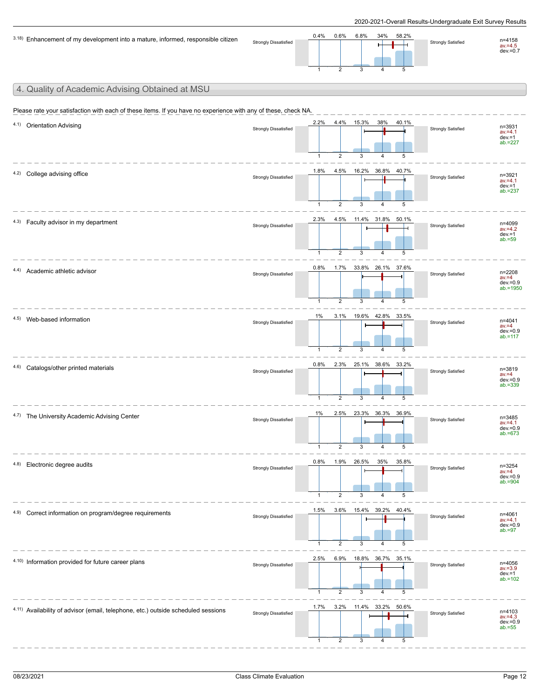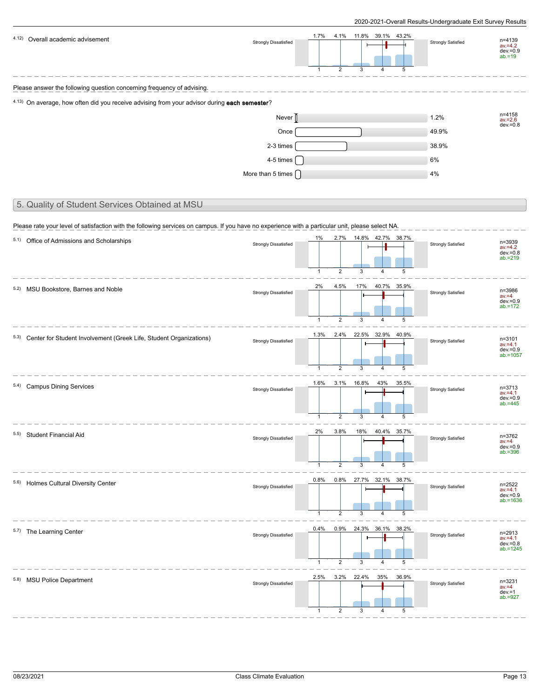| 4.12) Overall academic advisement                                                                                                                                                               | <b>Strongly Dissatisfied</b>                    | 1.7%<br>4.1%<br>11.8% 39.1% 43.2%<br>2<br>5                                        | <b>Strongly Satisfied</b> | n=4139<br>$av = 4.2$<br>$dev = 0.9$<br>$ab = 19$       |
|-------------------------------------------------------------------------------------------------------------------------------------------------------------------------------------------------|-------------------------------------------------|------------------------------------------------------------------------------------|---------------------------|--------------------------------------------------------|
| Please answer the following question concerning frequency of advising.                                                                                                                          |                                                 |                                                                                    |                           |                                                        |
| 4.13) On average, how often did you receive advising from your advisor during each semester?                                                                                                    |                                                 |                                                                                    |                           |                                                        |
|                                                                                                                                                                                                 | Never                                           |                                                                                    | 1.2%                      | n=4158<br>$av = 2.6$<br>$dev = 0.8$                    |
|                                                                                                                                                                                                 | Once                                            |                                                                                    | 49.9%                     |                                                        |
|                                                                                                                                                                                                 | 2-3 times                                       |                                                                                    | 38.9%                     |                                                        |
|                                                                                                                                                                                                 | 4-5 times<br>More than 5 times $\left[ \right]$ |                                                                                    | 6%<br>4%                  |                                                        |
| 5. Quality of Student Services Obtained at MSU                                                                                                                                                  |                                                 |                                                                                    |                           |                                                        |
|                                                                                                                                                                                                 |                                                 |                                                                                    |                           |                                                        |
| Please rate your level of satisfaction with the following services on campus. If you have no experience with a particular unit, please select NA.<br>5.1) Office of Admissions and Scholarships | <b>Strongly Dissatisfied</b>                    | 14.8% 42.7% 38.7%<br>1%<br>2.7%<br>$\overline{2}$<br>1<br>3<br>5                   | <b>Strongly Satisfied</b> | n=3939<br>$av = 4.2$<br>$dev = 0.8$<br>$ab = 219$      |
| 5.2) MSU Bookstore, Barnes and Noble                                                                                                                                                            | <b>Strongly Dissatisfied</b>                    | 17%<br>40.7% 35.9%<br>2%<br>4.5%<br>2<br>$\overline{1}$<br>3<br>5<br>4             | <b>Strongly Satisfied</b> | n=3986<br>$av = 4$<br>$dev = 0.9$<br>$ab = 172$        |
| 5.3) Center for Student Involvement (Greek Life, Student Organizations)                                                                                                                         | Strongly Dissatisfied                           | 22.5% 32.9% 40.9%<br>1.3%<br>2.4%<br>$\mathbf{1}$<br>$\overline{2}$<br>5<br>3<br>4 | <b>Strongly Satisfied</b> | n=3101<br>$av = 4.1$<br>$dev = 0.9$<br>$ab = 1057$     |
| 5.4) Campus Dining Services                                                                                                                                                                     | <b>Strongly Dissatisfied</b>                    | 1.6%<br>3.1%<br>16.8%<br>43%<br>35.5%<br>$\overline{2}$<br>$\mathbf{1}$<br>5       | <b>Strongly Satisfied</b> | n=3713<br>$av = 4.1$<br>$dev = 0.9$<br>$ab = 445$      |
| 5.5) Student Financial Aid                                                                                                                                                                      | <b>Strongly Dissatisfied</b>                    | 2%<br>3.8%<br>18%<br>40.4% 35.7%<br>2<br>$\mathbf{1}$<br>3<br>4<br>5               | <b>Strongly Satisfied</b> | n=3762<br>$av = 4$<br>$dev = 0.9$<br>$ab = 396$        |
| 5.6) Holmes Cultural Diversity Center                                                                                                                                                           | <b>Strongly Dissatisfied</b>                    | 0.8%<br>$0.8\%$<br>27.7% 32.1% 38.7%<br>2<br>1<br>5                                | <b>Strongly Satisfied</b> | $n = 2522$<br>$av = 4.1$<br>$dev = 0.9$<br>$ab = 1636$ |
| 5.7) The Learning Center                                                                                                                                                                        | <b>Strongly Dissatisfied</b>                    | 0.4%<br>0.9%<br>24.3% 36.1%<br>38.2%<br>2<br>$\mathbf{1}$<br>5                     | <b>Strongly Satisfied</b> | n=2913<br>$av = 4.1$<br>$dev = 0.8$<br>$ab = 1245$     |
| 5.8) MSU Police Department                                                                                                                                                                      | <b>Strongly Dissatisfied</b>                    | 2.5%<br>3.2%<br>35%<br>22.4%<br>36.9%<br>$\overline{2}$<br>5                       | <b>Strongly Satisfied</b> | n=3231<br>$av = 4$<br>$dev = 1$<br>$ab = 927$          |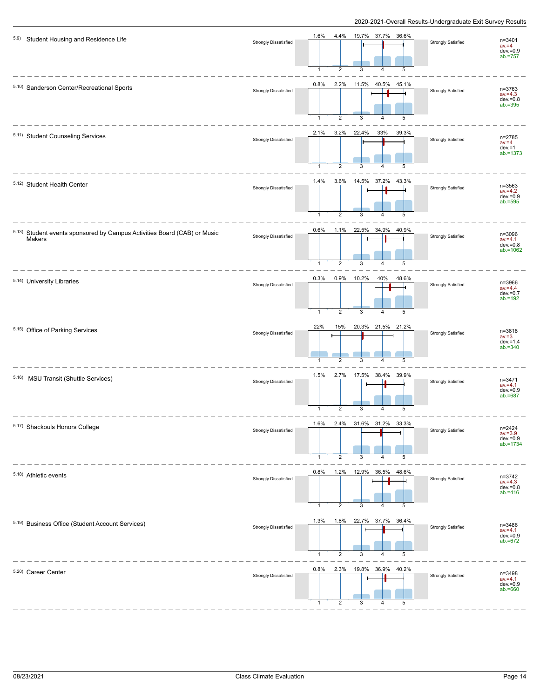| 5.9) Student Housing and Residence Life                                                   | <b>Strongly Dissatisfied</b> | 1.6%<br>4.4% 19.7% 37.7% 36.6%<br>n=3401<br>Strongly Satisfied<br>$av = 4$<br>$dev = 0.9$<br>$ab = 757$<br>$\overline{1}$<br>$\overline{2}$<br>3<br>5<br>4             |
|-------------------------------------------------------------------------------------------|------------------------------|------------------------------------------------------------------------------------------------------------------------------------------------------------------------|
| 5.10) Sanderson Center/Recreational Sports                                                | <b>Strongly Dissatisfied</b> | 2.2%<br>0.8%<br>11.5% 40.5% 45.1%<br>n=3763<br>Strongly Satisfied<br>$av = 4.3$<br>$dev = 0.8$<br>$ab = 395$<br>$\overline{1}$<br>$\overline{2}$<br>3<br>4<br>5        |
| 5.11) Student Counseling Services                                                         | <b>Strongly Dissatisfied</b> | 2.1%<br>$3.2\%$<br>22.4%<br>33%<br>39.3%<br>n=2785<br><b>Strongly Satisfied</b><br>$av = 4$<br>$dev = 1$<br>$ab = 1373$<br>$\mathbf{1}$<br>2<br>3<br>4<br>5            |
| 5.12) Student Health Center                                                               | <b>Strongly Dissatisfied</b> | 3.6% 14.5% 37.2% 43.3%<br>1.4%<br>n=3563<br>Strongly Satisfied<br>$av = 4.2$<br>$dev = 0.9$<br>$ab = 595$<br>5<br>$\mathbf{1}$<br>2<br>3<br>4                          |
| 5.13) Student events sponsored by Campus Activities Board (CAB) or Music<br><b>Makers</b> | <b>Strongly Dissatisfied</b> | $0.6\%$<br>1.1%<br>22.5% 34.9%<br>40.9%<br>n=3096<br>Strongly Satisfied<br>$av = 4.1$<br>$dev = 0.8$<br>$ab = 1062$<br>$\overline{1}$<br>2<br>5<br>3<br>4              |
| 5.14) University Libraries                                                                | <b>Strongly Dissatisfied</b> | 0.3%<br>0.9%<br>10.2%<br>40%<br>48.6%<br>n=3966<br><b>Strongly Satisfied</b><br>$av = 4.4$<br>$dev = 0.7$<br>$ab = 192$<br>$\mathbf{1}$<br>2<br>3<br>4<br>5            |
| 5.15) Office of Parking Services                                                          | <b>Strongly Dissatisfied</b> | 22%<br>20.3% 21.5% 21.2%<br>15%<br>n=3818<br>Strongly Satisfied<br>$av = 3$<br>$dev = 1.4$<br>$ab = 340$<br>5<br>$\overline{1}$<br>$\overline{2}$<br>3<br>4            |
| 5.16) MSU Transit (Shuttle Services)                                                      | <b>Strongly Dissatisfied</b> | 1.5%<br>2.7%<br>17.5% 38.4% 39.9%<br>n=3471<br>Strongly Satisfied<br>$av = 4.1$<br>$dev = 0.9$<br>$ab = 687$<br>$\mathbf{1}$<br>$\overline{2}$<br>3<br>4<br>5          |
| 5.17) Shackouls Honors College                                                            | <b>Strongly Dissatisfied</b> | 2.4%<br>31.6%<br>31.2%<br>1.6%<br>33.3%<br>n=2424<br>av.=3.9<br><b>Strongly Satisfied</b><br>$dev = 0.9$<br>$ab = 1734$<br>$\mathbf{1}$<br>2<br>3<br>5<br>4            |
| 5.18) Athletic events                                                                     | <b>Strongly Dissatisfied</b> | 0.8%<br>1.2% 12.9% 36.5% 48.6%<br>$n = 3742$<br>Strongly Satisfied<br>$av.=4.3$<br>dev.=0.8<br>ab.=416<br>5<br>$\mathbf{1}$<br>2<br>3<br>4                             |
| 5.19) Business Office (Student Account Services)                                          | <b>Strongly Dissatisfied</b> | 1.3%<br>1.8%<br>22.7% 37.7% 36.4%<br>n=3486<br><b>Strongly Satisfied</b><br>$av = 4.1$<br>$dev = 0.9$<br>$ab = 672$<br>5<br>$\overline{1}$<br>$\overline{2}$<br>3<br>4 |
| 5.20) Career Center                                                                       | <b>Strongly Dissatisfied</b> | 0.8%<br>19.8% 36.9% 40.2%<br>2.3%<br>n=3498<br><b>Strongly Satisfied</b><br>$av = 4.1$<br>$dev = 0.9$<br>$ab = 660$<br>2<br>-1<br>3                                    |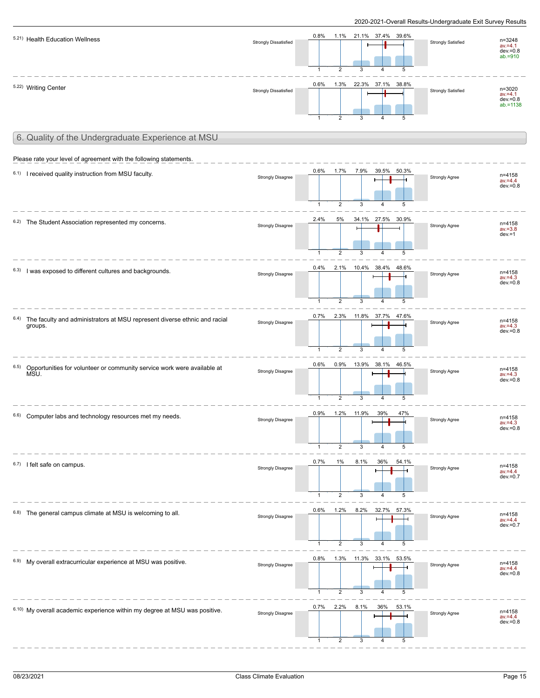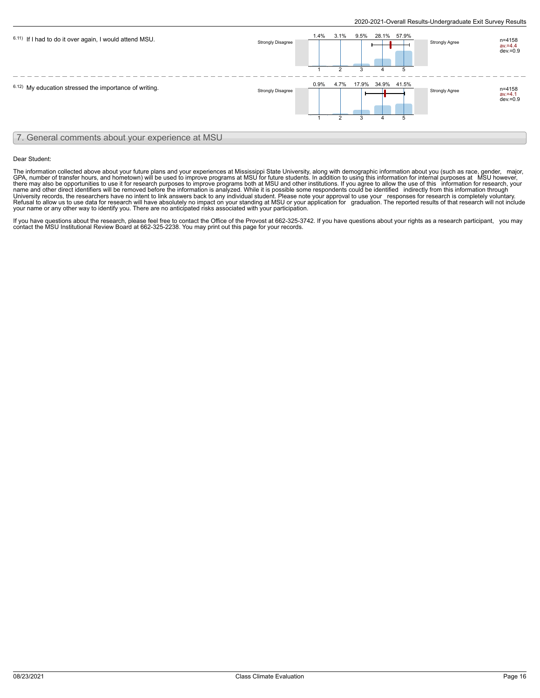

#### Dear Student:

The information collected above about your future plans and your experiences at Mississippi State University, along with demographic information about you (such as race, gender, \_major,<br>GPA, number of transfer hours, and h name and other direct identifiers will be removed before the information is analyzed. While it is possible some respondents could be identified \_indirectly from this information through<br>University records, the researchers your name or any other way to identify you. There are no anticipated risks associated with your participation.

If you have questions about the research, please feel free to contact the Office of the Provost at 662-325-3742. If you have questions about your rights as a research participant, you may contact the MSU Institutional Review Board at 662-325-2238. You may print out this page for your records.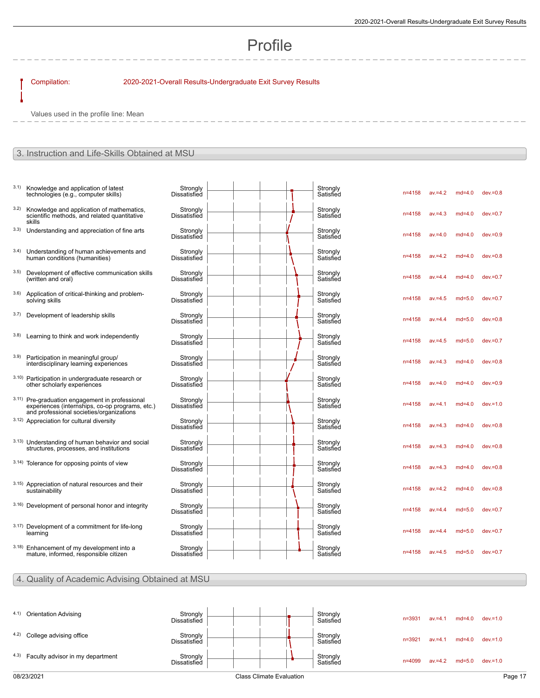# Profile

## Compilation: 2020-2021-Overall Results-Undergraduate Exit Survey Results

Values used in the profile line: Mean

## 3. Instruction and Life-Skills Obtained at MSU

| technologies (e.g., computer skills)                                                        | Strongly<br>Dissatisfied                                                                                                                                                                                                                                                                                                                                                                                                                                                                                                                                                                                                                                                                                                                                                                                                                                                         |  | Strongly<br>Satisfied | $n = 4158$ | $av = 4.2$ | $md=4.0$ | $dev = 0.8$ |
|---------------------------------------------------------------------------------------------|----------------------------------------------------------------------------------------------------------------------------------------------------------------------------------------------------------------------------------------------------------------------------------------------------------------------------------------------------------------------------------------------------------------------------------------------------------------------------------------------------------------------------------------------------------------------------------------------------------------------------------------------------------------------------------------------------------------------------------------------------------------------------------------------------------------------------------------------------------------------------------|--|-----------------------|------------|------------|----------|-------------|
| scientific methods, and related quantitative<br>skills                                      | Strongly<br>Dissatisfied                                                                                                                                                                                                                                                                                                                                                                                                                                                                                                                                                                                                                                                                                                                                                                                                                                                         |  | Strongly<br>Satisfied | $n = 4158$ | $av = 4.3$ | $md=4.0$ | $dev = 0.7$ |
|                                                                                             | Strongly<br>Dissatisfied                                                                                                                                                                                                                                                                                                                                                                                                                                                                                                                                                                                                                                                                                                                                                                                                                                                         |  | Strongly<br>Satisfied | $n = 4158$ | $av = 4.0$ | $md=4.0$ | $dev = 0.9$ |
| human conditions (humanities)                                                               | Strongly<br><b>Dissatisfied</b>                                                                                                                                                                                                                                                                                                                                                                                                                                                                                                                                                                                                                                                                                                                                                                                                                                                  |  | Strongly<br>Satisfied | n=4158     | $av = 4.2$ | $md=4.0$ | $dev = 0.8$ |
| (written and oral)                                                                          | Strongly<br>Dissatisfied                                                                                                                                                                                                                                                                                                                                                                                                                                                                                                                                                                                                                                                                                                                                                                                                                                                         |  | Strongly<br>Satisfied | n=4158     | $av = 4.4$ | $md=4.0$ | $dev = 0.7$ |
| solving skills                                                                              | Strongly<br><b>Dissatisfied</b>                                                                                                                                                                                                                                                                                                                                                                                                                                                                                                                                                                                                                                                                                                                                                                                                                                                  |  | Strongly<br>Satisfied | $n = 4158$ | $av = 4.5$ | $md=5.0$ | $dev = 0.7$ |
|                                                                                             | Strongly<br>Dissatisfied                                                                                                                                                                                                                                                                                                                                                                                                                                                                                                                                                                                                                                                                                                                                                                                                                                                         |  | Strongly<br>Satisfied | n=4158     | $av = 4.4$ | $md=5.0$ | $dev = 0.8$ |
|                                                                                             | Strongly<br><b>Dissatisfied</b>                                                                                                                                                                                                                                                                                                                                                                                                                                                                                                                                                                                                                                                                                                                                                                                                                                                  |  | Strongly<br>Satisfied | n=4158     | $av = 4.5$ | $md=5.0$ | $dev = 0.7$ |
| interdisciplinary learning experiences                                                      | Strongly<br><b>Dissatisfied</b>                                                                                                                                                                                                                                                                                                                                                                                                                                                                                                                                                                                                                                                                                                                                                                                                                                                  |  | Strongly<br>Satisfied | $n = 4158$ | $av = 4.3$ | $md=4.0$ | $dev = 0.8$ |
| other scholarly experiences                                                                 | Strongly<br><b>Dissatisfied</b>                                                                                                                                                                                                                                                                                                                                                                                                                                                                                                                                                                                                                                                                                                                                                                                                                                                  |  | Strongly<br>Satisfied | $n = 4158$ | $av = 4.0$ | $md=4.0$ | $dev = 0.9$ |
| experiences (internships, co-op programs, etc.)<br>and professional societies/organizations | Strongly<br><b>Dissatisfied</b>                                                                                                                                                                                                                                                                                                                                                                                                                                                                                                                                                                                                                                                                                                                                                                                                                                                  |  | Strongly<br>Satisfied | n=4158     | $av = 4.1$ | $md=4.0$ | $dev = 1.0$ |
|                                                                                             | Strongly<br><b>Dissatisfied</b>                                                                                                                                                                                                                                                                                                                                                                                                                                                                                                                                                                                                                                                                                                                                                                                                                                                  |  | Strongly<br>Satisfied | n=4158     | $av = 4.3$ | $md=4.0$ | $dev = 0.8$ |
| structures, processes, and institutions                                                     | Strongly<br><b>Dissatisfied</b>                                                                                                                                                                                                                                                                                                                                                                                                                                                                                                                                                                                                                                                                                                                                                                                                                                                  |  | Strongly<br>Satisfied | $n = 4158$ | $av = 4.3$ | $md=4.0$ | $dev = 0.8$ |
|                                                                                             | Strongly<br>Dissatisfied                                                                                                                                                                                                                                                                                                                                                                                                                                                                                                                                                                                                                                                                                                                                                                                                                                                         |  | Strongly<br>Satisfied | $n = 4158$ | $av = 4.3$ | $md=4.0$ | $dev = 0.8$ |
| sustainability                                                                              | Strongly<br><b>Dissatisfied</b>                                                                                                                                                                                                                                                                                                                                                                                                                                                                                                                                                                                                                                                                                                                                                                                                                                                  |  | Strongly<br>Satisfied | $n = 4158$ | $av = 4.2$ | $md=4.0$ | $dev = 0.8$ |
|                                                                                             | Strongly<br><b>Dissatisfied</b>                                                                                                                                                                                                                                                                                                                                                                                                                                                                                                                                                                                                                                                                                                                                                                                                                                                  |  | Strongly<br>Satisfied | $n = 4158$ | $av = 4.4$ | $md=5.0$ | $dev = 0.7$ |
|                                                                                             | Strongly<br><b>Dissatisfied</b>                                                                                                                                                                                                                                                                                                                                                                                                                                                                                                                                                                                                                                                                                                                                                                                                                                                  |  | Strongly<br>Satisfied | $n = 4158$ | $av = 4.4$ | $md=5.0$ | $dev = 0.7$ |
| mature, informed, responsible citizen                                                       | Strongly<br>Dissatisfied                                                                                                                                                                                                                                                                                                                                                                                                                                                                                                                                                                                                                                                                                                                                                                                                                                                         |  | Strongly<br>Satisfied | $n = 4158$ | $av = 4.5$ | $md=5.0$ | $dev = 0.7$ |
|                                                                                             | Knowledge and application of latest<br>Knowledge and application of mathematics,<br>Understanding and appreciation of fine arts<br>Understanding of human achievements and<br>Development of effective communication skills<br>Application of critical-thinking and problem-<br>Development of leadership skills<br>Learning to think and work independently<br>Participation in meaningful group/<br>3.10) Participation in undergraduate research or<br>3.11) Pre-graduation engagement in professional<br>3.12) Appreciation for cultural diversity<br>3.13) Understanding of human behavior and social<br>3.14) Tolerance for opposing points of view<br>3.15) Appreciation of natural resources and their<br>3.16) Development of personal honor and integrity<br>3.17) Development of a commitment for life-long<br>learning<br>3.18) Enhancement of my development into a |  |                       |            |            |          |             |

## 4. Quality of Academic Advising Obtained at MSU

| 4.1) Orientation Advising             | Strongly<br><b>Dissatisfied</b> |  |  | Strongly<br>Satisfied | $n = 3931$ | $av = 4.1$ | $md=4.0$ | dev.=1.0    |
|---------------------------------------|---------------------------------|--|--|-----------------------|------------|------------|----------|-------------|
| 4.2) College advising office          | Strongly<br><b>Dissatisfied</b> |  |  | Strongly<br>Satisfied | $n = 3921$ | $av = 4.1$ | $md=4.0$ | $dev = 1.0$ |
| 4.3) Faculty advisor in my department | Strongly<br>Dissatisfied        |  |  | Strongly<br>Satisfied | $n = 4099$ | $av = 4.2$ | $md=5.0$ | $dev = 1.0$ |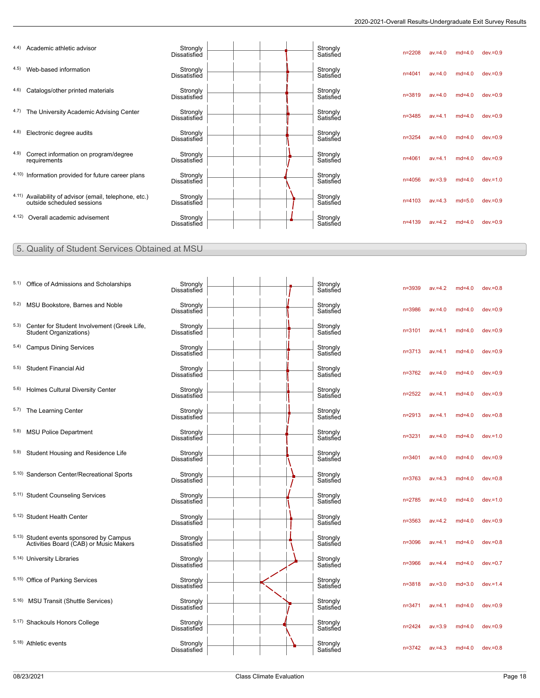|       | 4.4) Academic athletic advisor                                                       | Strongly<br><b>Dissatisfied</b> |  | Strongly<br>Satisfied | $n = 2208$ | $av = 4.0$ | $md=4.0$ | $dev = 0.9$ |
|-------|--------------------------------------------------------------------------------------|---------------------------------|--|-----------------------|------------|------------|----------|-------------|
|       | 4.5) Web-based information                                                           | Strongly<br><b>Dissatisfied</b> |  | Strongly<br>Satisfied | $n = 4041$ | $av = 4.0$ | $md=4.0$ | $dev = 0.9$ |
| 4.6)  | Catalogs/other printed materials                                                     | Strongly<br><b>Dissatisfied</b> |  | Strongly<br>Satisfied | $n = 3819$ | $av = 4.0$ | $md=4.0$ | $dev = 0.9$ |
|       | 4.7) The University Academic Advising Center                                         | Strongly<br><b>Dissatisfied</b> |  | Strongly<br>Satisfied | $n = 3485$ | $av = 4.1$ | $md=4.0$ | $dev = 0.9$ |
| (4.8) | Electronic degree audits                                                             | Strongly<br>Dissatisfied        |  | Strongly<br>Satisfied | $n = 3254$ | $av = 4.0$ | $md=4.0$ | $dev = 0.9$ |
| 4.9)  | Correct information on program/degree<br>requirements                                | Strongly<br>Dissatisfied        |  | Strongly<br>Satisfied | $n = 4061$ | $av = 4.1$ | $md=4.0$ | $dev = 0.9$ |
|       | 4.10) Information provided for future career plans                                   | Strongly<br><b>Dissatisfied</b> |  | Strongly<br>Satisfied | $n = 4056$ | $av = 3.9$ | $md=4.0$ | $dev = 1.0$ |
|       | 4.11) Availability of advisor (email, telephone, etc.)<br>outside scheduled sessions | Strongly<br>Dissatisfied        |  | Strongly<br>Satisfied | $n = 4103$ | $av = 4.3$ | $md=5.0$ | $dev = 0.9$ |
| 4.12) | Overall academic advisement                                                          | Strongly<br>Dissatisfied        |  | Strongly<br>Satisfied | $n = 4139$ | $av = 4.2$ | $md=4.0$ | $dev = 0.9$ |
|       |                                                                                      |                                 |  |                       |            |            |          |             |

## 5. Quality of Student Services Obtained at MSU

| 5.1) Office of Admissions and Scholarships                                         | Strongly<br><b>Dissatisfied</b> |  |  | Strongly<br>Satisfied | $n = 3939$ | $av = 4.2$ | $md=4.0$ | $dev = 0.8$ |
|------------------------------------------------------------------------------------|---------------------------------|--|--|-----------------------|------------|------------|----------|-------------|
| 5.2) MSU Bookstore, Barnes and Noble                                               | Strongly<br><b>Dissatisfied</b> |  |  | Strongly<br>Satisfied | $n = 3986$ | $av = 4.0$ | $md=4.0$ | $dev = 0.9$ |
| 5.3) Center for Student Involvement (Greek Life,<br>Student Organizations)         | Strongly<br><b>Dissatisfied</b> |  |  | Strongly<br>Satisfied | $n = 3101$ | $av = 4.1$ | $md=4.0$ | $dev = 0.9$ |
| 5.4) Campus Dining Services                                                        | Strongly<br><b>Dissatisfied</b> |  |  | Strongly<br>Satisfied | $n = 3713$ | $av = 4.1$ | $md=4.0$ | $dev = 0.9$ |
| 5.5) Student Financial Aid                                                         | Strongly<br><b>Dissatisfied</b> |  |  | Strongly<br>Satisfied | $n = 3762$ | $av = 4.0$ | $md=4.0$ | $dev = 0.9$ |
| 5.6) Holmes Cultural Diversity Center                                              | Strongly<br><b>Dissatisfied</b> |  |  | Strongly<br>Satisfied | $n = 2522$ | $av = 4.1$ | $md=4.0$ | $dev = 0.9$ |
| 5.7) The Learning Center                                                           | Strongly<br><b>Dissatisfied</b> |  |  | Strongly<br>Satisfied | $n = 2913$ | $av = 4.1$ | $md=4.0$ | $dev = 0.8$ |
| 5.8) MSU Police Department                                                         | Strongly<br><b>Dissatisfied</b> |  |  | Strongly<br>Satisfied | $n = 3231$ | $av = 4.0$ | $md=4.0$ | $dev = 1.0$ |
| 5.9) Student Housing and Residence Life                                            | Strongly<br><b>Dissatisfied</b> |  |  | Strongly<br>Satisfied | $n = 3401$ | $av = 4.0$ | $md=4.0$ | $dev = 0.9$ |
| 5.10) Sanderson Center/Recreational Sports                                         | Strongly<br><b>Dissatisfied</b> |  |  | Strongly<br>Satisfied | $n = 3763$ | $av = 4.3$ | $md=4.0$ | $dev = 0.8$ |
| 5.11) Student Counseling Services                                                  | Strongly<br><b>Dissatisfied</b> |  |  | Strongly<br>Satisfied | $n = 2785$ | $av = 4.0$ | $md=4.0$ | $dev = 1.0$ |
| 5.12) Student Health Center                                                        | Strongly<br><b>Dissatisfied</b> |  |  | Strongly<br>Satisfied | $n = 3563$ | $av = 4.2$ | $md=4.0$ | $dev = 0.9$ |
| 5.13) Student events sponsored by Campus<br>Activities Board (CAB) or Music Makers | Strongly<br><b>Dissatisfied</b> |  |  | Strongly<br>Satisfied | n=3096     | $av = 4.1$ | $md=4.0$ | $dev = 0.8$ |
| 5.14) University Libraries                                                         | Strongly<br><b>Dissatisfied</b> |  |  | Strongly<br>Satisfied | n=3966     | $av = 4.4$ | $md=4.0$ | $dev = 0.7$ |
| 5.15) Office of Parking Services                                                   | Strongly<br><b>Dissatisfied</b> |  |  | Strongly<br>Satisfied | $n = 3818$ | $av = 3.0$ | $md=3.0$ | $dev = 1.4$ |
| 5.16) MSU Transit (Shuttle Services)                                               | Strongly<br><b>Dissatisfied</b> |  |  | Strongly<br>Satisfied | $n = 3471$ | $av = 4.1$ | $md=4.0$ | $dev = 0.9$ |
| 5.17) Shackouls Honors College                                                     | Strongly<br><b>Dissatisfied</b> |  |  | Strongly<br>Satisfied | $n = 2424$ | $av = 3.9$ | $md=4.0$ | $dev = 0.9$ |
| 5.18) Athletic events                                                              | Strongly<br><b>Dissatisfied</b> |  |  | Strongly<br>Satisfied | $n = 3742$ | $av = 4.3$ | $md=4.0$ | $dev = 0.8$ |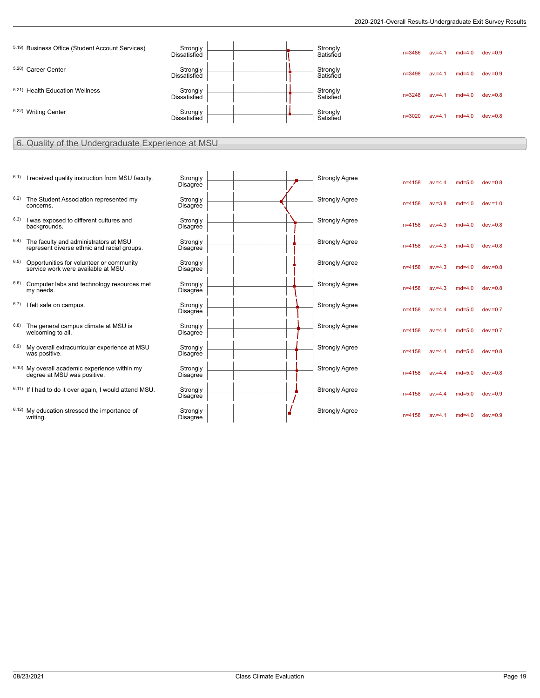| 5.19) Business Office (Student Account Services) | Strongly<br>Dissatisfied        |  | Strongly<br>Satisfied | $n = 3486$ | $av = 4.$  | $md=4.0$ | $dev = 0.9$ |
|--------------------------------------------------|---------------------------------|--|-----------------------|------------|------------|----------|-------------|
| 5.20) Career Center                              | Strongly<br>Dissatisfied        |  | Strongly<br>Satisfied | $n = 3498$ | $av = 4$ . | $md=4.0$ | $dev = 0.9$ |
| 5.21) Health Education Wellness                  | Strongly<br>Dissatisfied        |  | Strongly<br>Satisfied | $n = 3248$ | $av = 4.1$ | $md=4.0$ | $dev = 0.8$ |
| 5.22) Writing Center                             | Strongly<br><b>Dissatisfied</b> |  | Strongly<br>Satisfied | $n = 3020$ | $av = 4.$  | $md=4.0$ | $dev = 0.8$ |

#### 6. Quality of the Undergraduate Experience at MSU

- $6.1$ ) I received quality instruction from MSU faculty
- 6.2) The Student Association represented my concerns.
- $6.3$ ) I was exposed to different cultures and backgrounds.
- $6.4$ ) The faculty and administrators at MSU represent diverse ethnic and racial groups.
- 6.5) Opportunities for volunteer or community service work were available at MSU.
- 6.6) Computer labs and technology resources met my needs.
- $6.7$ ) I felt safe on campus.
- $6.8$ ) The general campus climate at MSU is welcoming to all.
- <sup>6.9)</sup> My overall extracurricular experience at MSU<br>was positive.
- $6.10$ ) My overall academic experience within my degree at MSU was positive.
- $6.11)$  If I had to do it over again, I would attend MSL
- $6.12$ ) My education stressed the importance of writing.

|    | Strongly<br>Disagree        |  |  | <b>Strongly Agree</b> | $n = 4158$ | $av = 4.4$ | $md=5.0$ | $dev = 0.8$ |  |
|----|-----------------------------|--|--|-----------------------|------------|------------|----------|-------------|--|
|    | Strongly<br>Disagree        |  |  | <b>Strongly Agree</b> | $n = 4158$ | $av = 3.8$ | $md=4.0$ | $dev = 1.0$ |  |
|    | Strongly<br><b>Disagree</b> |  |  | <b>Strongly Agree</b> | $n = 4158$ | $av = 4.3$ | $md=4.0$ | $dev = 0.8$ |  |
|    | Strongly<br><b>Disagree</b> |  |  | <b>Strongly Agree</b> | $n = 4158$ | $av = 4.3$ | $md=4.0$ | $dev = 0.8$ |  |
|    | Strongly<br><b>Disagree</b> |  |  | <b>Strongly Agree</b> | $n = 4158$ | $av = 4.3$ | $md=4.0$ | $dev = 0.8$ |  |
|    | Strongly<br>Disagree        |  |  | <b>Strongly Agree</b> | $n = 4158$ | $av = 4.3$ | $md=4.0$ | $dev = 0.8$ |  |
|    | Strongly<br>Disagree        |  |  | <b>Strongly Agree</b> | $n = 4158$ | $av = 4.4$ | $md=5.0$ | $dev = 0.7$ |  |
|    | Strongly<br>Disagree        |  |  | <b>Strongly Agree</b> | $n = 4158$ | $av = 4.4$ | $md=5.0$ | $dev = 0.7$ |  |
|    | Strongly<br><b>Disagree</b> |  |  | <b>Strongly Agree</b> | $n = 4158$ | $av = 4.4$ | $md=5.0$ | $dev = 0.8$ |  |
|    | Strongly<br>Disagree        |  |  | <b>Strongly Agree</b> | $n = 4158$ | $av = 4.4$ | $md=5.0$ | $dev = 0.8$ |  |
| J. | Strongly<br><b>Disagree</b> |  |  | <b>Strongly Agree</b> | $n = 4158$ | $av = 4.4$ | $md=5.0$ | $dev = 0.9$ |  |
|    | Strongly<br><b>Disagree</b> |  |  | <b>Strongly Agree</b> | $n = 4158$ | $av = 4.1$ | $md=4.0$ | $dev = 0.9$ |  |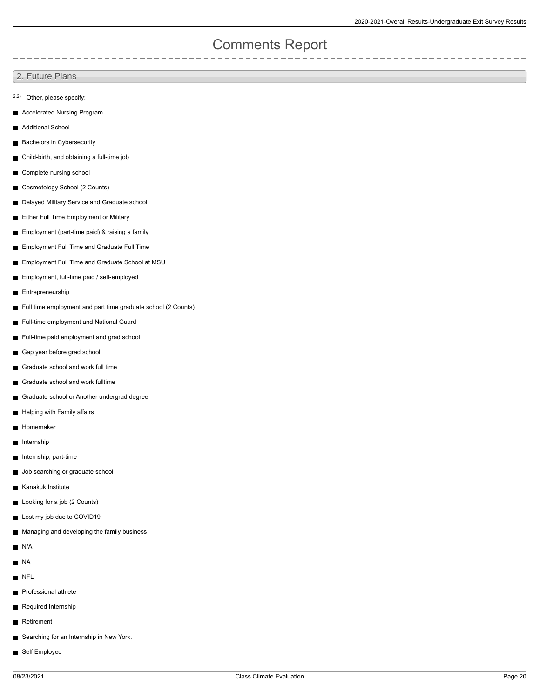# Comments Report

2. Future Plans

- 2.2) Other, please specify:
- **Accelerated Nursing Program**
- **Additional School**
- **Bachelors in Cybersecurity**
- Child-birth, and obtaining a full-time job
- Complete nursing school
- Cosmetology School (2 Counts)  $\blacksquare$
- Delayed Military Service and Graduate school
- **Either Full Time Employment or Military**
- Employment (part-time paid) & raising a family
- **Employment Full Time and Graduate Full Time**
- **Employment Full Time and Graduate School at MSU**
- Employment, full-time paid / self-employed
- **Entrepreneurship**
- Full time employment and part time graduate school (2 Counts)
- Full-time employment and National Guard
- Full-time paid employment and grad school
- Gap year before grad school
- Graduate school and work full time  $\blacksquare$
- Graduate school and work fulltime  $\blacksquare$
- Graduate school or Another undergrad degree
- Helping with Family affairs
- Homemaker
- Internship
- Internship, part-time  $\blacksquare$
- **Job searching or graduate school**
- **Kanakuk Institute**
- **Looking for a job (2 Counts)**
- Lost my job due to COVID19
- Managing and developing the family business  $\blacksquare$
- N/A
- $\blacksquare$  NA
- NFL
- **Professional athlete**
- Required Internship  $\blacksquare$
- Retirement
- Searching for an Internship in New York.
- Self Employed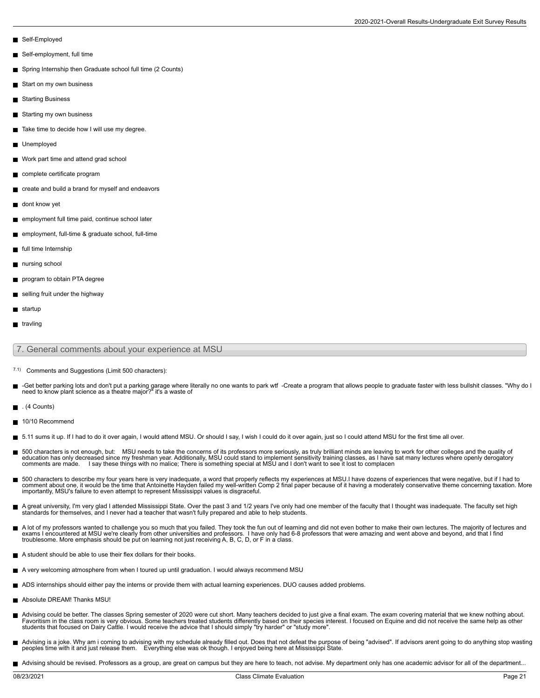- Self-Employed
- Self-employment, full time
- Spring Internship then Graduate school full time (2 Counts)
- Start on my own business  $\blacksquare$
- Starting Business
- Starting my own business
- Take time to decide how I will use my degree.
- Unemployed
- Work part time and attend grad school
- complete certificate program
- create and build a brand for myself and endeavors
- dont know yet
- employment full time paid, continue school later
- employment, full-time & graduate school, full-time
- full time Internship
- nursing school
- program to obtain PTA degree
- selling fruit under the highway
- startup
- $\blacksquare$  travling

#### 7. General comments about your experience at MSU

- 7.1) Comments and Suggestions (Limit 500 characters):
- -Get better parking lots and don't put a parking garage where literally no one wants to park wtf -Create a program that allows people to graduate faster with less bullshit classes. "Why do I<br>need to know plant science as
- . (4 Counts)
- 10/10 Recommend
- 5.11 sums it up. If I had to do it over again, I would attend MSU. Or should I say, I wish I could do it over again, just so I could attend MSU for the first time all over.
- 500 characters is not enough, but: MSU needs to take the concerns of its professors more seriously, as truly brilliant minds are leaving to work for other colleges and the quality of<br>education has only decreased since my
- 500 characters to describe my four years here is very inadequate, a word that properly reflects my experiences at MSU.I have dozens of experiences that were negative, but if I had to<br>comment about one, it would be the time importantly, MSU's failure to even attempt to represent Mississippi values is disgraceful.
- A great university, I'm very glad I attended Mississippi State. Over the past 3 and 1/2 years I've only had one member of the faculty that I thought was inadequate. The faculty set high standards for themselves, and I never had a teacher that wasn't fully prepared and able to help students.
- A lot of my professors wanted to challenge you so much that you failed. They took the fun out of learning and did not even bother to make their own lectures. The majority of lectures and<br>exams I encountered at MSU we're cl
- A student should be able to use their flex dollars for their books.
- A very welcoming atmosphere from when I toured up until graduation. I would always recommend MSU
- ADS internships should either pay the interns or provide them with actual learning experiences. DUO causes added problems.
- Absolute DREAM! Thanks MSU!
- Advising could be better. The classes Spring semester of 2020 were cut short. Many teachers decided to just give a final exam. The exam covering material that we knew nothing about. Favoritism in the class room is very obvious. Some teachers treated students differently based on their species interest. I focused on Equine and did not receive the same help as other students that focused on Dairy Cattle. I would receive the advice that I should simply "try harder" or "study more".
- Advising is a joke. Why am i coming to advising with my schedule already filled out. Does that not defeat the purpose of being "advised". If advisors arent going to do anything stop wasting peoples time with it and just release them. Everything else was ok though. I enjoyed being here at Mississippi State.
- Advising should be revised. Professors as a group, are great on campus but they are here to teach, not advise. My department only has one academic advisor for all of the department...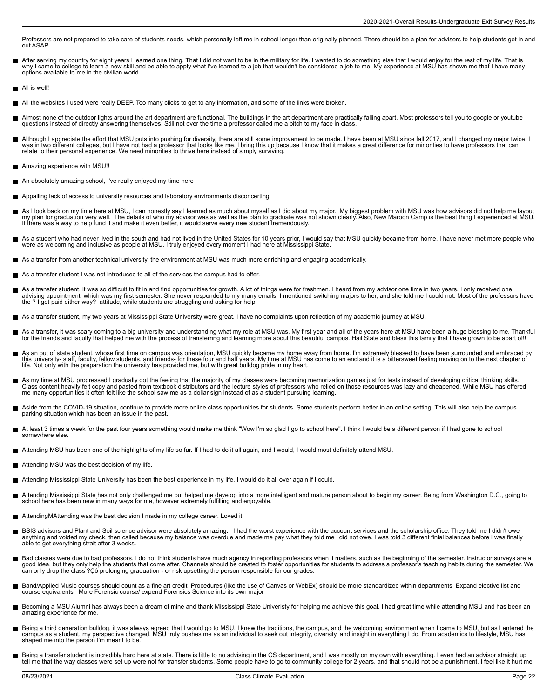Professors are not prepared to take care of students needs, which personally left me in school longer than originally planned. There should be a plan for advisors to help students get in and out ASAP.

- After serving my country for eight years I learned one thing. That I did not want to be in the military for life. I wanted to do something else that I would enjoy for the rest of my life. That is<br>why I came to college to l
- All is well!
- All the websites I used were really DEEP. Too many clicks to get to any information, and some of the links were broken.
- Almost none of the outdoor lights around the art department are functional. The buildings in the art department are practically falling apart. Most professors tell you to google or youtube questions instead of directly answering themselves. Still not over the time a professor called me a bitch to my face in class.
- Although I appreciate the effort that MSU puts into pushing for diversity, there are still some improvement to be made. I have been at MSU since fall 2017, and I changed my major twice. I was in two different colleges, but I have not had a professor that looks like me. I bring this up because I know that it makes a great difference for minorities to have professors that can<br>relate to their personal experien
- Amazing experience with MSU!!
- An absolutely amazing school, I've really enjoyed my time here
- $\blacksquare$ Appalling lack of access to university resources and laboratory environments disconcerting
- As I look back on my time here at MSU, I can honestly say I learned as much about myself as I did about my major. My biggest problem with MSU was how advisors did not help me layout<br>my plan for graduation very well. The de
- As a student who had never lived in the south and had not lived in the United States for 10 years prior, I would say that MSU quickly became from home. I have never met more people who<br>were as welcoming and inclusive as pe
- As a transfer from another technical university, the environment at MSU was much more enriching and engaging academically.
- As a transfer student I was not introduced to all of the services the campus had to offer.
- As a transfer student, it was so difficult to fit in and find opportunities for growth. A lot of things were for freshmen. I heard from my advisor one time in two years. I only received one<br>advising appointment, which was
- As a transfer student, my two years at Mississippi State University were great. I have no complaints upon reflection of my academic journey at MSU.
- As a transfer, it was scary coming to a big university and understanding what my role at MSU was. My first year and all of the years here at MSU have been a huge blessing to me. Thankful<br>for the friends and faculty that he
- As an out of state student, whose first time on campus was orientation, MSU quickly became my home away from home. I'm extremely blessed to have been surrounded and embraced by this university- staff, faculty, fellow students, and friends- for these four and half years. My time at MSU has come to an end and it is a bittersweet feeling moving on to the next chapter of<br>life. Not only with the prepa
- As my time at MSU progressed I gradually got the feeling that the majority of my classes were becoming memorization games just for tests instead of developing critical thinking skills.<br>Class content heavily felt copy and p
- Aside from the COVID-19 situation, continue to provide more online class opportunities for students. Some students perform better in an online setting. This will also help the campus  $\blacksquare$ parking situation which has been an issue in the past.
- $\blacksquare$ At least 3 times a week for the past four years something would make me think "Wow I'm so glad I go to school here". I think I would be a different person if I had gone to school somewhere else.
- Attending MSU has been one of the highlights of my life so far. If I had to do it all again, and I would, I would most definitely attend MSU.
- Attending MSU was the best decision of my life.
- Attending Mississippi State University has been the best experience in my life. I would do it all over again if I could.
- Attending Mississippi State has not only challenged me but helped me develop into a more intelligent and mature person about to begin my career. Being from Washington D.C., going to<br>school here has been new in many ways fo
- AttendingMAttending was the best decision I made in my college career. Loved it.
- $\blacksquare$ BSIS advisors and Plant and Soil science advisor were absolutely amazing. I had the worst experience with the account services and the scholarship office. They told me I didn't owe<br>anything and voided my check, then called able to get everything strait after 3 weeks.
- Bad classes were due to bad professors. I do not think students have much agency in reporting professors when it matters, such as the beginning of the semester. Instructor surveys are a good idea, but they only help the students that come after. Channels should be created to foster opportunities for students to address a professor's teaching habits during the semester. We can only drop the class ?Çô prolonging graduation - or risk upsetting the person responsible for our grades.
- Band/Applied Music courses should count as a fine art credit Procedures (like the use of Canvas or WebEx) should be more standardized within departments Expand elective list and course equivalents More Forensic course/ expend Forensics Science into its own major
- Becoming a MSU Alumni has always been a dream of mine and thank Mississippi State Univeristy for helping me achieve this goal. I had great time while attending MSU and has been an amazing experience for me.
- Being a third generation bulldog, it was always agreed that I would go to MSU. I knew the traditions, the campus, and the welcoming environment when I came to MSU, but as I entered the campus as a student, my perspective changed. MSU truly pushes me as an individual to seek out integrity, diversity, and insight in everything I do. From academics to lifestyle, MSU has<br>shaped me into the person I'm meant t
- Being a transfer student is incredibly hard here at state. There is little to no advising in the CS department, and I was mostly on my own with everything. I even had an advisor straight up<br>tell me that the way classes wer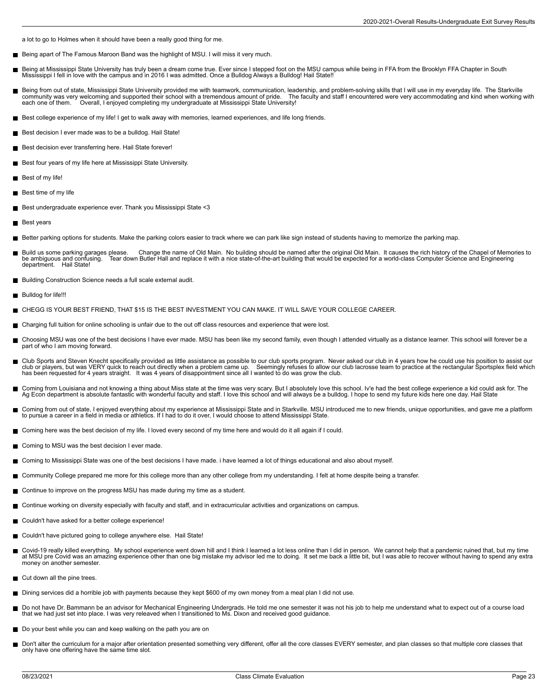a lot to go to Holmes when it should have been a really good thing for me.

- Being apart of The Famous Maroon Band was the highlight of MSU. I will miss it very much.
- Being at Mississippi State University has truly been a dream come true. Ever since I stepped foot on the MSU campus while being in FFA from the Brooklyn FFA Chapter in South<br>Mississippi I fell in love with the campus and i
- Being from out of state, Mississippi State University provided me with teamwork, communication, leadership, and problem-solving skills that I will use in my everyday life. The Starkville<br>community was very welcoming and su each one of them. <br> Overall, I enjoyed completing my undergraduate at Mississippi State University!
- Best college experience of my life! I get to walk away with memories, learned experiences, and life long friends.
- Best decision I ever made was to be a bulldog. Hail State!
- Best decision ever transferring here. Hail State forever!
- Best four years of my life here at Mississippi State University.
- **Best of my life!**
- $\blacksquare$  Best time of my life
- Best undergraduate experience ever. Thank you Mississippi State <3
- Best years
- Better parking options for students. Make the parking colors easier to track where we can park like sign instead of students having to memorize the parking map.
- Build us some parking garages please. Change the name of Old Main. No building should be named after the original Old Main. It causes the rich history of the Chapel of Memories to be ambiguous and confusing. Tear down Butler Hall and replace it with a nice state-of-the-art building that would be expected for a world-class Computer Science and Engineering<br>department. Hail State! Hail State!
- Building Construction Science needs a full scale external audit.
- Bulldog for life!!!
- CHEGG IS YOUR BEST FRIEND, THAT \$15 IS THE BEST INVESTMENT YOU CAN MAKE. IT WILL SAVE YOUR COLLEGE CAREER.  $\blacksquare$
- Charging full tuition for online schooling is unfair due to the out off class resources and experience that were lost.
- Choosing MSU was one of the best decisions I have ever made. MSU has been like my second family, even though I attended virtually as a distance learner. This school will forever be a part of who I am moving forward.
- Club Sports and Steven Knecht specifically provided as little assistance as possible to our club sports program. Never asked our club in 4 years how he could use his position to assist our club or players, but was VERY quick to reach out directly when a problem came up. Seemingly refuses to allow our club lacrosse team to practice at the rectangular Sportsplex field which<br>has been requested for 4 years stra
- Coming from Louisiana and not knowing a thing about Miss state at the time was very scary. But I absolutely love this school. Iv'e had the best college experience a kid could ask for. The Ag Econ department is absolute fantastic with wonderful faculty and staff. I love this school and will always be a bulldog. I hope to send my future kids here one day. Hail State
- Coming from out of state, I enjoyed everything about my experience at Mississippi State and in Starkville. MSU introduced me to new friends, unique opportunities, and gave me a platform П to pursue a career in a field in media or athletics. If I had to do it over, I would choose to attend Mississippi State.
- Coming here was the best decision of my life. I loved every second of my time here and would do it all again if I could.
- Coming to MSU was the best decision I ever made.
- Coming to Mississippi State was one of the best decisions I have made. i have learned a lot of things educational and also about myself.
- Community College prepared me more for this college more than any other college from my understanding. I felt at home despite being a transfer.
- Continue to improve on the progress MSU has made during my time as a student.
- Continue working on diversity especially with faculty and staff, and in extracurricular activities and organizations on campus.
- Couldn't have asked for a better college experience!
- Couldn't have pictured going to college anywhere else. Hail State!
- Covid-19 really killed everything. My school experience went down hill and I think I learned a lot less online than I did in person. We cannot help that a pandemic ruined that, but my time<br>at MSU pre Covid was an amazing e money on another semester.
- Cut down all the pine trees.
- Dining services did a horrible job with payments because they kept \$600 of my own money from a meal plan I did not use.
- Do not have Dr. Bammann be an advisor for Mechanical Engineering Undergrads. He told me one semester it was not his job to help me understand what to expect out of a course load<br>that we had just set into place. I was very
- Do your best while you can and keep walking on the path you are on
- Don't alter the curriculum for a major after orientation presented something very different, offer all the core classes EVERY semester, and plan classes so that multiple core classes that only have one offering have the same time slot.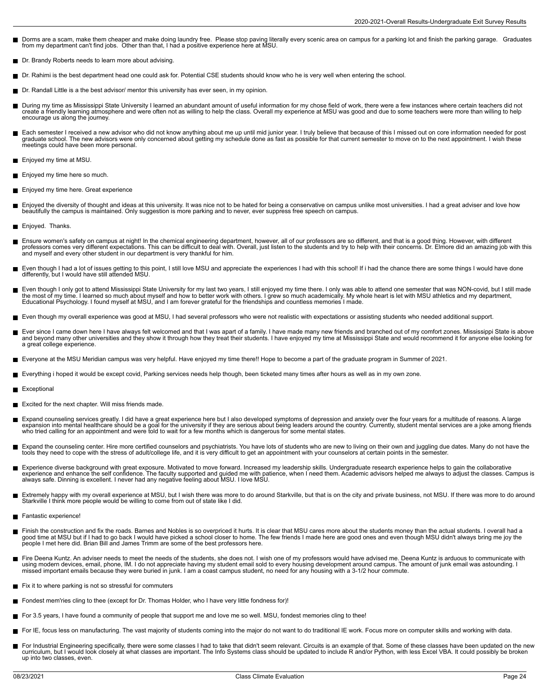- Dorms are a scam, make them cheaper and make doing laundry free. Please stop paving literally every scenic area on campus for a parking lot and finish the parking garage. Graduates<br>from my department can't find jobs. Ot
- Dr. Brandy Roberts needs to learn more about advising.
- Dr. Rahimi is the best department head one could ask for. Potential CSE students should know who he is very well when entering the school.
- Dr. Randall Little is a the best advisor/ mentor this university has ever seen, in my opinion.
- During my time as Mississippi State University I learned an abundant amount of useful information for my chose field of work, there were a few instances where certain teachers did not<br>create a friendly learning atmosphere encourage us along the journey.
- Each semester I received a new advisor who did not know anything about me up until mid junior year. I truly believe that because of this I missed out on core information needed for post graduate school. The new advisors were only concerned about getting my schedule done as fast as possible for that current semester to move on to the next appointment. I wish these meetings could have been more personal.
- Enjoyed my time at MSU.
- **Enjoyed my time here so much.**
- Enjoyed my time here. Great experience
- Enjoyed the diversity of thought and ideas at this university. It was nice not to be hated for being a conservative on campus unlike most universities. I had a great adviser and love how  $\blacksquare$ beautifully the campus is maintained. Only suggestion is more parking and to never, ever suppress free speech on campus.
- Enjoyed. Thanks.
- Н Ensure women's safety on campus at night! In the chemical engineering department, however, all of our professors are so different, and that is a good thing. However, with different<br>professors comes very different expectati and myself and every other student in our department is very thankful for him.
- Even though I had a lot of issues getting to this point, I still love MSU and appreciate the experiences I had with this school! If i had the chance there are some things I would have done П differently, but I would have still attended MSU.
- Even though I only got to attend Mississippi State University for my last two years, I still enjoyed my time there. I only was able to attend one semester that was NON-covid, but I still made<br>the most of my time. I learned Educational Psychology. I found myself at MSU, and I am forever grateful for the friendships and countless memories I made.
- Even though my overall experience was good at MSU, I had several professors who were not realistic with expectations or assisting students who needed additional support.
- Ever since I came down here I have always felt welcomed and that I was apart of a family. I have made many new friends and branched out of my comfort zones. Mississippi State is above and beyond many other universities and they show it through how they treat their students. I have enjoyed my time at Mississippi State and would recommend it for anyone else looking for a great college experience.
- Everyone at the MSU Meridian campus was very helpful. Have enjoyed my time there!! Hope to become a part of the graduate program in Summer of 2021.
- Everything i hoped it would be except covid, Parking services needs help though, been ticketed many times after hours as well as in my own zone.
- Exceptional
- Excited for the next chapter. Will miss friends made.
- Expand counseling services greatly. I did have a great experience here but I also developed symptoms of depression and anxiety over the four years for a multitude of reasons. A large  $\blacksquare$ expansion into mental healthcare should be a goal for the university if they are serious about being leaders around the country. Currently, student mental services are a joke among friends<br>who tried calling for an appointm
- Expand the counseling center. Hire more certified counselors and psychiatrists. You have lots of students who are new to living on their own and juggling due dates. Many do not have the П tools they need to cope with the stress of adult/college life, and it is very difficult to get an appointment with your counselors at certain points in the semester.
- Experience diverse background with great exposure. Motivated to move forward. Increased my leadership skills. Undergraduate research experience helps to gain the collaborative<br>experience and enhance the self confidence. Th
- Extremely happy with my overall experience at MSU, but I wish there was more to do around Starkville, but that is on the city and private business, not MSU. If there was more to do around Starkville I think more people would be willing to come from out of state like I did.
- Fantastic experience!
- $\blacksquare$ Finish the construction and fix the roads. Barnes and Nobles is so overpriced it hurts. It is clear that MSU cares more about the students money than the actual students. I overall had a<br>good time at MSU but if I had to go people I met here did. Brian Bill and James Trimm are some of the best professors here.
- Fire Deena Kuntz. An adviser needs to meet the needs of the students, she does not. I wish one of my professors would have advised me. Deena Kuntz is arduous to communicate with using modern devices, email, phone, IM. I do not appreciate having my student email sold to every housing development around campus. The amount of junk email was astounding. I missed important emails because they were buried in junk. I am a coast campus student, no need for any housing with a 3-1/2 hour commute.
- Fix it to where parking is not so stressful for commuters
- Fondest mem'ries cling to thee (except for Dr. Thomas Holder, who I have very little fondness for)!
- For 3.5 years, I have found a community of people that support me and love me so well. MSU, fondest memories cling to thee!
- For IE, focus less on manufacturing. The vast majority of students coming into the major do not want to do traditional IE work. Focus more on computer skills and working with data.
- For Industrial Engineering specifically, there were some classes I had to take that didn't seem relevant. Circuits is an example of that. Some of these classes have been updated on the new<br>curriculum, but I would look clos up into two classes, even.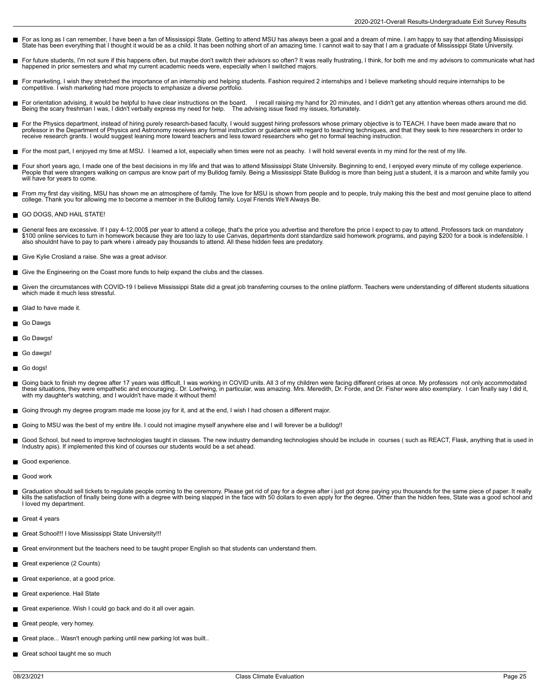- For as long as I can remember, I have been a fan of Mississippi State. Getting to attend MSU has always been a goal and a dream of mine. I am happy to say that attending Mississippi<br>State has been everything that I thought
- П For future students, I'm not sure if this happens often, but maybe don't switch their advisors so often? It was really frustrating, I think, for both me and my advisors to communicate what had happened in prior semesters and what my current academic needs were, especially when I switched majors.
- For marketing, I wish they stretched the importance of an internship and helping students. Fashion required 2 internships and I believe marketing should require internships to be competitive. I wish marketing had more projects to emphasize a diverse portfolio.
- П For orientation advising, it would be helpful to have clear instructions on the board. I recall raising my hand for 20 minutes, and I didn't get any attention whereas others around me did.<br>Being the scary freshman I was, I
- For the Physics department, instead of hiring purely research-based faculty, I would suggest hiring professors whose primary objective is to TEACH. I have been made aware that no<br>professor in the Department of Physics and
- For the most part, I enjoyed my time at MSU. I learned a lot, especially when times were not as peachy. I will hold several events in my mind for the rest of my life.
- Four short years ago, I made one of the best decisions in my life and that was to attend Mississippi State University. Beginning to end, I enjoyed every minute of my college experience.<br>People that were strangers walking o г will have for years to come.
- From my first day visiting, MSU has shown me an atmosphere of family. The love for MSU is shown from people and to people, truly making this the best and most genuine place to attend<br>college. Thank you for allowing me to b
- GO DOGS, AND HAIL STATE!
- General fees are excessive. If I pay 4-12,000\$ per year to attend a college, that's the price you advertise and therefore the price I expect to pay to attend. Professors tack on mandatory<br>\$100 online services to turn in ho
- Give Kylie Crosland a raise. She was a great advisor.
- Give the Engineering on the Coast more funds to help expand the clubs and the classes.
- Given the circumstances with COVID-19 I believe Mississippi State did a great job transferring courses to the online platform. Teachers were understanding of different students situations г which made it much less stressful.
- Glad to have made it.
- Go Dawas
- Go Dawgs!
- Go dawgs!
- Go dogs!
- Going back to finish my degree after 17 years was difficult. I was working in COVID units. All 3 of my children were facing different crises at once. My professors not only accommodated<br>these situations, they were empathet
- Going through my degree program made me loose joy for it, and at the end, I wish I had chosen a different major.
- Going to MSU was the best of my entire life. I could not imagine myself anywhere else and I will forever be a bulldog!!
- Good School, but need to improve technologies taught in classes. The new industry demanding technologies should be include in courses ( such as REACT, Flask, anything that is used in Industry apis). If implemented this kind of courses our students would be a set ahead.
- Good experience.
- Good work
- Graduation should sell tickets to regulate people coming to the ceremony. Please get rid of pay for a degree after i just got done paying you thousands for the same piece of paper. It really<br>kills the satisfaction of final I loved my department.
- Great 4 years
- Great School!!! I love Mississippi State University!!!
- Great environment but the teachers need to be taught proper English so that students can understand them.
- Great experience (2 Counts)
- Great experience, at a good price.
- Great experience. Hail State П
- Great experience. Wish I could go back and do it all over again.
- Great people, very homey. П
- Great place... Wasn't enough parking until new parking lot was built..
- Great school taught me so much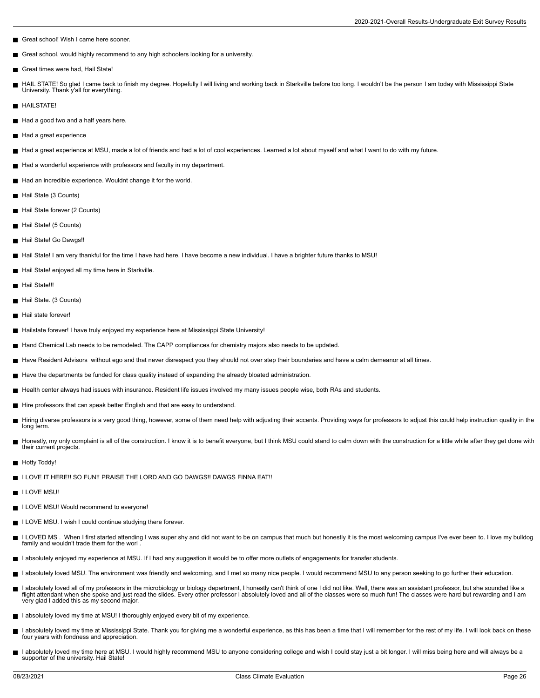- Great school! Wish I came here sooner.
- Great school, would highly recommend to any high schoolers looking for a university.  $\blacksquare$
- Great times were had, Hail State!
- П HAIL STATE! So glad I came back to finish my degree. Hopefully I will living and working back in Starkville before too long. I wouldn't be the person I am today with Mississippi State University. Thank y'all for everything.
- **HAILSTATE!**
- Had a good two and a half years here.
- Had a great experience
- Had a great experience at MSU, made a lot of friends and had a lot of cool experiences. Learned a lot about myself and what I want to do with my future.
- Had a wonderful experience with professors and faculty in my department.
- Had an incredible experience. Wouldnt change it for the world.
- Hail State (3 Counts)
- Hail State forever (2 Counts)
- Hail State! (5 Counts)
- Hail State! Go Dawgs!!
- Hail State! I am very thankful for the time I have had here. I have become a new individual. I have a brighter future thanks to MSU!
- Hail State! enjoyed all my time here in Starkville.
- Hail State!!!
- Hail State. (3 Counts)
- Hail state forever!
- Hailstate forever! I have truly enjoyed my experience here at Mississippi State University!
- Hand Chemical Lab needs to be remodeled. The CAPP compliances for chemistry majors also needs to be updated.  $\blacksquare$
- Have Resident Advisors without ego and that never disrespect you they should not over step their boundaries and have a calm demeanor at all times.
- Have the departments be funded for class quality instead of expanding the already bloated administration.
- Health center always had issues with insurance. Resident life issues involved my many issues people wise, both RAs and students.
- Hire professors that can speak better English and that are easy to understand.
- Hiring diverse professors is a very good thing, however, some of them need help with adjusting their accents. Providing ways for professors to adjust this could help instruction quality in the long term.
- Honestly, my only complaint is all of the construction. I know it is to benefit everyone, but I think MSU could stand to calm down with the construction for a little while after they get done with their current projects.
- Hotty Toddy!
- I LOVE IT HERE!! SO FUN!! PRAISE THE LORD AND GO DAWGS!! DAWGS FINNA EAT!! П
- **I** LOVE MSU!
- **I LOVE MSU! Would recommend to everyone!**
- I LOVE MSU. I wish I could continue studying there forever.
- I LOVED MS. When I first started attending I was super shy and did not want to be on campus that much but honestly it is the most welcoming campus I've ever been to. I love my bulldog family and wouldn't trade them for the worl
- I absolutely enjoyed my experience at MSU. If I had any suggestion it would be to offer more outlets of engagements for transfer students.
- I absolutely loved MSU. The environment was friendly and welcoming, and I met so many nice people. I would recommend MSU to any person seeking to go further their education.
- I absolutely loved all of my professors in the microbiology or biology department, I honestly can't think of one I did not like. Well, there was an assistant professor, but she sounded like a flight attendant when she spoke and just read the slides. Every other professor I absolutely loved and all of the classes were so much fun! The classes were hard but rewarding and I am<br>very glad I added this as my second m
- I absolutely loved my time at MSU! I thoroughly enjoyed every bit of my experience.
- I absolutely loved my time at Mississippi State. Thank you for giving me a wonderful experience, as this has been a time that I will remember for the rest of my life. I will look back on these П four years with fondness and appreciation.
- I absolutely loved my time here at MSU. I would highly recommend MSU to anyone considering college and wish I could stay just a bit longer. I will miss being here and will always be a supporter of the university. Hail State!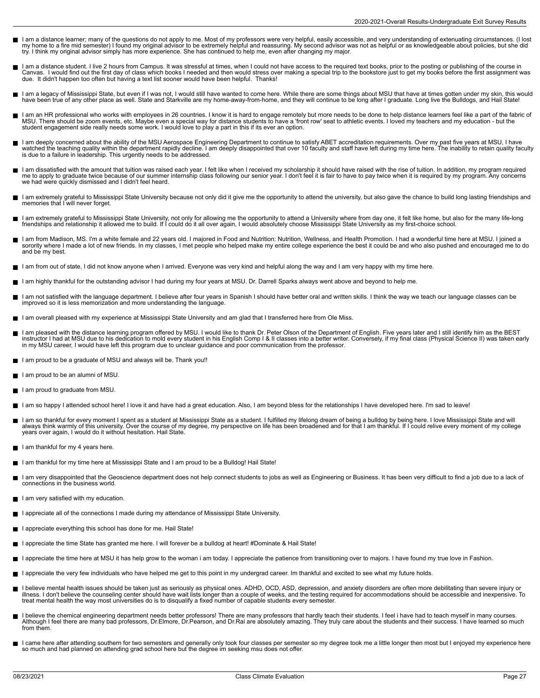- I am a distance learner; many of the questions do not apply to me. Most of my professors were very helpful, easily accessible, and very understanding of extenuating circumstances. (I lost<br>my home to a fire mid semester) I
- I am a distance student. I live 2 hours from Campus. It was stressful at times, when I could not have access to the required text books, prior to the posting or publishing of the course in<br>Canvas. I would find out the firs due. It didn't happen too often but having a text list sooner would have been helpful. Thanks!
- I am a legacy of Mississippi State, but even if I was not, I would still have wanted to come here. While there are some things about MSU that have at times gotten under my skin, this would have been true of any other place as well. State and Starkville are my home-away-from-home, and they will continue to be long after I graduate. Long live the Bulldogs, and Hail State!
- I am an HR professional who works with employees in 26 countries. I know it is hard to engage remotely but more needs to be done to help distance learners feel like a part of the fabric of<br>MSU. There should be zoom events,
- I am deeply concerned about the ability of the MSU Aerospace Engineering Department to continue to satisfy ABET accreditation requirements. Over my past five years at MSU, I have<br>watched the teaching quality within the dep
- I am dissatisfied with the amount that tuition was raised each year. I felt like when I received my scholarship it should have raised with the rise of tuition. In addition, my program required<br>me to apply to graduate twice we had were quickly dismissed and I didn't feel heard.
- I am extremely grateful to Mississippi State University because not only did it give me the opportunity to attend the university, but also gave the chance to build long lasting friendships and memories that I will never forget.
- I am extremely grateful to Mississippi State University, not only for allowing me the opportunity to attend a University where from day one, it felt like home, but also for the many life-long friendships and relationship it allowed me to build. If I could do it all over again, I would absolutely choose Mississippi State University as my first-choice school.
- I am from Madison, MS. I'm a white female and 22 years old. I majored in Food and Nutrition: Nutrition, Wellness, and Health Promotion. I had a wonderful time here at MSU. I joined a sorority where I made a lot of new friends. In my classes, I met people who helped make my entire college experience the best it could be and who also pushed and encouraged me to do and be my best.
- I am from out of state, I did not know anyone when I arrived. Everyone was very kind and helpful along the way and I am very happy with my time here.
- I am highly thankful for the outstanding advisor I had during my four years at MSU. Dr. Darrell Sparks always went above and beyond to help me.
- Е I am not satisfied with the language department. I believe after four years in Spanish I should have better oral and written skills. I think the way we teach our language classes can be<br>improved so it is less memorization
- I am overall pleased with my experience at Mississippi State University and am glad that I transferred here from Ole Miss.
- I am pleased with the distance learning program offered by MSU. I would like to thank Dr. Peter Olson of the Department of English. Five years later and I still identify him as the BEST<br>instructor I had at MSU due to his d
- I am proud to be a graduate of MSU and always will be. Thank you!!
- $\blacksquare$  I am proud to be an alumni of MSU.
- I am proud to graduate from MSU.
- I am so happy I attended school here! I love it and have had a great education. Also, I am beyond bless for the relationships I have developed here. I'm sad to leave!
- I am so thankful for every moment I spent as a student at Mississippi State as a student. I fulfilled my lifelong dream of being a bulldog by being here. I love Mississippi State and will<br>always think warmly of this univer years over again, I would do it without hesitation. Hail State.
- $\blacksquare$  I am thankful for my 4 years here.
- I am thankful for my time here at Mississippi State and I am proud to be a Bulldog! Hail State!
- I am very disappointed that the Geoscience department does not help connect students to jobs as well as Engineering or Business. It has been very difficult to find a job due to a lack of connections in the business world.
- I am very satisfied with my education.
- I appreciate all of the connections I made during my attendance of Mississippi State University.
- I appreciate everything this school has done for me. Hail State!
- I appreciate the time State has granted me here. I will forever be a bulldog at heart! #Dominate & Hail State!
- I appreciate the time here at MSU it has help grow to the woman i am today. I appreciate the patience from transitioning over to majors. I have found my true love in Fashion.
- I appreciate the very few individuals who have helped me get to this point in my undergrad career. Im thankful and excited to see what my future holds.
- I believe mental health issues should be taken just as seriously as physical ones. ADHD, OCD, ASD, depression, and anxiety disorders are often more debilitating than severe injury or illness. I don't believe the counseling center should have wait lists longer than a couple of weeks, and the testing required for accommodations should be accessible and inexpensive. To<br>treat mental health the way most uni
- I believe the chemical engineering department needs better professors! There are many professors that hardly teach their students. I feel i have had to teach myself in many courses.<br>Although I feel there are many bad profe from them.
- I came here after attending southern for two semesters and generally only took four classes per semester so my degree took me a little longer then most but I enjoyed my experience here<br>so much and had planned on attending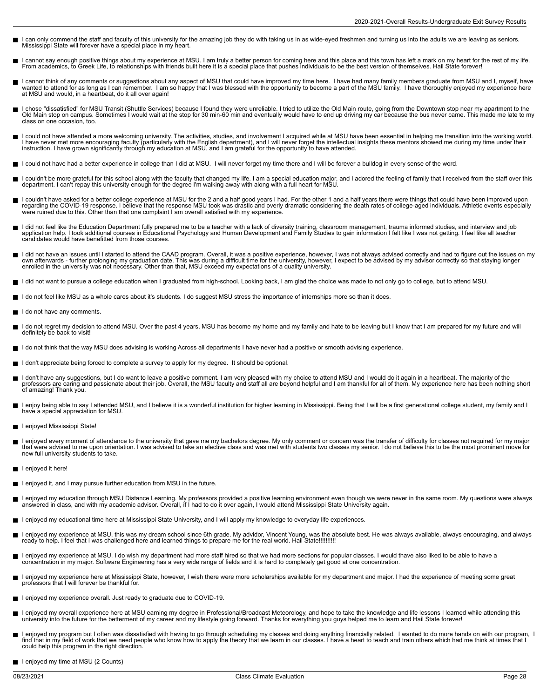- I can only commend the staff and faculty of this university for the amazing job they do with taking us in as wide-eyed freshmen and turning us into the adults we are leaving as seniors. Mississippi State will forever have a special place in my heart.
- I cannot say enough positive things about my experience at MSU. I am truly a better person for coming here and this place and this town has left a mark on my heart for the rest of my life.<br>From academics, to Greek Life, to
- I cannot think of any comments or suggestions about any aspect of MSU that could have improved my time here. I have had many family members graduate from MSU and I, myself, have<br>wanted to attend for as long as I can rember
- I chose "dissatisfied" for MSU Transit (Shuttle Services) because I found they were unreliable. I tried to utilize the Old Main route, going from the Downtown stop near my apartment to the<br>Old Main stop on campus. Sometime class on one occasion, too.
- I could not have attended a more welcoming university. The activities, studies, and involvement I acquired while at MSU have been essential in helping me transition into the working world. I have never met more encouraging faculty (particularly with the English department), and I will never forget the intellectual insights these mentors showed me during my time under their<br>instruction. I have grown significa
- I could not have had a better experience in college than I did at MSU. I will never forget my time there and I will be forever a bulldog in every sense of the word.
- I couldn't be more grateful for this school along with the faculty that changed my life. I am a special education major, and I adored the feeling of family that I received from the staff over this department. I can't repay this university enough for the degree I'm walking away with along with a full heart for MSU.
- I couldn't have asked for a better college experience at MSU for the 2 and a half good years I had. For the other 1 and a half years there were things that could have been improved upon regarding the COVID-19 response. I believe that the response MSU took was drastic and overly dramatic considering the death rates of college-aged individuals. Athletic events especially<br>were ruined due to this. Other than
- I did not feel like the Education Department fully prepared me to be a teacher with a lack of diversity training, classroom management, trauma informed studies, and interview and job<br>application help. I took additional cou candidates would have benefitted from those courses.
- I did not have an issues until I started to attend the CAAD program. Overall, it was a positive experience, however, I was not always advised correctly and had to figure out the issues on my<br>own afterwards further prolon enrolled in the university was not necessary. Other than that, MSU exceed my expectations of a quality university.
- I did not want to pursue a college education when I graduated from high-school. Looking back, I am glad the choice was made to not only go to college, but to attend MSU.
- I do not feel like MSU as a whole cares about it's students. I do suggest MSU stress the importance of internships more so than it does. П
- I do not have any comments.
- I do not regret my decision to attend MSU. Over the past 4 years, MSU has become my home and my family and hate to be leaving but I know that I am prepared for my future and will П definitely be back to visit!
- I do not think that the way MSU does advising is working Across all departments I have never had a positive or smooth advising experience.
- I don't appreciate being forced to complete a survey to apply for my degree. It should be optional.
- I don't have any suggestions, but I do want to leave a positive comment. I am very pleased with my choice to attend MSU and I would do it again in a heartbeat. The majority of the<br>professors are caring and passionate about of amazing! Thank you.
- I enjoy being able to say I attended MSU, and I believe it is a wonderful institution for higher learning in Mississippi. Being that I will be a first generational college student, my family and I have a special appreciation for MSU.
- I enjoyed Mississippi State!
- I enjoyed every moment of attendance to the university that gave me my bachelors degree. My only comment or concern was the transfer of difficulty for classes not required for my major<br>that were advised to me upon orientat new full university students to take.
- I enjoyed it here!
- I enjoyed it, and I may pursue further education from MSU in the future.
- I enjoyed my education through MSU Distance Learning. My professors provided a positive learning environment even though we were never in the same room. My questions were always<br>answered in class, and with my academic advi
- I enjoyed my educational time here at Mississippi State University, and I will apply my knowledge to everyday life experiences.
- I enjoyed my experience at MSU, this was my dream school since 6th grade. My advidor, Vincent Young, was the absolute best. He was always available, always encouraging, and always<br>ready to help. I feel that I was challenge
- I enjoyed my experience at MSU. I do wish my department had more staff hired so that we had more sections for popular classes. I would thave also liked to be able to have a concentration in my major. Software Engineering has a very wide range of fields and it is hard to completely get good at one concentration.
- П I enjoyed my experience here at Mississippi State, however, I wish there were more scholarships available for my department and major. I had the experience of meeting some great<br>professors that I will forever be thankful f
- I enjoyed my experience overall. Just ready to graduate due to COVID-19.
- $\blacksquare$ I enjoyed my overall experience here at MSU earning my degree in Professional/Broadcast Meteorology, and hope to take the knowledge and life lessons I learned while attending this<br>university into the future for the betterm
- I enjoyed my program but I often was dissatisfied with having to go through scheduling my classes and doing anything financially related. I wanted to do more hands on with our program, I<br>find that in my field of work that could help this program in the right direction.
- I enjoyed my time at MSU (2 Counts)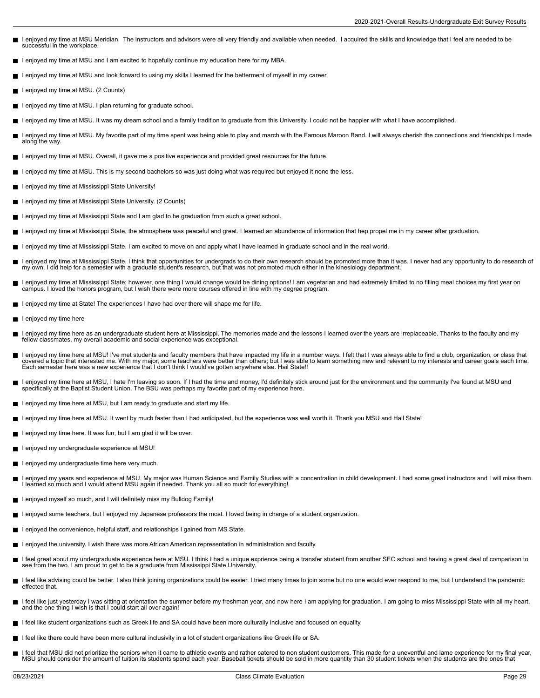- I enjoyed my time at MSU Meridian. The instructors and advisors were all very friendly and available when needed. I acquired the skills and knowledge that I feel are needed to be successful in the workplace.
- I enjoyed my time at MSU and I am excited to hopefully continue my education here for my MBA.
- I enjoyed my time at MSU and look forward to using my skills I learned for the betterment of myself in my career.
- I enjoyed my time at MSU. (2 Counts)
- $\blacksquare$  I enjoyed my time at MSU. I plan returning for graduate school.
- I enjoyed my time at MSU. It was my dream school and a family tradition to graduate from this University. I could not be happier with what I have accomplished.
- I enjoyed my time at MSU. My favorite part of my time spent was being able to play and march with the Famous Maroon Band. I will always cherish the connections and friendships I made along the way.
- I enjoyed my time at MSU. Overall, it gave me a positive experience and provided great resources for the future.
- I enjoyed my time at MSU. This is my second bachelors so was just doing what was required but enjoyed it none the less.
- I enjoyed my time at Mississippi State University! П
- Lenioved my time at Mississippi State University. (2 Counts)
- I enjoyed my time at Mississippi State and I am glad to be graduation from such a great school.
- I enjoyed my time at Mississippi State, the atmosphere was peaceful and great. I learned an abundance of information that hep propel me in my career after graduation.
- I enjoyed my time at Mississippi State. I am excited to move on and apply what I have learned in graduate school and in the real world.
- $\blacksquare$ I enjoyed my time at Mississippi State. I think that opportunities for undergrads to do their own research should be promoted more than it was. I never had any opportunity to do research of<br>my own. I did help for a semeste
- I enjoyed my time at Mississippi State; however, one thing I would change would be dining options! I am vegetarian and had extremely limited to no filling meal choices my first year on<br>campus. I loved the honors program, b
- I enjoyed my time at State! The experiences I have had over there will shape me for life.
- I enjoyed my time here  $\blacksquare$
- $\blacksquare$ I enjoyed my time here as an undergraduate student here at Mississippi. The memories made and the lessons I learned over the years are irreplaceable. Thanks to the faculty and my<br>fellow classmates, my overall academic and
- П I enjoyed my time here at MSU! I've met students and faculty members that have impacted my life in a number ways. I felt that I was always able to find a club, organization, or class that<br>covered a topic that interested me Each semester here was a new experience that I don't think I would've gotten anywhere else. Hail State!!
- I enjoyed my time here at MSU, I hate I'm leaving so soon. If I had the time and money, I'd definitely stick around just for the environment and the community I've found at MSU and  $\blacksquare$ specifically at the Baptist Student Union. The BSU was perhaps my favorite part of my experience here.
- I enjoyed my time here at MSU, but I am ready to graduate and start my life.
- I enjoyed my time here at MSU. It went by much faster than I had anticipated, but the experience was well worth it. Thank you MSU and Hail State!
- I enjoyed my time here. It was fun, but I am glad it will be over.
- Lenioved my undergraduate experience at MSU!
- I enjoyed my undergraduate time here very much.
- I enjoyed my years and experience at MSU. My major was Human Science and Family Studies with a concentration in child development. I had some great instructors and I will miss them.<br>I learned so much and I would attend MSU
- I enjoyed myself so much, and I will definitely miss my Bulldog Family!
- I enjoyed some teachers, but I enjoyed my Japanese professors the most. I loved being in charge of a student organization.  $\blacksquare$
- I enjoyed the convenience, helpful staff, and relationships I gained from MS State.
- I enjoyed the university. I wish there was more African American representation in administration and faculty.
- I feel great about my undergraduate experience here at MSU. I think I had a unique exprience being a transfer student from another SEC school and having a great deal of comparison to see from the two. I am proud to get to be a graduate from Mississippi State University.
- I feel like advising could be better. I also think joining organizations could be easier. I tried many times to join some but no one would ever respond to me, but I understand the pandemic effected that.
- I feel like just yesterday I was sitting at orientation the summer before my freshman year, and now here I am applying for graduation. I am going to miss Mississippi State with all my heart, and the one thing I wish is that I could start all over again!
- I feel like student organizations such as Greek life and SA could have been more culturally inclusive and focused on equality.
- I feel like there could have been more cultural inclusivity in a lot of student organizations like Greek life or SA.
- I feel that MSU did not prioritize the seniors when it came to athletic events and rather catered to non student customers. This made for a uneventful and lame experience for my final year,<br>MSU should consider the amount o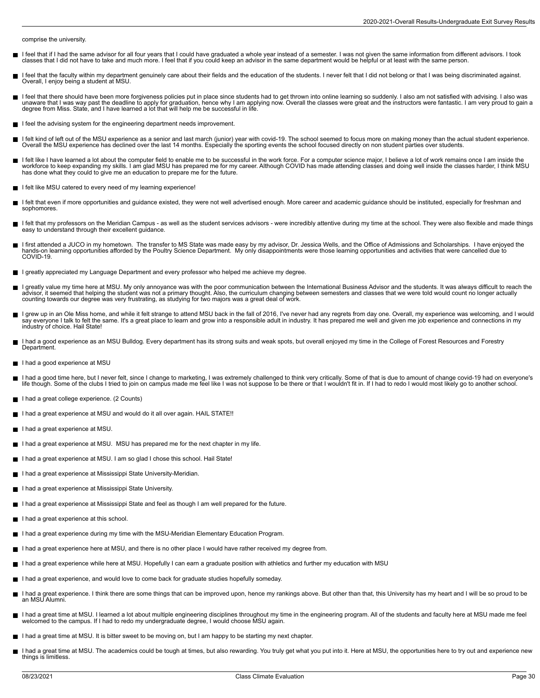comprise the university.

- I feel that if I had the same advisor for all four years that I could have graduated a whole year instead of a semester. I was not given the same information from different advisors. I took П classes that I did not have to take and much more. I feel that if you could keep an advisor in the same department would be helpful or at least with the same person.
- I feel that the faculty within my department genuinely care about their fields and the education of the students. I never felt that I did not belong or that I was being discriminated against. П Overall, I enjoy being a student at MSU.
- I feel that there should have been more forgiveness policies put in place since students had to get thrown into online learning so suddenly. I also am not satisfied with advising. I also was<br>unaware that I was way past the
- I feel the advising system for the engineering department needs improvement.
- I felt kind of left out of the MSU experience as a senior and last march (junior) year with covid-19. The school seemed to focus more on making money than the actual student experience. Overall the MSU experience has declined over the last 14 months. Especially the sporting events the school focused directly on non student parties over students.
- I felt like I have learned a lot about the computer field to enable me to be successful in the work force. For a computer science major, I believe a lot of work remains once I am inside the workforce to keep expanding my skills. I am glad MSU has prepared me for my career. Although COVID has made attending classes and doing well inside the classes harder, I think MSU<br>has done what they could to give me an edu
- I felt like MSU catered to every need of my learning experience!
- I felt that even if more opportunities and guidance existed, they were not well advertised enough. More career and academic guidance should be instituted, especially for freshman and Н sophomores.
- I felt that my professors on the Meridian Campus as well as the student services advisors were incredibly attentive during my time at the school. They were also flexible and made things easy to understand through their excellent guidance.
- I first attended a JUCO in my hometown. The transfer to MS State was made easy by my advisor, Dr. Jessica Wells, and the Office of Admissions and Scholarships. I have enjoyed the  $\blacksquare$ hands-on learning opportunities afforded by the Poultry Science Department. My only disappointments were those learning opportunities and activities that were cancelled due to COVID-19.
- I greatly appreciated my Language Department and every professor who helped me achieve my degree.
- I greatly value my time here at MSU. My only annoyance was with the poor communication between the International Business Advisor and the students. It was always difficult to reach the г advisor, it seemed that helping the student was not a primary thought. Also, the curriculum changing between semesters and classes that we were told would count no longer actually counting towards our degree was very frustrating, as studying for two majors was a great deal of work.
- I grew up in an Ole Miss home, and while it felt strange to attend MSU back in the fall of 2016, I've never had any regrets from day one. Overall, my experience was welcoming, and I would say everyone I talk to felt the same. It's a great place to learn and grow into a responsible adult in industry. It has prepared me well and given me job experience and connections in my industry of choice. Hail State!
- I had a good experience as an MSU Bulldog. Every department has its strong suits and weak spots, but overall enjoyed my time in the College of Forest Resources and Forestry **Department**
- I had a good experience at MSU
- I had a good time here, but I never felt, since I change to marketing, I was extremely challenged to think very critically. Some of that is due to amount of change covid-19 had on everyone's<br>life though. Some of the clubs
- I had a great college experience. (2 Counts)
- I had a great experience at MSU and would do it all over again. HAIL STATE!!
- I had a great experience at MSU.
- I had a great experience at MSU. MSU has prepared me for the next chapter in my life.
- I had a great experience at MSU. I am so glad I chose this school. Hail State!
- I had a great experience at Mississippi State University-Meridian.
- I had a great experience at Mississippi State University.
- I had a great experience at Mississippi State and feel as though I am well prepared for the future.
- I had a great experience at this school.
- I had a great experience during my time with the MSU-Meridian Elementary Education Program.
- I had a great experience here at MSU, and there is no other place I would have rather received my degree from.
- I had a great experience while here at MSU. Hopefully I can earn a graduate position with athletics and further my education with MSU
- I had a great experience, and would love to come back for graduate studies hopefully someday.
- I had a great experience. I think there are some things that can be improved upon, hence my rankings above. But other than that, this University has my heart and I will be so proud to be  $\blacksquare$ an MSU Alumni.
- I had a great time at MSU. I learned a lot about multiple engineering disciplines throughout my time in the engineering program. All of the students and faculty here at MSU made me feel П welcomed to the campus. If I had to redo my undergraduate degree, I would choose MSU again.
- I had a great time at MSU. It is bitter sweet to be moving on, but I am happy to be starting my next chapter.  $\blacksquare$
- I had a great time at MSU. The academics could be tough at times, but also rewarding. You truly get what you put into it. Here at MSU, the opportunities here to try out and experience new things is limitless.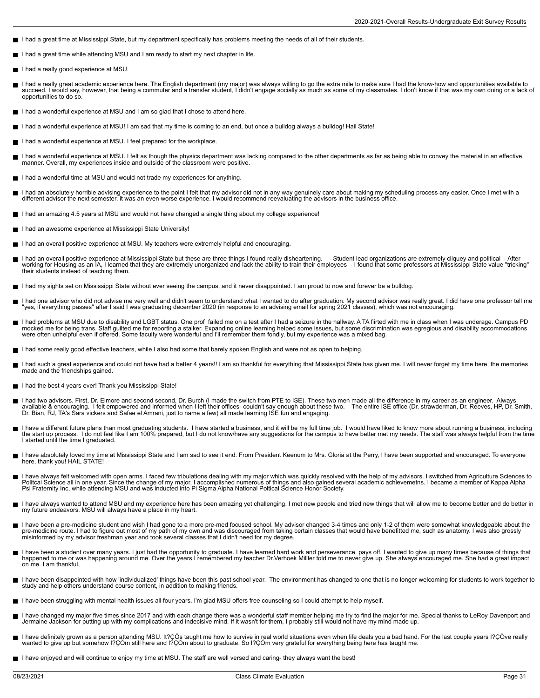- I had a great time at Mississippi State, but my department specifically has problems meeting the needs of all of their students.
- I had a great time while attending MSU and I am ready to start my next chapter in life.
- I had a really good experience at MSU.
- $\blacksquare$ I had a really great academic experience here. The English department (my major) was always willing to go the extra mile to make sure I had the know-how and opportunities available to<br>succeed. I would say, however, that be opportunities to do so.
- I had a wonderful experience at MSU and I am so glad that I chose to attend here.
- I had a wonderful experience at MSU! I am sad that my time is coming to an end, but once a bulldog always a bulldog! Hail State!
- I had a wonderful experience at MSU. I feel prepared for the workplace.
- $\blacksquare$ I had a wonderful experience at MSU. I felt as though the physics department was lacking compared to the other departments as far as being able to convey the material in an effective<br>manner. Overall, my experiences inside
- I had a wonderful time at MSU and would not trade my experiences for anything.
- I had an absolutely horrible advising experience to the point I felt that my advisor did not in any way genuinely care about making my scheduling process any easier. Once I met with a<br>different advisor the next semester, i
- I had an amazing 4.5 years at MSU and would not have changed a single thing about my college experience!
- I had an awesome experience at Mississippi State University!
- I had an overall positive experience at MSU. My teachers were extremely helpful and encouraging.
- $\blacksquare$ I had an overall positive experience at Mississippi State but these are three things I found really disheartening. - Student lead organizations are extremely cliquey and political - After<br>working for Housing as an IA, their students instead of teaching them.
- I had my sights set on Mississippi State without ever seeing the campus, and it never disappointed. I am proud to now and forever be a bulldog.
- I had one advisor who did not advise me very well and didn't seem to understand what I wanted to do after graduation. My second advisor was really great. I did have one professor tell me<br>"yes, if everything passes" after I
- I had problems at MSU due to disability and LGBT status. One prof failed me on a test after I had a seizure in the hallway. A TA flirted with me in class when I was underage. Campus PD<br>mocked me for being trans. Staff guil were often unhelpful even if offered. Some faculty were wonderful and I'll remember them fondly, but my experience was a mixed bag.
- I had some really good effective teachers, while I also had some that barely spoken English and were not as open to helping.
- I had such a great experience and could not have had a better 4 years!! I am so thankful for everything that Mississippi State has given me. I will never forget my time here, the memories made and the friendships gained.
- I had the best 4 years ever! Thank you Mississippi State!
- I had two advisors. First, Dr. Elmore and second second, Dr. Burch (I made the switch from PTE to ISE). These two men made all the difference in my career as an engineer. Always Н available & encouraging. I felt empowered and informed when I left their offices- couldn't say enough about these two. The entire ISE office (Dr. strawderman, Dr. Reeves, HP, Dr. Smith, Dr. Bian, RJ, TA's Sara vickers and Safae el Amrani, just to name a few) all made learning ISE fun and engaging.
- I have a different future plans than most graduating students. I have started a business, and it will be my full time job. I would have liked to know more about running a business, including<br>the start up process. I do not
- I have absolutely loved my time at Mississippi State and I am sad to see it end. From President Keenum to Mrs. Gloria at the Perry, I have been supported and encouraged. To everyone<br>here, thank you! HAIL STATE!
- I have always felt welcomed with open arms. I faced few tribulations dealing with my major which was quickly resolved with the help of my advisors. I switched from Agriculture Sciences to<br>Politcal Science all in one year.
- I have always wanted to attend MSU and my experience here has been amazing yet challenging. I met new people and tried new things that will allow me to become better and do better in my future endeavors. MSU will always have a place in my heart.
- I have been a pre-medicine student and wish I had gone to a more pre-med focused school. My advisor changed 3-4 times and only 1-2 of them were somewhat knowledgeable about the<br>pre-medicine route. I had to figure out most
- I have been a student over many years. I just had the opportunity to graduate. I have learned hard work and perseverance pays off. I wanted to give up many times because of things that<br>happened to me or was happening arou on me. I am thankful.
- I have been disappointed with how 'individualized' things have been this past school year. The environment has changed to one that is no longer welcoming for students to work together to study and help others understand course content, in addition to making friends.
- I have been struggling with mental health issues all four years. I'm glad MSU offers free counseling so I could attempt to help myself.
- I have changed my major five times since 2017 and with each change there was a wonderful staff member helping me try to find the major for me. Special thanks to LeRoy Davenport and<br>Jermaine Jackson for putting up with my c
- l have definitely grown as a person attending MSU. It?ÇÖs taught me how to survive in real world situations even when life deals you a bad hand. For the last couple years l?ÇÖve really<br>wanted to give up but somehow l?ÇÖm s
- I have enjoyed and will continue to enjoy my time at MSU. The staff are well versed and caring- they always want the best!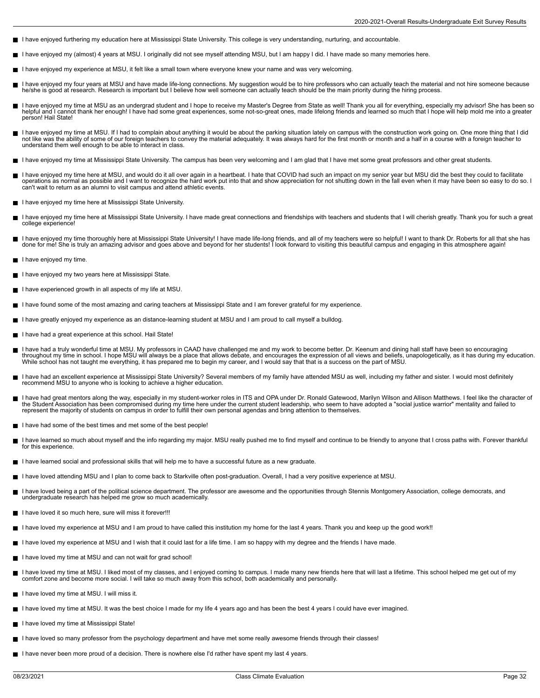- I have enjoyed furthering my education here at Mississippi State University. This college is very understanding, nurturing, and accountable.
- I have enjoyed my (almost) 4 years at MSU. I originally did not see myself attending MSU, but I am happy I did. I have made so many memories here.
- I have enjoyed my experience at MSU, it felt like a small town where everyone knew your name and was very welcoming.
- П I have enjoyed my four years at MSU and have made life-long connections. My suggestion would be to hire professors who can actually teach the material and not hire someone because<br>he/she is good at research. Research is im
- I have enjoyed my time at MSU as an undergrad student and I hope to receive my Master's Degree from State as well! Thank you all for everything, especially my advisor! She has been so<br>helpful and I cannot thank her enough! person! Hail State!
- I have enjoyed my time at MSU. If I had to complain about anything it would be about the parking situation lately on campus with the construction work going on. One more thing that I did not like was the ability of some of our foreign teachers to convey the material adequately. It was always hard for the first month or month and a half in a course with a foreign teacher to understand them well enough to be able to interact in class.
- I have enjoyed my time at Mississippi State University. The campus has been very welcoming and I am glad that I have met some great professors and other great students.
- I have enjoyed my time here at MSU, and would do it all over again in a heartbeat. I hate that COVID had such an impact on my senior year but MSU did the best they could to facilitate<br>operations as normal as possible and I п can't wait to return as an alumni to visit campus and attend athletic events.
- I have enjoyed my time here at Mississippi State University.
- I have enjoyed my time here at Mississippi State University. I have made great connections and friendships with teachers and students that I will cherish greatly. Thank you for such a great college experience!
- I have enjoyed my time thoroughly here at Mississippi State University! I have made life-long friends, and all of my teachers were so helpful! I want to thank Dr. Roberts for all that she has<br>done for me! She is truly an a
- I have enjoyed my time.
- I have enjoyed my two years here at Mississippi State.
- I have experienced growth in all aspects of my life at MSU.
- I have found some of the most amazing and caring teachers at Mississippi State and I am forever grateful for my experience.
- I have greatly enjoyed my experience as an distance-learning student at MSU and I am proud to call myself a bulldog.
- I have had a great experience at this school. Hail State!
- I have had a truly wonderful time at MSU. My professors in CAAD have challenged me and my work to become better. Dr. Keenum and dining hall staff have been so encouraging<br>throughout my time in school. I hope MSU will alway While school has not taught me everything, it has prepared me to begin my career, and I would say that that is a success on the part of MSU.
- I have had an excellent experience at Mississippi State University? Several members of my family have attended MSU as well, including my father and sister. I would most definitely recommend MSU to anyone who is looking to achieve a higher education.
- I have had great mentors along the way, especially in my student-worker roles in ITS and OPA under Dr. Ronald Gatewood, Marilyn Wilson and Allison Matthews. I feel like the character of the Student Association has been compromised during my time here under the current student leadership, who seem to have adopted a "social justice warrior" mentality and failed to<br>represent the majority of students on campu
- I have had some of the best times and met some of the best people!
- I have learned so much about myself and the info regarding my major. MSU really pushed me to find myself and continue to be friendly to anyone that I cross paths with. Forever thankful for this experience.
- I have learned social and professional skills that will help me to have a successful future as a new graduate.
- I have loved attending MSU and I plan to come back to Starkville often post-graduation. Overall, I had a very positive experience at MSU.
- I have loved being a part of the political science department. The professor are awesome and the opportunities through Stennis Montgomery Association, college democrats, and  $\blacksquare$ undergraduate research has helped me grow so much academically.
- I have loved it so much here, sure will miss it forever!!!
- I have loved my experience at MSU and I am proud to have called this institution my home for the last 4 years. Thank you and keep up the good work!!
- I have loved my experience at MSU and I wish that it could last for a life time. I am so happy with my degree and the friends I have made.
- I have loved my time at MSU and can not wait for grad school!
- I have loved my time at MSU. I liked most of my classes, and I enjoyed coming to campus. I made many new friends here that will last a lifetime. This school helped me get out of my comfort zone and become more social. I will take so much away from this school, both academically and personally.
- I have loved my time at MSU. I will miss it.  $\blacksquare$
- I have loved my time at MSU. It was the best choice I made for my life 4 years ago and has been the best 4 years I could have ever imagined.
- I have loved my time at Mississippi State!
- I have loved so many professor from the psychology department and have met some really awesome friends through their classes!
- I have never been more proud of a decision. There is nowhere else I'd rather have spent my last 4 years.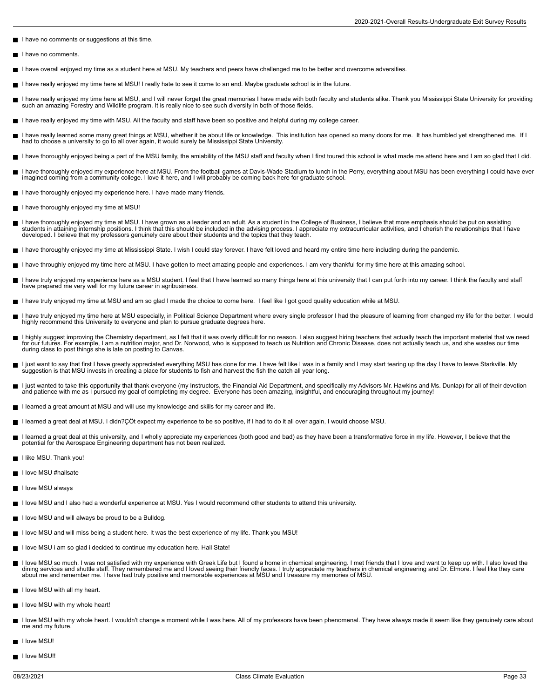- I have no comments or suggestions at this time.
- I have no comments.  $\blacksquare$
- I have overall enjoyed my time as a student here at MSU. My teachers and peers have challenged me to be better and overcome adversities.
- I have really enjoyed my time here at MSU! I really hate to see it come to an end. Maybe graduate school is in the future.
- I have really enjoyed my time here at MSU, and I will never forget the great memories I have made with both faculty and students alike. Thank you Mississippi State University for providing such an amazing Forestry and Wildlife program. It is really nice to see such diversity in both of those fields.
- I have really enjoyed my time with MSU. All the faculty and staff have been so positive and helpful during my college career.
- I have really learned some many great things at MSU, whether it be about life or knowledge. This institution has opened so many doors for me. It has humbled yet strengthened me. If I<br>had to choose a university to go to all
- I have thoroughly enjoyed being a part of the MSU family, the amiability of the MSU staff and faculty when I first toured this school is what made me attend here and I am so glad that I did.
- I have thoroughly enjoyed my experience here at MSU. From the football games at Davis-Wade Stadium to lunch in the Perry, everything about MSU has been everything I could have ever<br>imagined coming from a community college.
- I have thoroughly enjoyed my experience here. I have made many friends
- I have thoroughly enjoyed my time at MSU! Н
- Е I have thoroughly enjoyed my time at MSU. I have grown as a leader and an adult. As a student in the College of Business, I believe that more emphasis should be put on assisting<br>students in attaining internship positions.
- I have thoroughly enjoyed my time at Mississippi State. I wish I could stay forever. I have felt loved and heard my entire time here including during the pandemic.
- I have throughly enjoyed my time here at MSU. I have gotten to meet amazing people and experiences. I am very thankful for my time here at this amazing school.
- П I have truly enjoyed my experience here as a MSU student. I feel that I have learned so many things here at this university that I can put forth into my career. I think the faculty and staff<br>have prepared me very well for
- I have truly enjoyed my time at MSU and am so glad I made the choice to come here. I feel like I got good quality education while at MSU.
- I have truly enjoyed my time here at MSU especially, in Political Science Department where every single professor I had the pleasure of learning from changed my life for the better. I would  $\blacksquare$ highly recommend this University to everyone and plan to pursue graduate degrees here.
- I highly suggest improving the Chemistry department, as I felt that it was overly difficult for no reason. I also suggest hiring teachers that actually teach the important material that we need  $\blacksquare$ for our futures. For example, I am a nutrition major, and Dr. Norwood, who is supposed to teach us Nutrition and Chronic Disease, does not actually teach us, and she wastes our time<br>during class to post things she is late
- l just want to say that first I have greatly appreciated everything MSU has done for me. I have felt like I was in a family and I may start tearing up the day I have to leave Starkville. My<br>suggestion is that MSU invests i
- I just wanted to take this opportunity that thank everyone (my Instructors, the Financial Aid Department, and specifically my Advisors Mr. Hawkins and Ms. Dunlap) for all of their devotion and patience with me as I pursued my goal of completing my degree. Everyone has been amazing, insightful, and encouraging throughout my journey!
- I learned a great amount at MSU and will use my knowledge and skills for my career and life.
- I learned a great deal at MSU. I didn?ÇÖt expect my experience to be so positive, if I had to do it all over again, I would choose MSU. п
- I learned a great deal at this university, and I wholly appreciate my experiences (both good and bad) as they have been a transformative force in my life. However, I believe that the potential for the Aerospace Engineering department has not been realized.
- I like MSU. Thank you!
- I love MSU #hailsate
- I love MSU always
- I love MSU and I also had a wonderful experience at MSU. Yes I would recommend other students to attend this university.
- I love MSU and will always be proud to be a Bulldog.
- I love MSU and will miss being a student here. It was the best experience of my life. Thank you MSU!
- I love MSU i am so glad i decided to continue my education here. Hail State!
- I love MSU so much. I was not satisfied with my experience with Greek Life but I found a home in chemical engineering. I met friends that I love and want to keep up with. I also loved the dining services and shuttle staff. They remembered me and I loved seeing their friendly faces. I truly appreciate my teachers in chemical engineering and Dr. Elmore. I feel like they care<br>about me and remember me. I have h
- $\blacksquare$  I love MSU with all my heart.
- I love MSU with my whole heart!
- I love MSU with my whole heart. I wouldn't change a moment while I was here. All of my professors have been phenomenal. They have always made it seem like they genuinely care about me and my future.
- I love MSU!
- I love MSU!!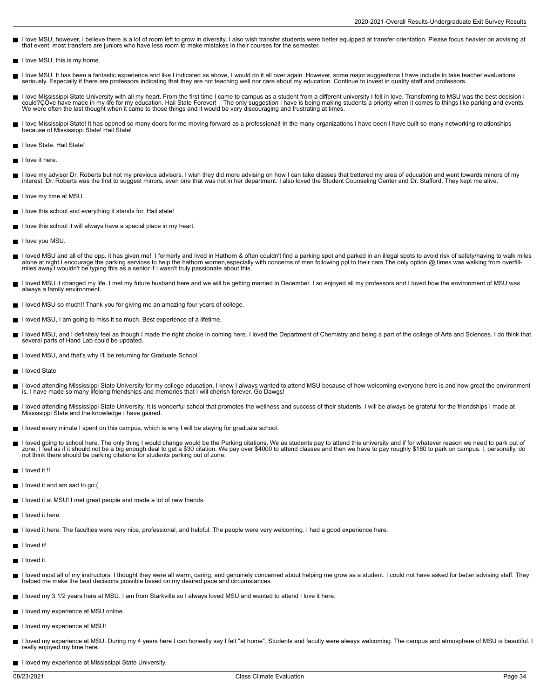- I love MSU, however, I believe there is a lot of room left to grow in diversity. I also wish transfer students were better equipped at transfer orientation. Please focus heavier on advising at that event, most transfers are juniors who have less room to make mistakes in their courses for the semester.
- I love MSU, this is my home.
- I love MSU. It has been a fantastic experience and like I indicated as above, I would do it all over again. However, some major suggestions I have include to take teacher evaluations  $\blacksquare$ seriously. Especially if there are professors indicating that they are not teaching well nor care about my education. Continue to invest in quality staff and professors.
- I love Mississippi State University with all my heart. From the first time I came to campus as a student from a different university I fell in love. Transferring to MSU was the best decision I could?ÇÖve have made in my life for my education. Hail State Forever! The only suggestion I have is being making students a priority when it comes to things like parking and events.<br>We were often the last thought when it c
- П I love Mississippi State! It has opened so many doors for me moving forward as a professional! In the many organizations I have been I have built so many networking relationships<br>because of Mississippi State! Hail State!
- I love State. Hail State!
- I love it here.
- I love my advisor Dr. Roberts but not my previous advisors. I wish they did more advising on how I can take classes that bettered my area of education and went towards minors of my П interest. Dr. Roberts was the first to suggest minors, even one that was not in her department. I also loved the Student Counseling Center and Dr. Stafford. They kept me alive.
- $\blacksquare$  I love my time at MSU.
- I love this school and everything it stands for. Hail state!
- I love this school it will always have a special place in my heart.
- I love you MSU.
- I loved MSU and all of the opp. it has given me! I formerly and lived in Hathorn & often couldn't find a parking spot and parked in an illegal spots to avoid risk of safety/having to walk miles<br>alone at night.I encourage t miles away.I wouldn't be typing this as a senior if I wasn't truly passionate about this.
- I loved MSU it changed my life. I met my future husband here and we will be getting married in December. I so enjoyed all my professors and I loved how the environment of MSU was always a family environment.
- I loved MSU so much!! Thank you for giving me an amazing four years of college.
- I loved MSU, I am going to miss it so much. Best experience of a lifetime.
- I loved MSU, and I definitely feel as though I made the right choice in coming here. I loved the Department of Chemistry and being a part of the college of Arts and Sciences. I do think that Ē several parts of Hand Lab could be updated.
- I loved MSU, and that's why I'll be returning for Graduate School.
- I loved State
- I loved attending Mississippi State University for my college education. I knew I always wanted to attend MSU because of how welcoming everyone here is and how great the environment<br>is. I have made so many lifelong friends
- loved attending Mississippi State University. It is wonderful school that promotes the wellness and success of their students. I will be always be grateful for the friendships I made at Mississippi State and the knowledge I have gained.
- I loved every minute I spent on this campus, which is why I will be staying for graduate school.
- I loved going to school here. The only thing I would change would be the Parking citations. We as students pay to attend this university and if for whatever reason we need to park out of zone, I feel as if it should not be a big enough deal to get a \$30 citation. We pay over \$4000 to attend classes and then we have to pay roughly \$180 to park on campus. I, personally, do not think there should be parking citations for students parking out of zone.
- I loved it !!
- I loved it and am sad to go:(
- I loved it at MSU! I met great people and made a lot of new friends.
- $\blacksquare$  I loved it here.
- I loved it here. The faculties were very nice, professional, and helpful. The people were very welcoming. I had a good experience here.
- $\blacksquare$  I loved it!
- I loved it.
- I loved most all of my instructors. I thought they were all warm, caring, and genuinely concerned about helping me grow as a student. I could not have asked for better advising staff. They  $\blacksquare$ helped me make the best decisions possible based on my desired pace and circumstances.
- I loved my 3 1/2 years here at MSU. I am from Starkville so I always loved MSU and wanted to attend I love it here.
- I loved my experience at MSU online.
- I loved my experience at MSU!
- I loved my experience at MSU. During my 4 years here I can honestly say I felt "at home". Students and faculty were always welcoming. The campus and atmosphere of MSU is beautiful. I  $\blacksquare$ really enjoyed my time here.
- I loved my experience at Mississippi State University.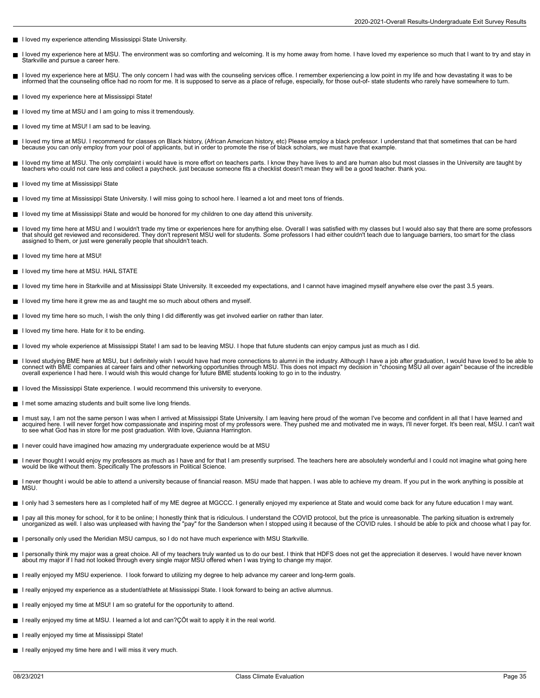- I loved my experience attending Mississippi State University.
- I loved my experience here at MSU. The environment was so comforting and welcoming. It is my home away from home. I have loved my experience so much that I want to try and stay in П Starkville and pursue a career here.
- I loved my experience here at MSU. The only concern I had was with the counseling services office. I remember experiencing a low point in my life and how devastating it was to be informed that the counseling office had no room for me. It is supposed to serve as a place of refuge, especially, for those out-of- state students who rarely have somewhere to turn.
- I loved my experience here at Mississippi State!
- I loved my time at MSU and I am going to miss it tremendously.
- I loved my time at MSU! I am sad to be leaving.
- I loved my time at MSU. I recommend for classes on Black history, (African American history, etc) Please employ a black professor. I understand that that sometimes that can be hard because you can only employ from your pool of applicants, but in order to promote the rise of black scholars, we must have that example.
- I loved my time at MSU. The only complaint i would have is more effort on teachers parts. I know they have lives to and are human also but most classes in the University are taught by teachers who could not care less and collect a paycheck. just because someone fits a checklist doesn't mean they will be a good teacher. thank you.
- I loved my time at Mississippi State П
- I loved my time at Mississippi State University. I will miss going to school here. I learned a lot and meet tons of friends.
- I loved my time at Mississippi State and would be honored for my children to one day attend this university.
- I loved my time here at MSU and I wouldn't trade my time or experiences here for anything else. Overall I was satisfied with my classes but I would also say that there are some professors that should get reviewed and reconsidered. They don't represent MSU well for students. Some professors I had either couldn't teach due to language barriers, too smart for the class assigned to them, or just were generally people that shouldn't teach.
- I loved my time here at MSU!
- I loved my time here at MSU. HAIL STATE
- I loved my time here in Starkville and at Mississippi State University. It exceeded my expectations, and I cannot have imagined myself anywhere else over the past 3.5 years.
- I loved my time here it grew me as and taught me so much about others and myself.
- I loved my time here so much, I wish the only thing I did differently was get involved earlier on rather than later.
- $\blacksquare$  I loved my time here. Hate for it to be ending.
- I loved my whole experience at Mississippi State! I am sad to be leaving MSU. I hope that future students can enjoy campus just as much as I did.
- I loved studying BME here at MSU, but I definitely wish I would have had more connections to alumni in the industry. Although I have a job after graduation, I would have loved to be able to  $\blacksquare$ connect with BME companies at career fairs and other networking opportunities through MSU. This does not impact my decision in "choosing MSU all over again" because of the incredible<br>overall experience I had here. I would
- I loved the Mississippi State experience. I would recommend this university to everyone.
- I met some amazing students and built some live long friends. ш
- I must say, I am not the same person I was when I arrived at Mississippi State University. I am leaving here proud of the woman I've become and confident in all that I have learned and acquired here. I will never forget how compassionate and inspiring most of my professors were. They pushed me and motivated me in ways, I'll never forget. It's been real, MSU. I can't wait to see what God has in store for me post graduation. With love, Quianna Harrington.
- I never could have imagined how amazing my undergraduate experience would be at MSU
- I never thought I would enjoy my professors as much as I have and for that I am presently surprised. The teachers here are absolutely wonderful and I could not imagine what going here<br>would be like without them. Specifical
- I never thought i would be able to attend a university because of financial reason. MSU made that happen. I was able to achieve my dream. If you put in the work anything is possible at П MSU.
- I only had 3 semesters here as I completed half of my ME degree at MGCCC. I generally enjoyed my experience at State and would come back for any future education I may want.
- I pay all this money for school, for it to be online; I honestly think that is ridiculous. I understand the COVID protocol, but the price is unreasonable. The parking situation is extremely<br>unorganized as well. I also was
- I personally only used the Meridian MSU campus, so I do not have much experience with MSU Starkville.
- I personally think my major was a great choice. All of my teachers truly wanted us to do our best. I think that HDFS does not get the appreciation it deserves. I would have never known about my major if I had not looked through every single major MSU offered when I was trying to change my major.
- I really enjoyed my MSU experience. I look forward to utilizing my degree to help advance my career and long-term goals.
- I really enjoyed my experience as a student/athlete at Mississippi State. I look forward to being an active alumnus.
- I really enjoyed my time at MSU! I am so grateful for the opportunity to attend.
- I really enjoyed my time at MSU. I learned a lot and can?ÇÖt wait to apply it in the real world.
- I really enjoyed my time at Mississippi State!
- I really enjoyed my time here and I will miss it very much.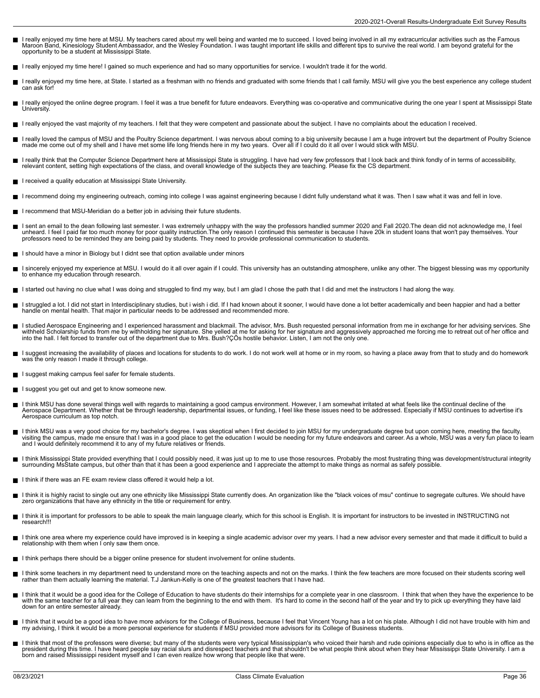- I really enjoyed my time here at MSU. My teachers cared about my well being and wanted me to succeed. I loved being involved in all my extracurricular activities such as the Famous<br>Maroon Band, Kinesiology Student Ambassad
- I really enjoyed my time here! I gained so much experience and had so many opportunities for service. I wouldn't trade it for the world.
- I really enjoyed my time here, at State. I started as a freshman with no friends and graduated with some friends that I call family. MSU will give you the best experience any college student  $\blacksquare$ can ask for!
- I really enjoyed the online degree program. I feel it was a true benefit for future endeavors. Everything was co-operative and communicative during the one year I spent at Mississippi State П University.
- I really enjoyed the vast majority of my teachers. I felt that they were competent and passionate about the subject. I have no complaints about the education I received.
- I really loved the campus of MSU and the Poultry Science department. I was nervous about coming to a big university because I am a huge introvert but the department of Poultry Science made me come out of my shell and I have met some life long friends here in my two years. Over all if I could do it all over I would stick with MSU.
- I really think that the Computer Science Department here at Mississippi State is struggling. I have had very few professors that I look back and think fondly of in terms of accessibility, relevant content, setting high expectations of the class, and overall knowledge of the subjects they are teaching. Please fix the CS department.
- I received a quality education at Mississippi State University.
- I recommend doing my engineering outreach, coming into college I was against engineering because I didnt fully understand what it was. Then I saw what it was and fell in love.  $\blacksquare$
- I recommend that MSU-Meridian do a better job in advising their future students.
- I sent an email to the dean following last semester. I was extremely unhappy with the way the professors handled summer 2020 and Fall 2020. The dean did not acknowledge me, I feel  $\blacksquare$ unheard. I feel I paid far too much money for poor quality instruction.The only reason I continued this semester is because I have 20k in student loans that won't pay themselves. Your<br>professors need to be reminded they ar
- I should have a minor in Biology but I didnt see that option available under minors
- I sincerely enjoyed my experience at MSU. I would do it all over again if I could. This university has an outstanding atmosphere, unlike any other. The biggest blessing was my opportunity  $\blacksquare$ to enhance my education through research.
- I started out having no clue what I was doing and struggled to find my way, but I am glad I chose the path that I did and met the instructors I had along the way.
- I struggled a lot. I did not start in Interdisciplinary studies, but i wish i did. If I had known about it sooner, I would have done a lot better academically and been happier and had a better handle on mental health. That major in particular needs to be addressed and recommended more.
- I studied Aerospace Engineering and I experienced harassment and blackmail. The advisor, Mrs. Bush requested personal information from me in exchange for her advising services. She  $\blacksquare$ withheld Scholarship funds from me by withholding her signature. She yelled at me for asking for her signature and aggressively approached me forcing me to retreat out of her office and<br>into the hall. I felt forced to tran
- I suggest increasing the availability of places and locations for students to do work. I do not work well at home or in my room, so having a place away from that to study and do homework  $\blacksquare$ was the only reason I made it through college.
- I suggest making campus feel safer for female students.
- I suggest you get out and get to know someone new.  $\blacksquare$
- I think MSU has done several things well with regards to maintaining a good campus environment. However, I am somewhat irritated at what feels like the continual decline of the<br>Aerospace Department. Whether that be through Aerospace curriculum as top notch.
- I think MSU was a very good choice for my bachelor's degree. I was skeptical when I first decided to join MSU for my undergraduate degree but upon coming here, meeting the faculty,<br>visiting the campus, made me ensure that and I would definitely recommend it to any of my future relatives or friends.
- I think Mississippi State provided everything that I could possibly need, it was just up to me to use those resources. Probably the most frustrating thing was development/structural integrity surrounding MsState campus, but other than that it has been a good experience and I appreciate the attempt to make things as normal as safely possible.
- I think if there was an FE exam review class offered it would help a lot.
- I think it is highly racist to single out any one ethnicity like Mississippi State currently does. An organization like the "black voices of msu" continue to segregate cultures. We should have<br>zero organizations that have
- I think it is important for professors to be able to speak the main language clearly, which for this school is English. It is important for instructors to be invested in INSTRUCTING not research!!!
- I think one area where my experience could have improved is in keeping a single academic advisor over my years. I had a new advisor every semester and that made it difficult to build a relationship with them when I only saw them once.
- I think perhaps there should be a bigger online presence for student involvement for online students.
- п I think some teachers in my department need to understand more on the teaching aspects and not on the marks. I think the few teachers are more focused on their students scoring well<br>rather than them actually learning the m
- I think that it would be a good idea for the College of Education to have students do their internships for a complete year in one classroom. I think that when they have the experience to be<br>with the same teacher for a ful down for an entire semester already.
- $\blacksquare$ I think that it would be a good idea to have more advisors for the College of Business, because I feel that Vincent Young has a lot on his plate. Although I did not have trouble with him and<br>my advising, I think it would b
- I think that most of the professors were diverse; but many of the students were very typical Mississippian's who voiced their harsh and rude opinions especially due to who is in office as the<br>president during this time. I born and raised Mississippi resident myself and I can even realize how wrong that people like that were.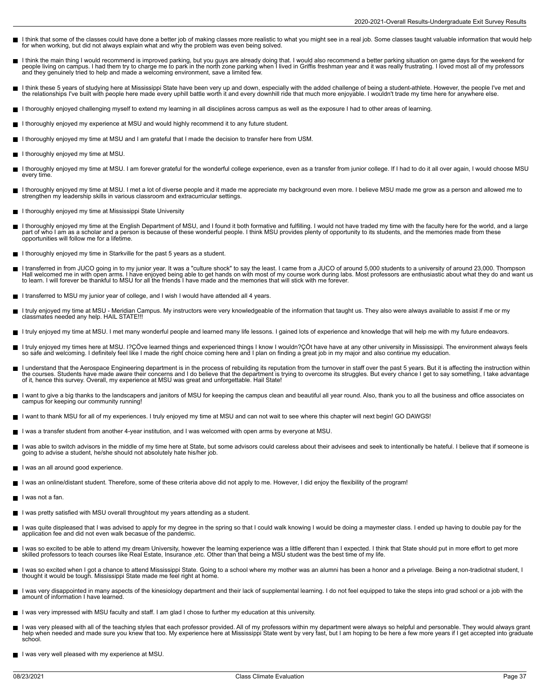- I think that some of the classes could have done a better job of making classes more realistic to what you might see in a real job. Some classes taught valuable information that would help for when working, but did not always explain what and why the problem was even being solved.
- l think the main thing I would recommend is improved parking, but you guys are already doing that. I would also recommend a better parking situation on game days for the weekend for<br>people living on campus. I had them try
- I think these 5 years of studying here at Mississippi State have been very up and down, especially with the added challenge of being a student-athlete. However, the people I've met and<br>the relationships I've built with peo
- I thoroughly enjoyed challenging myself to extend my learning in all disciplines across campus as well as the exposure I had to other areas of learning.
- I thoroughly enjoyed my experience at MSU and would highly recommend it to any future student.
- I thoroughly enjoyed my time at MSU and I am grateful that I made the decision to transfer here from USM.
- I thoroughly enjoyed my time at MSU.
- I thoroughly enjoyed my time at MSU. I am forever grateful for the wonderful college experience, even as a transfer from junior college. If I had to do it all over again, I would choose MSU every time.
- I thoroughly enjoyed my time at MSU. I met a lot of diverse people and it made me appreciate my background even more. I believe MSU made me grow as a person and allowed me to strengthen my leadership skills in various classroom and extracurricular settings.
- I thoroughly enjoyed my time at Mississippi State University
- I thoroughly enjoyed my time at the English Department of MSU, and I found it both formative and fulfilling. I would not have traded my time with the faculty here for the world, and a large  $\blacksquare$ part of who I am as a scholar and a person is because of these wonderful people. I think MSU provides plenty of opportunity to its students, and the memories made from these opportunities will follow me for a lifetime.
- I thoroughly enjoyed my time in Starkville for the past 5 years as a student.
- I transferred in from JUCO going in to my junior year. It was a "culture shock" to say the least. I came from a JUCO of around 5,000 students to a university of around 23,000. Thompson Н Hall welcomed me in with open arms. I have enjoyed being able to get hands on with most of my course work during labs. Most professors are enthusiastic about what they do and want us<br>to learn. I will forever be thankful to
- I transferred to MSU my junior year of college, and I wish I would have attended all 4 years.
- I truly enjoyed my time at MSU Meridian Campus. My instructors were very knowledgeable of the information that taught us. They also were always available to assist if me or my classmates needed any help. HAIL STATE!!!
- I truly enjoyed my time at MSU. I met many wonderful people and learned many life lessons. I gained lots of experience and knowledge that will help me with my future endeavors.
- I truly enjoyed my times here at MSU. I?ÇÖve learned things and experienced things I know I wouldn?ÇÖt have have at any other university in Mississippi. The environment always feels<br>so safe and welcoming. I definitely feel
- l understand that the Aerospace Engineering department is in the process of rebuilding its reputation from the turnover in staff over the past 5 years. But it is affecting the instruction within<br>the courses. Students have of it, hence this survey. Overall, my experience at MSU was great and unforgettable. Hail State!
- I want to give a big thanks to the landscapers and janitors of MSU for keeping the campus clean and beautiful all year round. Also, thank you to all the business and office associates on campus for keeping our community running!
- I want to thank MSU for all of my experiences. I truly enjoyed my time at MSU and can not wait to see where this chapter will next begin! GO DAWGS!
- I was a transfer student from another 4-year institution, and I was welcomed with open arms by everyone at MSU.  $\blacksquare$
- I was able to switch advisors in the middle of my time here at State, but some advisors could careless about their advisees and seek to intentionally be hateful. I believe that if someone is Е going to advise a student, he/she should not absolutely hate his/her job.
- I was an all around good experience.
- I was an online/distant student. Therefore, some of these criteria above did not apply to me. However, I did enjoy the flexibility of the program!
- I was not a fan.
- I was pretty satisfied with MSU overall throughtout my years attending as a student.
- I was quite displeased that I was advised to apply for my degree in the spring so that I could walk knowing I would be doing a maymester class. I ended up having to double pay for the application fee and did not even walk becasue of the pandemic.
- I was so excited to be able to attend my dream University, however the learning experience was a little different than I expected. I think that State should put in more effort to get more skilled professors to teach courses like Real Estate, Insurance ,etc. Other than that being a MSU student was the best time of my life.
- I was so excited when I got a chance to attend Mississippi State. Going to a school where my mother was an alumni has been a honor and a privelage. Being a non-tradiotnal student, I thought it would be tough. Mississippi State made me feel right at home.
- I was very disappointed in many aspects of the kinesiology department and their lack of supplemental learning. I do not feel equipped to take the steps into grad school or a job with the amount of information I have learned.
- I was very impressed with MSU faculty and staff. I am glad I chose to further my education at this university. П
- l was very pleased with all of the teaching styles that each professor provided. All of my professors within my department were always so helpful and personable. They would always grant<br>help when needed and made sure you k school.
- I was very well pleased with my experience at MSU.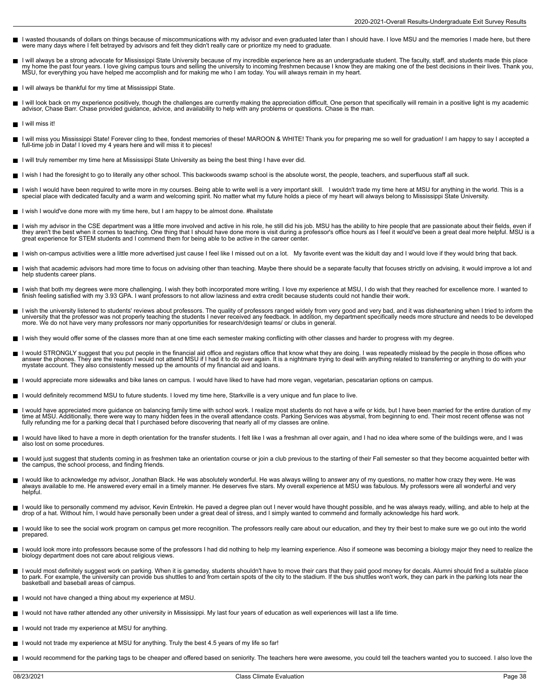- I wasted thousands of dollars on things because of miscommunications with my advisor and even graduated later than I should have. I love MSU and the memories I made here, but there were many days where I felt betrayed by advisors and felt they didn't really care or prioritize my need to graduate.
- I will always be a strong advocate for Mississippi State University because of my incredible experience here as an undergraduate student. The faculty, staff, and students made this place<br>my home the past four years. I love
- I will always be thankful for my time at Mississippi State.
- I will look back on my experience positively, though the challenges are currently making the appreciation difficult. One person that specifically will remain in a positive light is my academic П advisor, Chase Barr. Chase provided guidance, advice, and availability to help with any problems or questions. Chase is the man.
- $\blacksquare$  I will miss it!
- I will miss you Mississippi State! Forever cling to thee, fondest memories of these! MAROON & WHITE! Thank you for preparing me so well for graduation! I am happy to say I accepted a full-time job in Data! I loved my 4 years here and will miss it to pieces!
- I will truly remember my time here at Mississippi State University as being the best thing I have ever did.
- I wish I had the foresight to go to literally any other school. This backwoods swamp school is the absolute worst, the people, teachers, and superfluous staff all suck.
- I wish I would have been required to write more in my courses. Being able to write well is a very important skill. I wouldn't trade my time here at MSU for anything in the world. This is a<br>special place with dedicated facu
- I wish I would've done more with my time here, but I am happy to be almost done. #hailstate
- I wish my advisor in the CSE department was a little more involved and active in his role, he still did his job. MSU has the ability to hire people that are passionate about their fields, even if  $\blacksquare$ they aren't the best when it comes to teaching. One thing that I should have done more is visit during a professor's office hours as I feel it would've been a great deal more helpful. MSU is a great experience for STEM students and I commend them for being able to be active in the career center.
- I wish on-campus activities were a little more advertised just cause I feel like I missed out on a lot. My favorite event was the kidult day and I would love if they would bring that back.
- I wish that academic advisors had more time to focus on advising other than teaching. Maybe there should be a separate faculty that focuses strictly on advising, it would improve a lot and  $\blacksquare$ help students career plans.
- I wish that both my degrees were more challenging. I wish they both incorporated more writing. I love my experience at MSU, I do wish that they reached for excellence more. I wanted to<br>finish feeling satisfied with my 3.93
- I wish the university listened to students' reviews about professors. The quality of professors ranged widely from very good and very bad, and it was disheartening when I tried to inform the<br>university that the professor w
- I wish they would offer some of the classes more than at one time each semester making conflicting with other classes and harder to progress with my degree.
- I would STRONGLY suggest that you put people in the financial aid office and registars office that know what they are doing. I was repeatedly mislead by the people in those offices who<br>answer the phones. They are the reaso
- I would appreciate more sidewalks and bike lanes on campus. I would have liked to have had more vegan, vegetarian, pescatarian options on campus.
- I would definitely recommend MSU to future students. I loved my time here, Starkville is a very unique and fun place to live.
- Н I would have appreciated more guidance on balancing family time with school work. I realize most students do not have a wife or kids, but I have been married for the entire duration of my<br>time at MSU. Additionally, there w fully refunding me for a parking decal that I purchased before discovering that nearly all of my classes are online.
- I would have liked to have a more in depth orientation for the transfer students. I felt like I was a freshman all over again, and I had no idea where some of the buildings were, and I was also lost on some procedures.
- I would just suggest that students coming in as freshmen take an orientation course or join a club previous to the starting of their Fall semester so that they become acquainted better with the campus, the school process, and finding friends.
- I would like to acknowledge my advisor, Jonathan Black. He was absolutely wonderful. He was always willing to answer any of my questions, no matter how crazy they were. He was always available to me. He answered every email in a timely manner. He deserves five stars. My overall experience at MSU was fabulous. My professors were all wonderful and very helpful.
- I would like to personally commend my advisor, Kevin Entrekin. He paved a degree plan out I never would have thought possible, and he was always ready, willing, and able to help at the<br>drop of a hat. Without him, I would h
- I would like to see the social work program on campus get more recognition. The professors really care about our education, and they try their best to make sure we go out into the world prepared.
- П I would look more into professors because some of the professors I had did nothing to help my learning experience. Also if someone was becoming a biology major they need to realize the biology department does not care about religious views.
- $\blacksquare$ I would most definitely suggest work on parking. When it is gameday, students shouldn't have to move their cars that they paid good money for decals. Alumni should find a suitable place<br>to park. For example, the university basketball and baseball areas of campus.
- I would not have changed a thing about my experience at MSU.
- I would not have rather attended any other university in Mississippi. My last four years of education as well experiences will last a life time.
- I would not trade my experience at MSU for anything.
- I would not trade my experience at MSU for anything. Truly the best 4.5 years of my life so far!
- I would recommend for the parking tags to be cheaper and offered based on seniority. The teachers here were awesome, you could tell the teachers wanted you to succeed. I also love the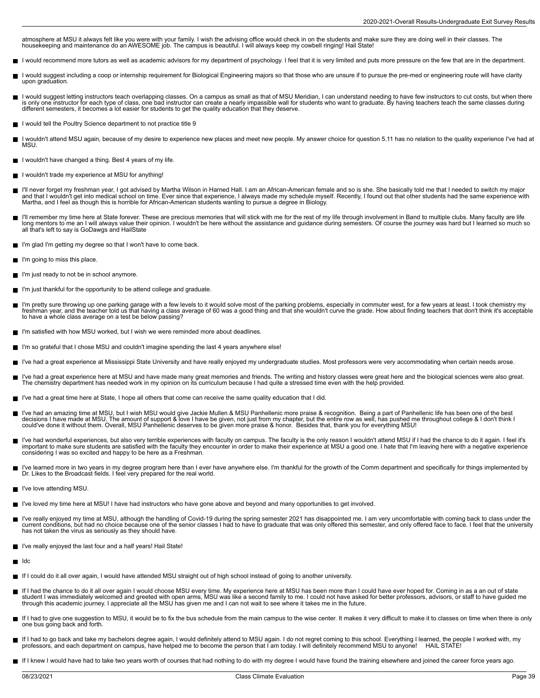atmosphere at MSU it always felt like you were with your family. I wish the advising office would check in on the students and make sure they are doing well in their classes. The<br>housekeeping and maintenance do an AWESOME

- I would recommend more tutors as well as academic advisors for my department of psychology. I feel that it is very limited and puts more pressure on the few that are in the department.
- I would suggest including a coop or internship requirement for Biological Engineering majors so that those who are unsure if to pursue the pre-med or engineering route will have clarity Н upon graduation.
- I would suggest letting instructors teach overlapping classes. On a campus as small as that of MSU Meridian, I can understand needing to have few instructors to cut costs, but when there is only one instructor for each type of class, one bad instructor can create a nearly impassible wall for students who want to graduate. By having teachers teach the same classes during<br>different semesters, it becomes a lo
- $\blacksquare$  I would tell the Poultry Science department to not practice title 9
- I wouldn't attend MSU again, because of my desire to experience new places and meet new people. My answer choice for question 5.11 has no relation to the quality experience I've had at MSU.
- I wouldn't have changed a thing. Best 4 years of my life.
- I wouldn't trade my experience at MSU for anything!
- I'll never forget my freshman year, I got advised by Martha Wilson in Harned Hall. I am an African-American female and so is she. She basically told me that I needed to switch my major<br>and that I wouldn't get into medical
- I'll remember my time here at State forever. These are precious memories that will stick with me for the rest of my life through involvement in Band to multiple clubs. Many faculty are life<br>long mentors to me an I will alw all that's left to say is GoDawgs and HailState
- I'm glad I'm getting my degree so that I won't have to come back.  $\blacksquare$
- I'm going to miss this place.  $\blacksquare$
- I'm just ready to not be in school anymore.
- I'm just thankful for the opportunity to be attend college and graduate.
- I'm pretty sure throwing up one parking garage with a few levels to it would solve most of the parking problems, especially in commuter west, for a few years at least. I took chemistry my<br>freshman year, and the teacher tol to have a whole class average on a test be below passing?
- I'm satisfied with how MSU worked, but I wish we were reminded more about deadlines.
- I'm so grateful that I chose MSU and couldn't imagine spending the last 4 years anywhere else!
- I've had a great experience at Mississippi State University and have really enjoyed my undergraduate studies. Most professors were very accommodating when certain needs arose.  $\blacksquare$
- I've had a great experience here at MSU and have made many great memories and friends. The writing and history classes were great here and the biological sciences were also great. The chemistry department has needed work in my opinion on its curriculum because I had quite a stressed time even with the help provided.
- I've had a great time here at State, I hope all others that come can receive the same quality education that I did.
- I've had an amazing time at MSU, but I wish MSU would give Jackie Mullen & MSU Panhellenic more praise & recognition. Being a part of Panhellenic life has been one of the best<br>decisions I have made at MSU. The amount of s could've done it without them. Overall, MSU Panhellenic deserves to be given more praise & honor. Besides that, thank you for everything MSU!
- I've had wonderful experiences, but also very terrible experiences with faculty on campus. The faculty is the only reason I wouldn't attend MSU if I had the chance to do it again. I feel it's  $\blacksquare$ important to make sure students are satisfied with the faculty they encounter in order to make their experience at MSU a good one. I hate that I'm leaving here with a negative experience considering I was so excited and happy to be here as a Freshman.
- I've learned more in two years in my degree program here than I ever have anywhere else. I'm thankful for the growth of the Comm department and specifically for things implemented by П Dr. Likes to the Broadcast fields. I feel very prepared for the real world.
- **I've love attending MSU.**
- I've loved my time here at MSU! I have had instructors who have gone above and beyond and many opportunities to get involved.
- I've really enjoyed my time at MSU, although the handling of Covid-19 during the spring semester 2021 has disappointed me. I am very uncomfortable with coming back to class under the current conditions, but had no choice because one of the senior classes I had to have to graduate that was only offered this semester, and only offered face to face. I feel that the university has not taken the virus as seriously as they should have.
- I've really enjoyed the last four and a half years! Hail State!
- $\blacksquare$ Idc
- If I could do it all over again, I would have attended MSU straight out of high school instead of going to another university.
- If I had the chance to do it all over again I would choose MSU every time. My experience here at MSU has been more than I could have ever hoped for. Coming in as a an out of state student I was immediately welcomed and greeted with open arms, MSU was like a second family to me. I could not have asked for better professors, advisors, or staff to have guided me<br>through this academic journey. I appreci
- If I had to give one suggestion to MSU, it would be to fix the bus schedule from the main campus to the wise center. It makes it very difficult to make it to classes on time when there is only one bus going back and forth.
- If I had to go back and take my bachelors degree again, I would definitely attend to MSU again. I do not regret coming to this school. Everything I learned, the people I worked with, my professors, and each department on campus, have helped me to become the person that I am today. I will definitely recommend MSU to anyone! HAIL STATE!
- If I knew I would have had to take two years worth of courses that had nothing to do with my degree I would have found the training elsewhere and joined the career force years ago.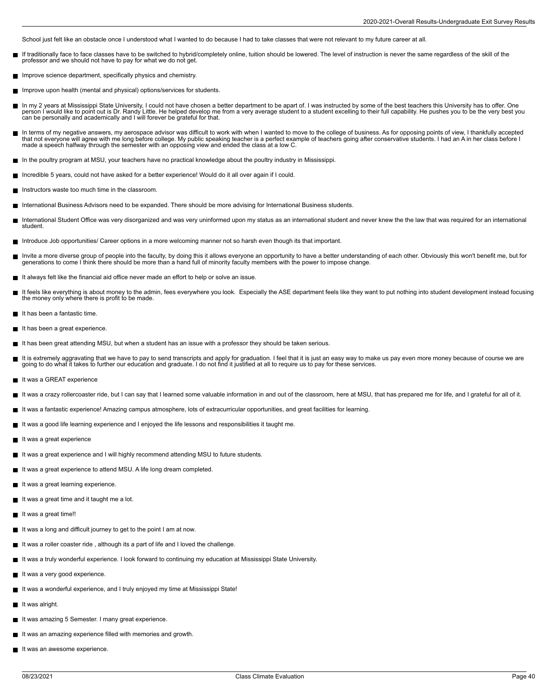School just felt like an obstacle once I understood what I wanted to do because I had to take classes that were not relevant to my future career at all.

- If traditionally face to face classes have to be switched to hybrid/completely online, tuition should be lowered. The level of instruction is never the same regardless of the skill of the  $\blacksquare$ professor and we should not have to pay for what we do not get.
- Improve science department, specifically physics and chemistry.
- Improve upon health (mental and physical) options/services for students.
- In my 2 years at Mississippi State University, I could not have chosen a better department to be apart of. I was instructed by some of the best teachers this University has to offer. One<br>person I would like to point out is
- In terms of my negative answers, my aerospace advisor was difficult to work with when I wanted to move to the college of business. As for opposing points of view, I thankfully accepted  $\blacksquare$ that not everyone will agree with me long before college. My public speaking teacher is a perfect example of teachers going after conservative students. I had an A in her class before I made a speech halfway through the semester with an opposing view and ended the class at a low C.
- In the poultry program at MSU, your teachers have no practical knowledge about the poultry industry in Mississippi.
- Incredible 5 years, could not have asked for a better experience! Would do it all over again if I could. П
- Instructors waste too much time in the classroom.
- International Business Advisors need to be expanded. There should be more advising for International Business students. П
- International Student Office was very disorganized and was very uninformed upon my status as an international student and never knew the the law that was required for an international student.
- Introduce Job opportunities/ Career options in a more welcoming manner not so harsh even though its that important.
- Invite a more diverse group of people into the faculty, by doing this it allows everyone an opportunity to have a better understanding of each other. Obviously this won't benefit me, but for<br>generations to come I think the
- It always felt like the financial aid office never made an effort to help or solve an issue.
- It feels like everything is about money to the admin, fees everywhere you look. Especially the ASE department feels like they want to put nothing into student development instead focusing the money only where there is profit to be made.
- It has been a fantastic time.
- It has been a great experience.  $\blacksquare$
- It has been great attending MSU, but when a student has an issue with a professor they should be taken serious.
- It is extremely aggravating that we have to pay to send transcripts and apply for graduation. I feel that it is just an easy way to make us pay even more money because of course we are going to do what it takes to further our education and graduate. I do not find it justified at all to require us to pay for these services.
- It was a GREAT experience П
- It was a crazy rollercoaster ride, but I can say that I learned some valuable information in and out of the classroom, here at MSU, that has prepared me for life, and I grateful for all of it.
- It was a fantastic experience! Amazing campus atmosphere, lots of extracurricular opportunities, and great facilities for learning.
- It was a good life learning experience and I enjoyed the life lessons and responsibilities it taught me.
- It was a great experience
- It was a great experience and I will highly recommend attending MSU to future students.
- It was a great experience to attend MSU. A life long dream completed.
- It was a great learning experience.
- It was a great time and it taught me a lot.
- It was a great time!! П
- It was a long and difficult journey to get to the point I am at now.
- It was a roller coaster ride, although its a part of life and I loved the challenge.
- It was a truly wonderful experience. I look forward to continuing my education at Mississippi State University.
- It was a very good experience.
- It was a wonderful experience, and I truly enjoyed my time at Mississippi State!
- It was alright.
- It was amazing 5 Semester. I many great experience.
- It was an amazing experience filled with memories and growth.
- It was an awesome experience.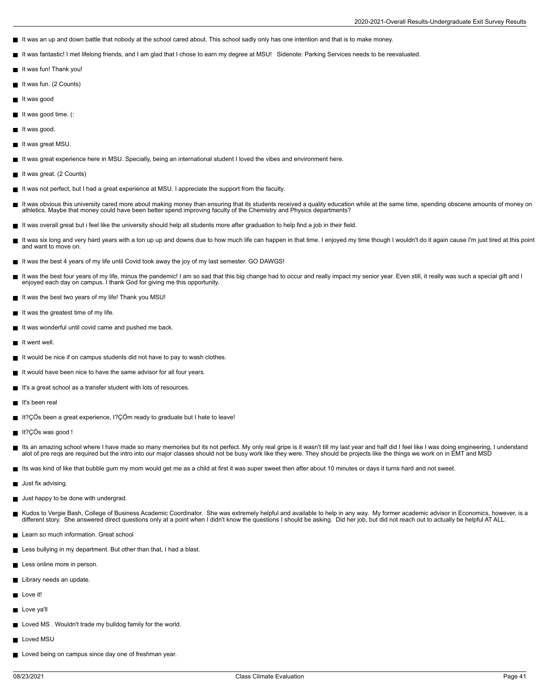- It was an up and down battle that nobody at the school cared about. This school sadly only has one intention and that is to make money.
- It was fantastic! I met lifelong friends, and I am glad that I chose to earn my degree at MSU! Sidenote: Parking Services needs to be reevaluated.  $\blacksquare$
- It was fun! Thank you!
- It was fun. (2 Counts)
- $\blacksquare$  It was good
- It was good time. (:
- $\blacksquare$  It was good.
- It was great MSU.
- It was great experience here in MSU. Specially, being an international student I loved the vibes and environment here.
- It was great. (2 Counts)
- It was not perfect, but I had a great experience at MSU. I appreciate the support from the faculty.  $\blacksquare$
- Е It was obvious this university cared more about making money than ensuring that its students received a quality education while at the same time, spending obscene amounts of money on<br>athletics. Maybe that money could have
- It was overall great but i feel like the university should help all students more after graduation to help find a job in their field.
- $\blacksquare$ It was six long and very hard years with a ton up up and downs due to how much life can happen in that time. I enjoyed my time though I wouldn't do it again cause I'm just tired at this point and want to move on.
- It was the best 4 years of my life until Covid took away the joy of my last semester. GO DAWGS!
- It was the best four years of my life, minus the pandemic! I am so sad that this big change had to occur and really impact my senior year. Even still, it really was such a special gift and I enjoyed each day on campus. I thank God for giving me this opportunity.
- It was the best two years of my life! Thank you MSU!
- $\blacksquare$  It was the greatest time of my life.
- It was wonderful until covid came and pushed me back.
- $\blacksquare$  It went well.
- It would be nice if on campus students did not have to pay to wash clothes.
- It would have been nice to have the same advisor for all four years.
- It's a great school as a transfer student with lots of resources.
- It's been real
- It?ÇÖs been a great experience, I?ÇÖm ready to graduate but I hate to leave!
- It?ÇÖs was good !
- $\blacksquare$ lts an amazing school where I have made so many memories but its not perfect. My only real gripe is it wasn't till my last year and half did I feel like I was doing engineering, I understand<br>alot of pre reqs are required b
- Its was kind of like that bubble gum my mom would get me as a child at first it was super sweet then after about 10 minutes or days it turns hard and not sweet.
- **Just fix advising.**
- **Just happy to be done with undergrad.**
- Kudos to Vergie Bash, College of Business Academic Coordinator. She was extremely helpful and available to help in any way. My former academic advisor in Economics, however, is a<br>different story. She answered direct questi
- **Learn so much information. Great school**
- **Less bullying in my department. But other than that, I had a blast.**
- Less online more in person.
- Library needs an update.
- **Love it!**
- Love va'll
- **Loved MS**. Wouldn't trade my bulldog family for the world.
- Loved MSU
- Loved being on campus since day one of freshman year.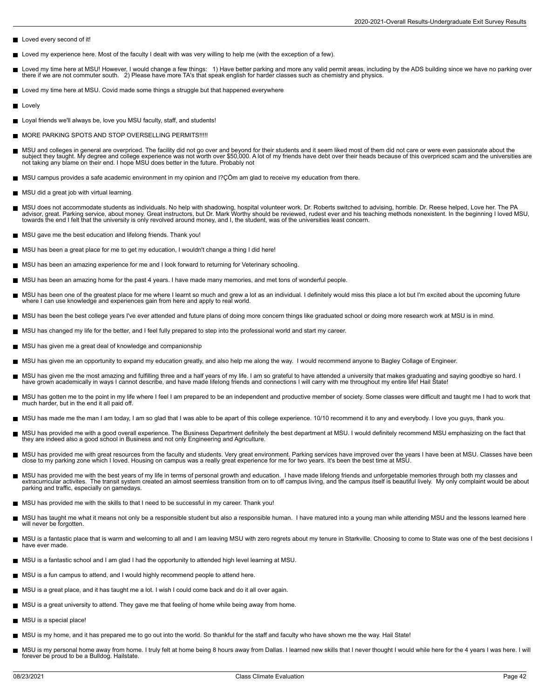- Loved every second of it!
- Loved my experience here. Most of the faculty I dealt with was very willing to help me (with the exception of a few).
- Loved my time here at MSU! However, I would change a few things: 1) Have better parking and more any valid permit areas, including by the ADS building since we have no parking over<br>there if we are not commuter south. 2
- **Loved my time here at MSU. Covid made some things a struggle but that happened everywhere**
- **Lovely**
- Loyal friends we'll always be, love you MSU faculty, staff, and students!
- **MORE PARKING SPOTS AND STOP OVERSELLING PERMITS!!!!!**
- MSU and colleges in general are overpriced. The facility did not go over and beyond for their students and it seem liked most of them did not care or were even passionate about the<br>subject they taught. My degree and colleg
- MSU campus provides a safe academic environment in my opinion and I?ÇÖm am glad to receive my education from there.
- **MSU did a great job with virtual learning.**
- $\blacksquare$ MSU does not accommodate students as individuals. No help with shadowing, hospital volunteer work. Dr. Roberts switched to advising, horrible. Dr. Reese helped, Love her. The PA<br>advisor, great. Parking service, about money towards the end I felt that the university is only revolved around money, and I, the student, was of the universities least concern.
- MSU gave me the best education and lifelong friends. Thank you!
- MSU has been a great place for me to get my education, I wouldn't change a thing I did here!
- MSU has been an amazing experience for me and I look forward to returning for Veterinary schooling.
- MSU has been an amazing home for the past 4 years. I have made many memories, and met tons of wonderful people.
- MSU has been one of the greatest place for me where I learnt so much and grew a lot as an individual. I definitely would miss this place a lot but I'm excited about the upcoming future where I can use knowledge and experiences gain from here and apply to real world.
- MSU has been the best college years I've ever attended and future plans of doing more concern things like graduated school or doing more research work at MSU is in mind.
- MSU has changed my life for the better, and I feel fully prepared to step into the professional world and start my career.
- MSU has given me a great deal of knowledge and companionship
- MSU has given me an opportunity to expand my education greatly, and also help me along the way. I would recommend anyone to Bagley Collage of Engineer.
- $\blacksquare$ MSU has given me the most amazing and fulfilling three and a half years of my life. I am so grateful to have attended a university that makes graduating and saying goodbye so hard. I<br>have grown academically in ways I canno
- MSU has gotten me to the point in my life where I feel I am prepared to be an independent and productive member of society. Some classes were difficult and taught me I had to work that<br>much harder, but in the end it all pa
- MSU has made me the man I am today, I am so glad that I was able to be apart of this college experience. 10/10 recommend it to any and everybody. I love you guys, thank you.
- $\blacksquare$ MSU has provided me with a good overall experience. The Business Department definitely the best department at MSU. I would definitely recommend MSU emphasizing on the fact that<br>they are indeed also a good school in Busines
- MSU has provided me with great resources from the faculty and students. Very great environment. Parking services have improved over the years I have been at MSU. Classes have been<br>close to my parking zone which I loved. Ho
- MSU has provided me with the best years of my life in terms of personal growth and education. I have made lifelong friends and unforgetable memories through both my classes and<br>extracurricular activites. The transit system parking and traffic, especially on gamedays.
- MSU has provided me with the skills to that I need to be successful in my career. Thank you!
- MSU has taught me what it means not only be a responsible student but also a responsible human. I have matured into a young man while attending MSU and the lessons learned here will never be forgotten.
- MSU is a fantastic place that is warm and welcoming to all and I am leaving MSU with zero regrets about my tenure in Starkville. Choosing to come to State was one of the best decisions I have ever made.
- MSU is a fantastic school and I am glad I had the opportunity to attended high level learning at MSU.
- MSU is a fun campus to attend, and I would highly recommend people to attend here.  $\blacksquare$
- MSU is a great place, and it has taught me a lot. I wish I could come back and do it all over again.
- MSU is a great university to attend. They gave me that feeling of home while being away from home.
- MSU is a special place!
- MSU is my home, and it has prepared me to go out into the world. So thankful for the staff and faculty who have shown me the way. Hail State!
- MSU is my personal home away from home. I truly felt at home being 8 hours away from Dallas. I learned new skills that I never thought I would while here for the 4 years I was here. I will П forever be proud to be a Bulldog. Hailstate.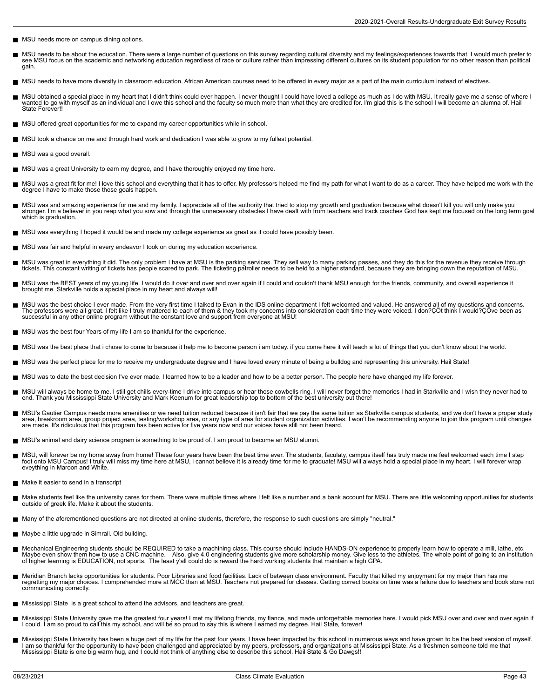- **MSU** needs more on campus dining options.
- MSU needs to be about the education. There were a large number of questions on this survey regarding cultural diversity and my feelings/experiences towards that. I would much prefer to  $\blacksquare$ see MSU focus on the academic and networking education regardless of race or culture rather than impressing different cultures on its student population for no other reason than political gain.
- MSU needs to have more diversity in classroom education. African American courses need to be offered in every major as a part of the main curriculum instead of electives.
- MSU obtained a special place in my heart that I didn't think could ever happen. I never thought I could have loved a college as much as I do with MSU. It really gave me a sense of where I wanted to go with myself as an individual and I owe this school and the faculty so much more than what they are credited for. I'm glad this is the school I will become an alumna of. Hail State Forever!!
- MSU offered great opportunities for me to expand my career opportunities while in school.
- MSU took a chance on me and through hard work and dedication I was able to grow to my fullest potential.
- **MSU** was a good overall.
- MSU was a great University to earn my degree, and I have thoroughly enjoyed my time here.
- MSU was a great fit for me! I love this school and everything that it has to offer. My professors helped me find my path for what I want to do as a career. They have helped me work with the  $\blacksquare$ degree I have to make those those goals happen.
- MSU was and amazing experience for me and my family. I appreciate all of the authority that tried to stop my growth and graduation because what doesn't kill you will only make you П stronger. I'm a believer in you reap what you sow and through the unnecessary obstacles I have dealt with from teachers and track coaches God has kept me focused on the long term goal which is graduation.
- MSU was everything I hoped it would be and made my college experience as great as it could have possibly been.
- MSU was fair and helpful in every endeavor I took on during my education experience.  $\blacksquare$
- $\blacksquare$ MSU was great in everything it did. The only problem I have at MSU is the parking services. They sell way to many parking passes, and they do this for the revenue they receive through<br>tickets. This constant writing of tick
- MSU was the BEST years of my young life. I would do it over and over and over again if I could and couldn't thank MSU enough for the friends, community, and overall experience it brought me. Starkville holds a special place in my heart and always will!
- MSU was the best choice I ever made. From the very first time I talked to Evan in the IDS online department I felt welcomed and valued. He answered all of my questions and concerns. The professors were all great. I felt like I truly mattered to each of them & they took my concerns into consideration each time they were voiced. I don?ÇÖt think I would?ÇÖve been as successful in any other online program without the constant love and support from everyone at MSU!
- MSU was the best four Years of my life I am so thankful for the experience.
- MSU was the best place that i chose to come to because it help me to become person i am today. if you come here it will teach a lot of things that you don't know about the world.  $\blacksquare$
- MSU was the perfect place for me to receive my undergraduate degree and I have loved every minute of being a bulldog and representing this university. Hail State!  $\blacksquare$
- MSU was to date the best decision I've ever made. I learned how to be a leader and how to be a better person. The people here have changed my life forever.
- $\blacksquare$ MSU will always be home to me. I still get chills every-time I drive into campus or hear those cowbells ring. I will never forget the memories I had in Starkville and I wish they never had to<br>end. Thank you Mississippi Sta
- MSU's Gautier Campus needs more amenities or we need tuition reduced because it isn't fair that we pay the same tuition as Starkville campus students, and we don't have a proper study<br>area, breakroom area, group project ar are made. It's ridiculous that this program has been active for five years now and our voices have still not been heard.
- MSU's animal and dairy science program is something to be proud of. I am proud to become an MSU alumni.
- Н MSU, will forever be my home away from home! These four years have been the best time ever. The students, faculaty, campus itself has truly made me feel welcomed each time I step<br>foot onto MSU Campus! I truly will miss my eveything in Maroon and White.
- Make it easier to send in a transcript
- Make students feel like the university cares for them. There were multiple times where I felt like a number and a bank account for MSU. There are little welcoming opportunities for students outside of greek life. Make it about the students.
- Many of the aforementioned questions are not directed at online students, therefore, the response to such questions are simply "neutral."
- **Maybe a little upgrade in Simrall. Old building.**
- Mechanical Engineering students should be REQUIRED to take a machining class. This course should include HANDS-ON experience to properly learn how to operate a mill, lathe, etc. Е Maybe even show them how to use a CNC machine. Also, give 4.0 engineering students give more scholarship money. Give less to the athletes. The whole point of going to an institution<br>of higher learning is EDUCATION, not spo
- Meridian Branch lacks opportunities for students. Poor Libraries and food facilities. Lack of between class environment. Faculty that killed my enjoyment for my major than has me<br>regretting my major choices. I comprehended
- Mississippi State is a great school to attend the advisors, and teachers are great.
- Mississippi State University gave me the greatest four years! I met my lifelong friends, my fiance, and made unforgettable memories here. I would pick MSU over and over and over again if<br>I could. I am so proud to call this
- Mississippi State University has been a huge part of my life for the past four years. I have been impacted by this school in numerous ways and have grown to be the best version of myself.<br>I am so thankful for the opportuni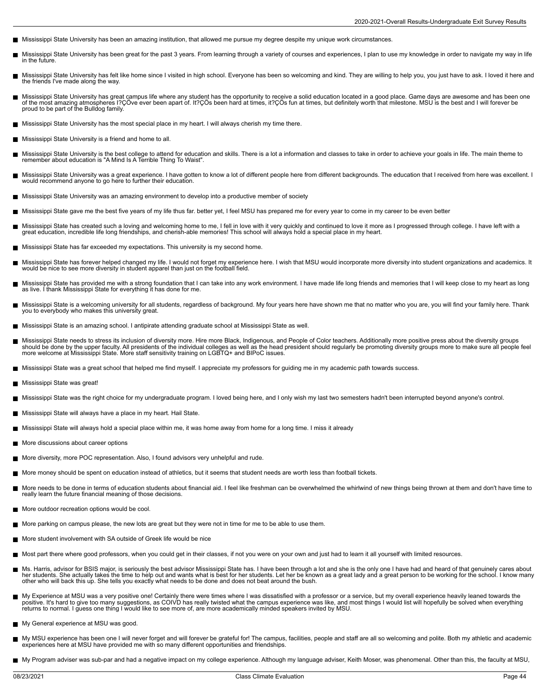- Mississippi State University has been an amazing institution, that allowed me pursue my degree despite my unique work circumstances.
- $\blacksquare$ Mississippi State University has been great for the past 3 years. From learning through a variety of courses and experiences, I plan to use my knowledge in order to navigate my way in life in the future.
- Mississippi State University has felt like home since I visited in high school. Everyone has been so welcoming and kind. They are willing to help you, you just have to ask. I loved it here and  $\blacksquare$ the friends I've made along the way.
- Mississippi State University has great campus life where any student has the opportunity to receive a solid education located in a good place. Game days are awesome and has been one of the most amazing atmospheres I?ÇÖve ever been apart of. It?ÇÖs been hard at times, it?ÇÖs fun at times, but definitely worth that milestone. MSU is the best and I will forever be proud to be part of the Bulldog family.
- Mississippi State University has the most special place in my heart. I will always cherish my time there.
- Mississippi State University is a friend and home to all.
- Mississippi State University is the best college to attend for education and skills. There is a lot a information and classes to take in order to achieve your goals in life. The main theme to remember about education is "A Mind Is A Terrible Thing To Waist".
- Mississippi State University was a great experience. I have gotten to know a lot of different people here from different backgrounds. The education that I received from here was excellent. I п would recommend anyone to go here to further their education.
- Mississippi State University was an amazing environment to develop into a productive member of society
- Mississippi State gave me the best five years of my life thus far. better yet, I feel MSU has prepared me for every year to come in my career to be even better
- Mississippi State has created such a loving and welcoming home to me, I fell in love with it very quickly and continued to love it more as I progressed through college. I have left with a great education, incredible life long friendships, and cherish-able memories! This school will always hold a special place in my heart.
- Mississippi State has far exceeded my expectations. This university is my second home.
- Mississippi State has forever helped changed my life. I would not forget my experience here. I wish that MSU would incorporate more diversity into student organizations and academics. It<br>would be nice to see more diversity
- Mississippi State has provided me with a strong foundation that I can take into any work environment. I have made life long friends and memories that I will keep close to my heart as long as live. I thank Mississippi State for everything it has done for me.
- Mississippi State is a welcoming university for all students, regardless of background. My four years here have shown me that no matter who you are, you will find your family here. Thank<br>you to everybody who makes this uni
- Mississippi State is an amazing school. I antipirate attending graduate school at Mississippi State as well.
- Mississippi State needs to stress its inclusion of diversity more. Hire more Black, Indigenous, and People of Color teachers. Additionally more positive press about the diversity groups<br>should be done by the upper faculty
- Mississippi State was a great school that helped me find myself. I appreciate my professors for guiding me in my academic path towards success.
- Mississippi State was great!
- Mississippi State was the right choice for my undergraduate program. I loved being here, and I only wish my last two semesters hadn't been interrupted beyond anyone's control.  $\blacksquare$
- **Mississippi State will always have a place in my heart. Hail State.**
- Mississippi State will always hold a special place within me, it was home away from home for a long time. I miss it already
- More discussions about career options
- More diversity, more POC representation. Also, I found advisors very unhelpful and rude.
- More money should be spent on education instead of athletics, but it seems that student needs are worth less than football tickets.
- More needs to be done in terms of education students about financial aid. I feel like freshman can be overwhelmed the whirlwind of new things being thrown at them and don't have time to really learn the future financial meaning of those decisions.
- More outdoor recreation options would be cool.
- More parking on campus please, the new lots are great but they were not in time for me to be able to use them.
- More student involvement with SA outside of Greek life would be nice
- Most part there where good professors, when you could get in their classes, if not you were on your own and just had to learn it all yourself with limited resources.
- $\blacksquare$ Ms. Harris, advisor for BSIS major, is seriously the best advisor Mississippi State has. I have been through a lot and she is the only one I have had and heard of that genuinely cares about<br>her students. She actually takes other who will back this up. She tells you exactly what needs to be done and does not beat around the bush.
- My Experience at MSU was a very positive one! Certainly there were times where I was dissatisfied with a professor or a service, but my overall experience heavily leaned towards the  $\blacksquare$ positive. It's hard to give too many suggestions, as COIVD has really twisted what the campus experience was like, and most things I would list will hopefully be solved when everything returns to normal. I guess one thing I would like to see more of, are more academically minded speakers invited by MSU.
- My General experience at MSU was good.
- My MSU experience has been one I will never forget and will forever be grateful for! The campus, facilities, people and staff are all so welcoming and polite. Both my athletic and academic experiences here at MSU have provided me with so many different opportunities and friendships.
- My Program adviser was sub-par and had a negative impact on my college experience. Although my language adviser, Keith Moser, was phenomenal. Other than this, the faculty at MSU,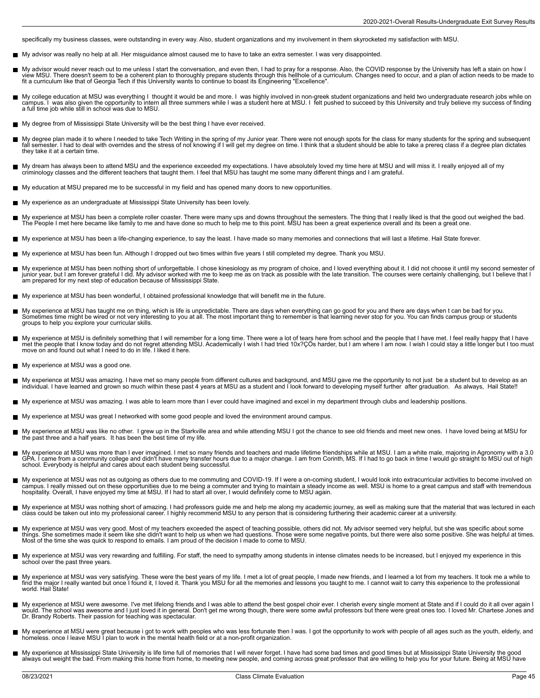specifically my business classes, were outstanding in every way. Also, student organizations and my involvement in them skyrocketed my satisfaction with MSU.

- My advisor was really no help at all. Her misguidance almost caused me to have to take an extra semester. I was very disappointed.  $\blacksquare$
- My advisor would never reach out to me unless I start the conversation, and even then, I had to pray for a response. Also, the COVID response by the University has left a stain on how I<br>view MSU. There doesn't seem to be a
- My college education at MSU was everything I thought it would be and more. I was highly involved in non-greek student organizations and held two undergraduate research jobs while on<br>campus. I was also given the opportun
- My degree from of Mississippi State University will be the best thing I have ever received.
- My degree plan made it to where I needed to take Tech Writing in the spring of my Junior year. There were not enough spots for the class for many students for the spring and subsequent<br>fall semester. I had to deal with ove they take it at a certain time.
- My dream has always been to attend MSU and the experience exceeded my expectations. I have absolutely loved my time here at MSU and will miss it. I really enjoyed all of my<br>criminology classes and the different teachers th П
- My education at MSU prepared me to be successful in my field and has opened many doors to new opportunities.
- My experience as an undergraduate at Mississippi State University has been lovely.  $\blacksquare$
- My experience at MSU has been a complete roller coaster. There were many ups and downs throughout the semesters. The thing that I really liked is that the good out weighed the bad.<br>The People I met here became like family
- My experience at MSU has been a life-changing experience, to say the least. I have made so many memories and connections that will last a lifetime. Hail State forever.
- My experience at MSU has been fun. Although I dropped out two times within five years I still completed my degree. Thank you MSU.
- П My experience at MSU has been nothing short of unforgettable. I chose kinesiology as my program of choice, and I loved everything about it. I did not choose it until my second semester of<br>junior year, but I am forever grat am prepared for my next step of education because of Mississippi State.
- My experience at MSU has been wonderful, I obtained professional knowledge that will benefit me in the future.
- My experience at MSU has taught me on thing, which is life is unpredictable. There are days when everything can go good for you and there are days when t can be bad for you.<br>Sometimes time might be wired or not very intere groups to help you explore your curricular skills.
- $\blacksquare$ My experience at MSU is definitely something that I will remember for a long time. There were a lot of tears here from school and the people that I have met. I feel really happy that I have<br>met the people that I know today move on and found out what I need to do in life. I liked it here.
- My experience at MSU was a good one.  $\blacksquare$
- $\blacksquare$ My experience at MSU was amazing. I have met so many people from different cultures and background, and MSU gave me the opportunity to not just be a student but to develop as an<br>individual. I have learned and grown so muc
- My experience at MSU was amazing. I was able to learn more than I ever could have imagined and excel in my department through clubs and leadership positions.
- My experience at MSU was great I networked with some good people and loved the environment around campus.  $\blacksquare$
- My experience at MSU was like no other. I grew up in the Starkville area and while attending MSU I got the chance to see old friends and meet new ones. I have loved being at MSU for<br>the past three and a half years. It has
- My experience at MSU was more than I ever imagined. I met so many friends and teachers and made lifetime friendships while at MSU. I am a white male, majoring in Agronomy with a 3.0<br>GPA. I came from a community college and school. Everybody is helpful and cares about each student being successful.
- My experience at MSU was not as outgoing as others due to me commuting and COVID-19. If I were a on-coming student, I would look into extracurricular activities to become involved on campus. I really missed out on these opportunities due to me being a commuter and trying to maintain a steady income as well. MSU is home to a great campus and staff with tremendous<br>hospitality. Overall, I have enjoyed my
- My experience at MSU was nothing short of amazing. I had professors guide me and help me along my academic journey, as well as making sure that the material that was lectured in each<br>class could be taken out into my profes
- My experience at MSU was very good. Most of my teachers exceeded the aspect of teaching possible, others did not. My advisor seemed very helpful, but she was specific about some<br>things. She sometimes made it seem like she
- My experience at MSU was very rewarding and fulfilling. For staff, the need to sympathy among students in intense climates needs to be increased, but I enjoyed my experience in this school over the past three years.
- My experience at MSU was very satisfying. These were the best years of my life. I met a lot of great people, I made new friends, and I learned a lot from my teachers. It took me a while to<br>find the major I really wanted bu world. Hail State!
- My experience at MSU were awesome. I've met lifelong friends and I was able to attend the best gospel choir ever. I cherish every single moment at State and if I could do it all over again I would. The school was awesome and I just loved it in general. Don't get me wrong though, there were some awful professors but there were great ones too. I loved Mr. Chartese Jones and<br>Dr. Brandy Roberts. Their passion for
- П My experience at MSU were great because i got to work with peoples who was less fortunate then I was. I got the opportunity to work with people of all ages such as the youth, elderly, and<br>homeless. once I leave MSU I plan
- My experience at Mississippi State University is life time full of memories that I will never forget. I have had some bad times and good times but at Mississippi State University the good<br>always out weight the bad. From ma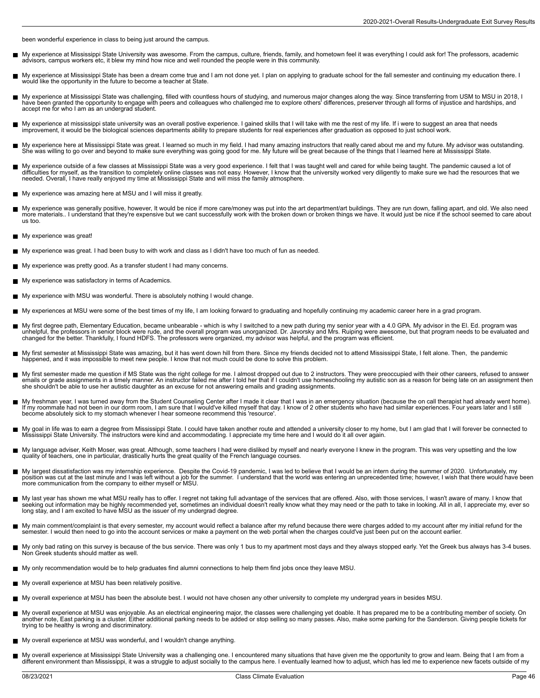been wonderful experience in class to being just around the campus.

- My experience at Mississippi State University was awesome. From the campus, culture, friends, family, and hometown feel it was everything I could ask for! The professors, academic г advisors, campus workers etc, it blew my mind how nice and well rounded the people were in this community.
- My experience at Mississippi State has been a dream come true and I am not done yet. I plan on applying to graduate school for the fall semester and continuing my education there. I П would like the opportunity in the future to become a teacher at State.
- My experience at Mississippi State was challenging, filled with countless hours of studying, and numerous major changes along the way. Since transferring from USM to MSU in 2018, I<br>have been granted the opportunity to enga
- My experience at mississippi state university was an overall postive experience. I gained skills that I will take with me the rest of my life. If i were to suggest an area that needs<br>improvement, it would be the biological
- My experience here at Mississippi State was great. I learned so much in my field. I had many amazing instructors that really cared about me and my future. My advisor was outstanding.<br>She was willing to go over and beyond t
- My experience outside of a few classes at Mississippi State was a very good experience. I felt that I was taught well and cared for while being taught. The pandemic caused a lot of<br>difficulties for myself, as the transitio
- My experience was amazing here at MSU and I will miss it greatly.
- My experience was generally positive, however, It would be nice if more care/money was put into the art department/art buildings. They are run down, falling apart, and old. We also need<br>more materials.. I understand that t us too.
- My experience was great!
- My experience was great. I had been busy to with work and class as I didn't have too much of fun as needed.
- My experience was pretty good. As a transfer student I had many concerns.
- My experience was satisfactory in terms of Academics.
- My experience with MSU was wonderful. There is absolutely nothing I would change.  $\blacksquare$
- My experiences at MSU were some of the best times of my life, I am looking forward to graduating and hopefully continuing my academic career here in a grad program.
- $\blacksquare$ My first degree path, Elementary Education, became unbearable - which is why I switched to a new path during my senior year with a 4.0 GPA. My advisor in the El. Ed. program was<br>unhelpful, the professors in senior block we
- My first semester at Mississippi State was amazing, but it has went down hill from there. Since my friends decided not to attend Mississippi State, I felt alone. Then, the pandemic happened, and it was impossible to meet new people. I know that not much could be done to solve this problem.
- My first semester made me question if MS State was the right college for me. I almost dropped out due to 2 instructors. They were preoccupied with their other careers, refused to answer<br>emails or grade assignments in a tim
- My freshman year, I was turned away from the Student Counseling Center after I made it clear that I was in an emergency situation (because the on call therapist had already went home).<br>If my roommate had not been in our do become absolutely sick to my stomach whenever I hear someone recommend this 'resource'.
- $\blacksquare$ My goal in life was to earn a degree from Mississippi State. I could have taken another route and attended a university closer to my home, but I am glad that I will forever be connected to<br>Mississippi State University. The
- My language adviser, Keith Moser, was great. Although, some teachers I had were disliked by myself and nearly everyone I knew in the program. This was very upsetting and the low<br>quality of teachers, one in particular, dras
- My largest dissatisfaction was my internship experience. Despite the Covid-19 pandemic, I was led to believe that I would be an intern during the summer of 2020. Unfortunately, my<br>position was cut at the last minute and I more communication from the company to either myself or MSU.
- My last year has shown me what MSU really has to offer. I regret not taking full advantage of the services that are offered. Also, with those services, I wasn't aware of many. I know that seeking out information may be highly recommended yet, sometimes an individual doesn't really know what they may need or the path to take in looking. All in all, I appreciate my, ever so<br>long stay, and I am excited to have
- My main comment/complaint is that every semester, my account would reflect a balance after my refund because there were charges added to my account after my initial refund for the semester. I would then need to go into the account services or make a payment on the web portal when the charges could've just been put on the account earlier.
- My only bad rating on this survey is because of the bus service. There was only 1 bus to my apartment most days and they always stopped early. Yet the Greek bus always has 3-4 buses. Non Greek students should matter as well.
- My only recommendation would be to help graduates find alumni connections to help them find jobs once they leave MSU.
- My overall experience at MSU has been relatively positive.
- My overall experience at MSU has been the absolute best. I would not have chosen any other university to complete my undergrad years in besides MSU.
- Н My overall experience at MSU was enjoyable. As an electrical engineering major, the classes were challenging yet doable. It has prepared me to be a contributing member of society. On<br>another note, East parking is a cluster trying to be healthy is wrong and discriminatory.
- My overall experience at MSU was wonderful, and I wouldn't change anything.
- My overall experience at Mississippi State University was a challenging one. I encountered many situations that have given me the opportunity to grow and learn. Being that I am from a<br>different environment than Mississippi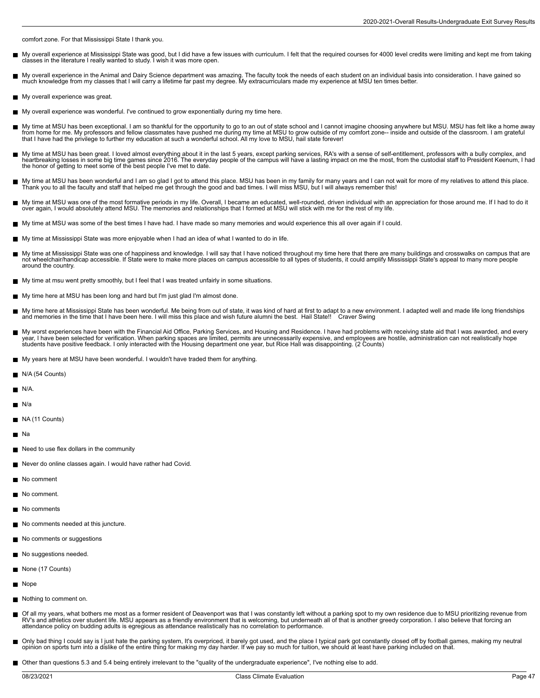comfort zone. For that Mississippi State I thank you.

- My overall experience at Mississippi State was good, but I did have a few issues with curriculum. I felt that the required courses for 4000 level credits were limiting and kept me from taking г classes in the literature I really wanted to study. I wish it was more open.
- My overall experience in the Animal and Dairy Science department was amazing. The faculty took the needs of each student on an individual basis into consideration. I have gained so<br>much knowledge from my classes that I wil
- My overall experience was great.
- My overall experience was wonderful. I've continued to grow exponentially during my time here.
- My time at MSU has been exceptional. I am so thankful for the opportunity to go to an out of state school and I cannot imagine choosing anywhere but MSU. MSU has felt like a home away<br>from home for me. My professors and fe
- My time at MSU has been great. I loved almost everything about it in the last 5 years, except parking services, RA's with a sense of self-entitlement, professors with a bully complex, and<br>heartbreaking losses in some big t the honor of getting to meet some of the best people I've met to date.
- My time at MSU has been wonderful and I am so glad I got to attend this place. MSU has been in my family for many years and I can not wait for more of my relatives to attend this place. Thank you to all the faculty and staff that helped me get through the good and bad times. I will miss MSU, but I will always remember this!
- My time at MSU was one of the most formative periods in my life. Overall, I became an educated, well-rounded, driven individual with an appreciation for those around me. If I had to do it Н over again, I would absolutely attend MSU. The memories and relationships that I formed at MSU will stick with me for the rest of my life.
- My time at MSU was some of the best times I have had. I have made so many memories and would experience this all over again if I could.
- My time at Mississippi State was more enjoyable when I had an idea of what I wanted to do in life.
- My time at Mississippi State was one of happiness and knowledge. I will say that I have noticed throughout my time here that there are many buildings and crosswalks on campus that are not wheelchair/handicap accessible. If State were to make more places on campus accessible to all types of students, it could amplify Mississippi State's appeal to many more people around the country.
- My time at msu went pretty smoothly, but I feel that I was treated unfairly in some situations.
- My time here at MSU has been long and hard but I'm just glad I'm almost done.
- My time here at Mississippi State has been wonderful. Me being from out of state, it was kind of hard at first to adapt to a new environment. I adapted well and made life long friendships and memories in the time that I have been here. I will miss this place and wish future alumni the best. Hail State!! Craver Swing
- My worst experiences have been with the Financial Aid Office, Parking Services, and Housing and Residence. I have had problems with receiving state aid that I was awarded, and every<br>year, I have been selected for verificat
- My years here at MSU have been wonderful. I wouldn't have traded them for anything.
- N/A (54 Counts)
- $N/A$ .
- **■** N/a
- NA (11 Counts)
- $\blacksquare$  Na
- Need to use flex dollars in the community
- Never do online classes again. I would have rather had Covid.
- No comment
- No comment.
- No comments
- No comments needed at this juncture.
- No comments or suggestions
- No suggestions needed.
- None (17 Counts)
- **Nope**
- Nothing to comment on.
- Of all my years, what bothers me most as a former resident of Deavenport was that I was constantly left without a parking spot to my own residence due to MSU prioritizing revenue from RV's and athletics over student life. MSU appears as a friendly environment that is welcoming, but underneath all of that is another greedy corporation. I also believe that forcing an attendance policy on budding adults is egregious as attendance realistically has no correlation to performance.
- Only bad thing I could say is I just hate the parking system, It's overpriced, it barely got used, and the place I typical park got constantly closed off by football games, making my neutral opinion on sports turn into a dislike of the entire thing for making my day harder. If we pay so much for tuition, we should at least have parking included on that.
- Other than questions 5.3 and 5.4 being entirely irrelevant to the "quality of the undergraduate experience", I've nothing else to add.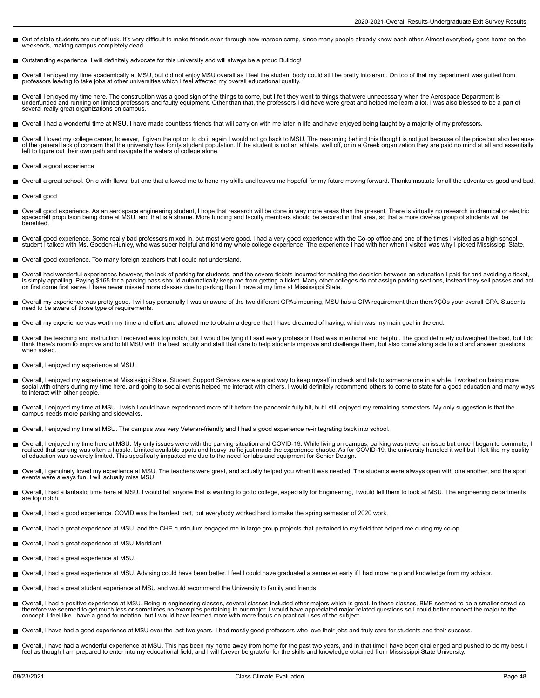- Out of state students are out of luck. It's very difficult to make friends even through new maroon camp, since many people already know each other. Almost everybody goes home on the weekends, making campus completely dead.
- Outstanding experience! I will definitely advocate for this university and will always be a proud Bulldog!
- Overall I enjoyed my time academically at MSU, but did not enjoy MSU overall as I feel the student body could still be pretty intolerant. On top of that my department was gutted from П professors leaving to take jobs at other universities which I feel affected my overall educational quality.
- Overall I enjoyed my time here. The construction was a good sign of the things to come, but I felt they went to things that were unnecessary when the Aerospace Department is underfunded and running on limited professors and faulty equipment. Other than that, the professors I did have were great and helped me learn a lot. I was also blessed to be a part of several really great organizations on campus.
- Overall I had a wonderful time at MSU. I have made countless friends that will carry on with me later in life and have enjoyed being taught by a majority of my professors.
- Overall I loved my college career, however, if given the option to do it again I would not go back to MSU. The reasoning behind this thought is not just because of the price but also because of the general lack of concern that the university has for its student population. If the student is not an athlete, well off, or in a Greek organization they are paid no mind at all and essentially<br>left to figure out thei
- Overall a good experience
- Overall a great school. On e with flaws, but one that allowed me to hone my skills and leaves me hopeful for my future moving forward. Thanks msstate for all the adventures good and bad.
- Overall good
- Overall good experience. As an aerospace engineering student, I hope that research will be done in way more areas than the present. There is virtually no research in chemical or electric<br>spacecraft propulsion being done at benefited.
- Overall good experience. Some really bad professors mixed in, but most were good. I had a very good experience with the Co-op office and one of the times I visited as a high school<br>student I talked with Ms. Gooden-Hunley,
- Overall good experience. Too many foreign teachers that I could not understand.
- Overall had wonderful experiences however, the lack of parking for students, and the severe tickets incurred for making the decision between an education I paid for and avoiding a ticket, is simply appalling. Paying \$165 for a parking pass should automatically keep me from getting a ticket. Many other colleges do not assign parking sections, instead they sell passes and act<br>on first come first serve. I have
- Overall my experience was pretty good. I will say personally I was unaware of the two different GPAs meaning, MSU has a GPA requirement then there?ÇÖs your overall GPA. Students<br>need to be aware of those type of requiremen
- Overall my experience was worth my time and effort and allowed me to obtain a degree that I have dreamed of having, which was my main goal in the end.
- Overall the teaching and instruction I received was top notch, but I would be lying if I said every professor I had was intentional and helpful. The good definitely outweighed the bad, but I do<br>think there's room to improv when asked.
- Overall, I enjoyed my experience at MSU!
- Overall, I enjoyed my experience at Mississippi State. Student Support Services were a good way to keep myself in check and talk to someone one in a while. I worked on being more<br>social with others during my time here, and to interact with other people.
- Overall, I enjoyed my time at MSU. I wish I could have experienced more of it before the pandemic fully hit, but I still enjoyed my remaining semesters. My only suggestion is that the П campus needs more parking and sidewalks.
- Overall, I enjoyed my time at MSU. The campus was very Veteran-friendly and I had a good experience re-integrating back into school.
- Overall, I enjoyed my time here at MSU. My only issues were with the parking situation and COVID-19. While living on campus, parking was never an issue but once I began to commute, I<br>realized that parking was often a hassl
- Overall, I genuinely loved my experience at MSU. The teachers were great, and actually helped you when it was needed. The students were always open with one another, and the sport<br>events were always fun. I will actually mi
- Overall, I had a fantastic time here at MSU. I would tell anyone that is wanting to go to college, especially for Engineering, I would tell them to look at MSU. The engineering departments are top notch.
- Overall, I had a good experience. COVID was the hardest part, but everybody worked hard to make the spring semester of 2020 work.
- Overall, I had a great experience at MSU, and the CHE curriculum engaged me in large group projects that pertained to my field that helped me during my co-op.  $\blacksquare$
- Overall, I had a great experience at MSU-Meridian!
- Overall, I had a great experience at MSU.
- Overall, I had a great experience at MSU. Advising could have been better. I feel l could have graduated a semester early if I had more help and knowledge from my advisor.
- Overall, I had a great student experience at MSU and would recommend the University to family and friends.
- Overall, I had a positive experience at MSU. Being in engineering classes, several classes included other majors which is great. In those classes, BME seemed to be a smaller crowd so  $\blacksquare$ therefore we seemed to get much less or sometimes no examples pertaining to our major. I would have appreciated major related questions so I could better connect the major to the concept. I feel like I have a good foundation, but I would have learned more with more focus on practical uses of the subject.
- Overall, I have had a good experience at MSU over the last two years. I had mostly good professors who love their jobs and truly care for students and their success.  $\blacksquare$
- Overall, I have had a wonderful experience at MSU. This has been my home away from home for the past two years, and in that time I have been challenged and pushed to do my best. I<br>feel as though I am prepared to enter into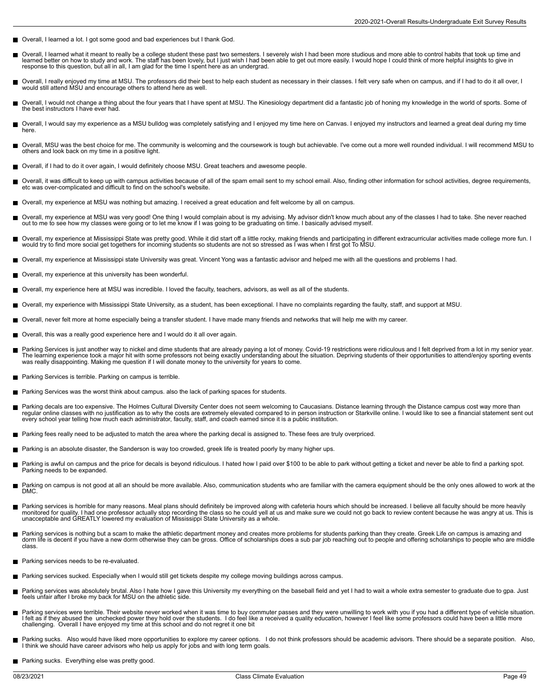- Overall, I learned a lot. I got some good and bad experiences but I thank God.
- Overall, I learned what it meant to really be a college student these past two semesters. I severely wish I had been more studious and more able to control habits that took up time and learned better on how to study and work. The staff has been lovely, but I just wish I had been able to get out more easily. I would hope I could think of more helpful insights to give in response to this question, but all in all, I am glad for the time I spent here as an undergrad.
- Overall, I really enjoyed my time at MSU. The professors did their best to help each student as necessary in their classes. I felt very safe when on campus, and if I had to do it all over, I<br>would still attend MSU and enco
- Overall, I would not change a thing about the four years that I have spent at MSU. The Kinesiology department did a fantastic job of honing my knowledge in the world of sports. Some of П the best instructors I have ever had.
- Overall, I would say my experience as a MSU bulldog was completely satisfying and I enjoyed my time here on Canvas. I enjoyed my instructors and learned a great deal during my time  $\blacksquare$ here.
- Overall, MSU was the best choice for me. The community is welcoming and the coursework is tough but achievable. I've come out a more well rounded individual. I will recommend MSU to others and look back on my time in a positive light.
- Overall, if I had to do it over again, I would definitely choose MSU. Great teachers and awesome people.
- Overall, it was difficult to keep up with campus activities because of all of the spam email sent to my school email. Also, finding other information for school activities, degree requirements, etc was over-complicated and difficult to find on the school's website.
- Overall, my experience at MSU was nothing but amazing. I received a great education and felt welcome by all on campus.
- Overall, my experience at MSU was very good! One thing I would complain about is my advising. My advisor didn't know much about any of the classes I had to take. She never reached<br>out to me to see how my classes were going
- Overall, my experience at Mississippi State was pretty good. While it did start off a little rocky, making friends and participating in different extracurricular activities made college more fun. I<br>would try to find more s
- Overall, my experience at Mississippi state University was great. Vincent Yong was a fantastic advisor and helped me with all the questions and problems I had.
- Overall, my experience at this university has been wonderful.
- Overall, my experience here at MSU was incredible. I loved the faculty, teachers, advisors, as well as all of the students.
- Overall, my experience with Mississippi State University, as a student, has been exceptional. I have no complaints regarding the faulty, staff, and support at MSU.
- Overall, never felt more at home especially being a transfer student. I have made many friends and networks that will help me with my career.
- Overall, this was a really good experience here and I would do it all over again.
- Parking Services is just another way to nickel and dime students that are already paying a lot of money. Covid-19 restrictions were ridiculous and I felt deprived from a lot in my senior year.<br>The learning experience took was really disappointing. Making me question if I will donate money to the university for years to come.
- Parking Services is terrible. Parking on campus is terrible.
- Parking Services was the worst think about campus. also the lack of parking spaces for students.
- Parking decals are too expensive. The Holmes Cultural Diversity Center does not seem welcoming to Caucasians. Distance learning through the Distance campus cost way more than regular online classes with no justification as to why the costs are extremely elevated compared to in person instruction or Starkville online. I would like to see a financial statement sent out<br>every school year telling h
- Parking fees really need to be adjusted to match the area where the parking decal is assigned to. These fees are truly overpriced.
- Parking is an absolute disaster, the Sanderson is way too crowded, greek life is treated poorly by many higher ups.
- Parking is awful on campus and the price for decals is beyond ridiculous. I hated how I paid over \$100 to be able to park without getting a ticket and never be able to find a parking spot. Parking needs to be expanded.
- Parking on campus is not good at all an should be more available. Also, communication students who are familiar with the camera equipment should be the only ones allowed to work at the  $\blacksquare$ DMC.
- Parking services is horrible for many reasons. Meal plans should definitely be improved along with cafeteria hours which should be increased. I believe all faculty should be more heavily<br>monitored for quality. I had one pr
- Parking services is nothing but a scam to make the athletic department money and creates more problems for students parking than they create. Greek Life on campus is amazing and<br>dorm life is decent if you have a new dorm o class.
- Parking services needs to be re-evaluated.
- Parking services sucked. Especially when I would still get tickets despite my college moving buildings across campus.
- Parking services was absolutely brutal. Also I hate how I gave this University my everything on the baseball field and yet I had to wait a whole extra semester to graduate due to gpa. Just feels unfair after I broke my back for MSU on the athletic side.
- Parking services were terrible. Their website never worked when it was time to buy commuter passes and they were unwilling to work with you if you had a different type of vehicle situation. I felt as if they abused the unchecked power they hold over the students. I do feel like a received a quality education, however I feel like some professors could have been a little more<br>challenging. Overall I have enjoy
- Parking sucks. Also would have liked more opportunities to explore my career options. I do not think professors should be academic advisors. There should be a separate position. Also, I think we should have career advisors who help us apply for jobs and with long term goals.
- **Parking sucks. Everything else was pretty good.**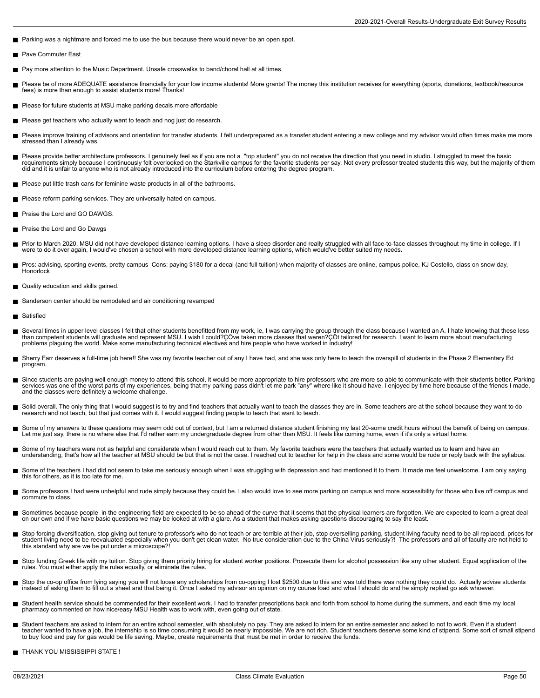- Parking was a nightmare and forced me to use the bus because there would never be an open spot.
- Pave Commuter East
- Pay more attention to the Music Department. Unsafe crosswalks to band/choral hall at all times.
- П Please be of more ADEQUATE assistance financially for your low income students! More grants! The money this institution receives for everything (sports, donations, textbook/resource<br>fees) is more than enough to assist stud
- Please for future students at MSU make parking decals more affordable
- Please get teachers who actually want to teach and nog just do research.
- Please improve training of advisors and orientation for transfer students. I felt underprepared as a transfer student entering a new college and my advisor would often times make me more stressed than I already was.
- $\blacksquare$ Please provide better architecture professors. I genuinely feel as if you are not a "top student" you do not receive the direction that you need in studio. I struggled to meet the basic<br>requirements simply because I contin did and it is unfair to anyone who is not already introduced into the curriculum before entering the degree program.
- Please put little trash cans for feminine waste products in all of the bathrooms.
- Please reform parking services. They are universally hated on campus.
- Praise the Lord and GO DAWGS.
- **Praise the Lord and Go Dawgs**
- Prior to March 2020, MSU did not have developed distance learning options. I have a sleep disorder and really struggled with all face-to-face classes throughout my time in college. If I<br>were to do it over again, I would've
- Pros: advising, sporting events, pretty campus Cons: paying \$180 for a decal (and full tuition) when majority of classes are online, campus police, KJ Costello, class on snow day, Honorlock
- Quality education and skills gained.
- Sanderson center should be remodeled and air conditioning revamped
- Satisfied  $\blacksquare$
- П Several times in upper level classes I felt that other students benefitted from my work, ie, I was carrying the group through the class because I wanted an A. I hate knowing that these less<br>than competent students will gra problems plaguing the world. Make some manufacturing technical electives and hire people who have worked in industry!
- Sherry Farr deserves a full-time job here!! She was my favorite teacher out of any I have had, and she was only here to teach the overspill of students in the Phase 2 Elementary Ed program.
- Since students are paying well enough money to attend this school, it would be more appropriate to hire professors who are more so able to communicate with their students better. Parking П services was one of the worst parts of my experiences, being that my parking pass didn't let me park "any" where like it should have. I enjoyed by time here because of the friends I made,<br>and the classes were definitely a
- Solid overall. The only thing that I would suggest is to try and find teachers that actually want to teach the classes they are in. Some teachers are at the school because they want to do research and not teach, but that just comes with it. I would suggest finding people to teach that want to teach.
- Г Some of my answers to these questions may seem odd out of context, but I am a returned distance student finishing my last 20-some credit hours without the benefit of being on campus.<br>Let me just say, there is no where else
- Some of my teachers were not as helpful and considerate when I would reach out to them. My favorite teachers were the teachers that actually wanted us to learn and have an  $\blacksquare$ understanding, that's how all the teacher at MSU should be but that is not the case. I reached out to teacher for help in the class and some would be rude or reply back with the syllabus.
- Some of the teachers I had did not seem to take me seriously enough when I was struggling with depression and had mentioned it to them. It made me feel unwelcome. I am only saying П this for others, as it is too late for me.
- Some professors I had were unhelpful and rude simply because they could be. I also would love to see more parking on campus and more accessibility for those who live off campus and П commute to class.
- П Sometimes because people in the engineering field are expected to be so ahead of the curve that it seems that the physical learners are forgotten. We are expected to learn a great deal<br>on our own and if we have basic ques
- п Stop forcing diversification, stop giving out tenure to professor's who do not teach or are terrible at their job, stop overselling parking, student living faculty need to be all replaced. prices for<br>student living need to
- $\blacksquare$ Stop funding Greek life with my tuition. Stop giving them priority hiring for student worker positions. Prosecute them for alcohol possession like any other student. Equal application of the<br>rules. You must either apply th
- $\blacksquare$ Stop the co-op office from lying saying you will not loose any scholarships from co-opping I lost \$2500 due to this and was told there was nothing they could do. Actually advise students<br>instead of asking them to fill out
- Student health service should be commended for their excellent work. I had to transfer prescriptions back and forth from school to home during the summers, and each time my local pharmacy commented on how nice/easy MSU Health was to work with, even going out of state.
- Student teachers are asked to intern for an entire school semester, with absolutely no pay. They are asked to intern for an entire semester and asked to not to work. Even if a student<br>teacher wanted to have a job, the inte to buy food and pay for gas would be life saving. Maybe, create requirements that must be met in order to receive the funds.
- THANK YOU MISSISSIPPI STATE !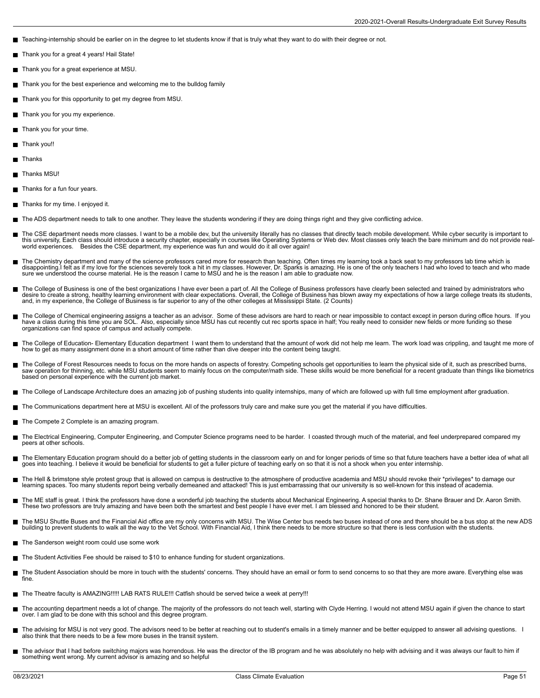- Teaching-internship should be earlier on in the degree to let students know if that is truly what they want to do with their degree or not.
- Thank you for a great 4 years! Hail State! П
- Thank you for a great experience at MSU.
- $\blacksquare$ Thank you for the best experience and welcoming me to the bulldog family
- Thank you for this opportunity to get my degree from MSU.
- Thank you for you my experience.
- Thank you for your time.
- Thank you!!
- Thanks
- Thanks MSU!
- Thanks for a fun four years.
- Thanks for my time. I enjoyed it.
- The ADS department needs to talk to one another. They leave the students wondering if they are doing things right and they give conflicting advice.
- The CSE department needs more classes. I want to be a mobile dev, but the university literally has no classes that directly teach mobile development. While cyber security is important to<br>this university, Each class should
- The Chemistry department and many of the science professors cared more for research than teaching. Often times my learning took a back seat to my professors lab time which is<br>disappointing.I felt as if my love for the scie
- The College of Business is one of the best organizations I have ever been a part of. All the College of Business professors have clearly been selected and trained by administrators who П desire to create a strong, healthy learning environment with clear expectations. Overall, the College of Business has blown away my expectations of how a large college treats its students, and, in my experience, the College of Business is far superior to any of the other colleges at Mississippi State. (2 Counts)
- The College of Chemical engineering assigns a teacher as an advisor. Some of these advisors are hard to reach or near impossible to contact except in person during office hours. If you have a class during this time you are SOL. Also, especially since MSU has cut recently cut rec sports space in half; You really need to consider new fields or more funding so these<br>organizations can find space of campus an
- The College of Education- Elementary Education department I want them to understand that the amount of work did not help me learn. The work load was crippling, and taught me more of how to get as many assignment done in a short amount of time rather than dive deeper into the content being taught.
- The College of Forest Resources needs to focus on the more hands on aspects of forestry. Competing schools get opportunities to learn the physical side of it, such as prescribed burns,<br>saw operation for thinning, etc. whil
- The College of Landscape Architecture does an amazing job of pushing students into quality internships, many of which are followed up with full time employment after graduation.
- The Communications department here at MSU is excellent. All of the professors truly care and make sure you get the material if you have difficulties.
- The Compete 2 Complete is an amazing program.
- The Electrical Engineering, Computer Engineering, and Computer Science programs need to be harder. I coasted through much of the material, and feel underprepared compared my peers at other schools.
- The Elementary Education program should do a better job of getting students in the classroom early on and for longer periods of time so that future teachers have a better idea of what all<br>goes into teaching. I believe it w
- The Hell & brimstone style protest group that is allowed on campus is destructive to the atmosphere of productive academia and MSU should revoke their \*privileges\* to damage our<br>learning spaces. Too many students report be
- The ME staff is great. I think the professors have done a wonderful job teaching the students about Mechanical Engineering. A special thanks to Dr. Shane Brauer and Dr. Aaron Smith. These two professors are truly amazing and have been both the smartest and best people I have ever met. I am blessed and honored to be their student.
- П The MSU Shuttle Buses and the Financial Aid office are my only concerns with MSU. The Wise Center bus needs two buses instead of one and there should be a bus stop at the new ADS<br>building to prevent students to walk all th
- The Sanderson weight room could use some work
- The Student Activities Fee should be raised to \$10 to enhance funding for student organizations.
- The Student Association should be more in touch with the students' concerns. They should have an email or form to send concerns to so that they are more aware. Everything else was П fine.
- The Theatre faculty is AMAZING!!!!! LAB RATS RULE!!! Catfish should be served twice a week at perry!!!
- The accounting department needs a lot of change. The majority of the professors do not teach well, starting with Clyde Herring. I would not attend MSU again if given the chance to start<br>over. I am glad to be done with this
- The advising for MSU is not very good. The advisors need to be better at reaching out to student's emails in a timely manner and be better equipped to answer all advising questions. I<br>also think that there needs to be a fe
- The advisor that I had before switching majors was horrendous. He was the director of the IB program and he was absolutely no help with advising and it was always our fault to him if something went wrong. My current advisor is amazing and so helpful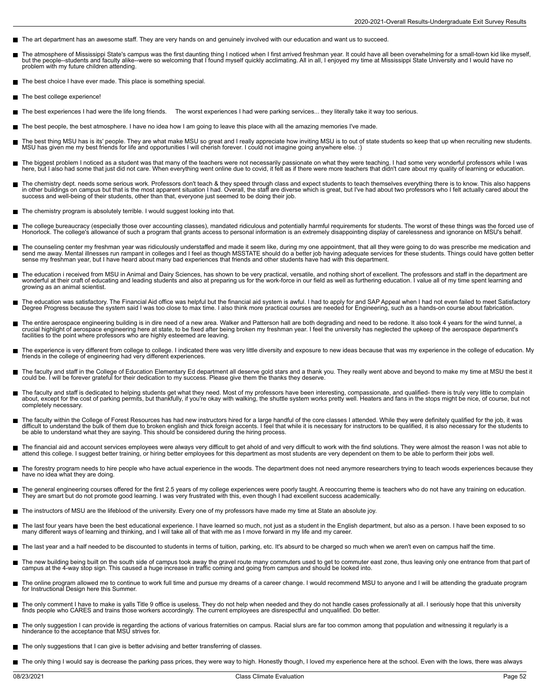- The art department has an awesome staff. They are very hands on and genuinely involved with our education and want us to succeed.
- The atmosphere of Mississippi State's campus was the first daunting thing I noticed when I first arrived freshman year. It could have all been overwhelming for a small-town kid like myself, г but the people--students and faculty alike--were so welcoming that I found myself quickly acclimating. All in all, I enjoyed my time at Mississippi State University and I would have no problem with my future children attending.
- The best choice I have ever made. This place is something special.
- The best college experience!
- The best experiences I had were the life long friends. The worst experiences I had were parking services... they literally take it way too serious.
- The best people, the best atmosphere. I have no idea how I am going to leave this place with all the amazing memories I've made.
- The best thing MSU has is its' people. They are what make MSU so great and I really appreciate how inviting MSU is to out of state students so keep that up when recruiting new students. MSU has given me my best friends for life and opportunities I will cherish forever. I could not imagine going anywhere else. :)
- The biggest problem I noticed as a student was that many of the teachers were not necessarily passionate on what they were teaching. I had some very wonderful professors while I was here, but I also had some that just did not care. When everything went online due to covid, it felt as if there were more teachers that didn't care about my quality of learning or education.
- The chemistry dept. needs some serious work. Professors don't teach & they speed through class and expect students to teach themselves everything there is to know. This also happens in other buildings on campus but that is the most apparent situation I had. Overall, the staff are diverse which is great, but I've had about two professors who I felt actually cared about the<br>success and well-being of the
- The chemistry program is absolutely terrible. I would suggest looking into that.
- The college bureaucracy (especially those over accounting classes), mandated ridiculous and potentially harmful requirements for students. The worst of these things was the forced use of Honorlock. The college's allowance of such a program that grants access to personal information is an extremely disappointing display of carelessness and ignorance on MSU's behalf.
- The counseling center my freshman year was ridiculously understaffed and made it seem like, during my one appointment, that all they were going to do was prescribe me medication and<br>send me away. Mental illnesses run rampa sense my freshman year, but I have heard about many bad experiences that friends and other students have had with this department.
- The education i received from MSU in Animal and Dairy Sciences, has shown to be very practical, versatile, and nothing short of excellent. The professors and staff in the department are<br>wonderful at their craft of educatin growing as an animal scientist.
- The education was satisfactory. The Financial Aid office was helpful but the financial aid system is awful. I had to apply for and SAP Appeal when I had not even failed to meet Satisfactory<br>Degree Progress because the syst
- The entire aerospace engineering building is in dire need of a new area. Walker and Patterson hall are both degrading and need to be redone. It also took 4 years for the wind tunnel, a<br>crucial highlight of aerospace engine facilities to the point where professors who are highly esteemed are leaving.
- The experience is very different from college to college. I indicated there was very little diversity and exposure to new ideas because that was my experience in the college of education. My friends in the college of engineering had very different experiences.
- The faculty and staff in the College of Education Elementary Ed department all deserve gold stars and a thank you. They really went above and beyond to make my time at MSU the best it could be. I will be forever grateful for their dedication to my success. Please give them the thanks they deserve.
- The faculty and staff is dedicated to helping students get what they need. Most of my professors have been interesting, compassionate, and qualified- there is truly very little to complain about, except for the cost of parking permits, but thankfully, if you're okay with walking, the shuttle system works pretty well. Heaters and fans in the stops might be nice, of course, but not completely necessary.
- The faculty within the College of Forest Resources has had new instructors hired for a large handful of the core classes I attended. While they were definitely qualified for the job, it was<br>difficult to understand the bulk be able to understand what they are saying. This should be considered during the hiring process.
- П The financial aid and account services employees were always very difficult to get ahold of and very difficult to work with the find solutions. They were almost the reason I was not able to<br>attend this college. I suggest b
- $\blacksquare$ The forestry program needs to hire people who have actual experience in the woods. The department does not need anymore researchers trying to teach woods experiences because they have no idea what they are doing.
- The general engineering courses offered for the first 2.5 years of my college experiences were poorly taught. A reoccurring theme is teachers who do not have any training on education.<br>They are smart but do not promote goo
- The instructors of MSU are the lifeblood of the university. Every one of my professors have made my time at State an absolute joy.
- The last four years have been the best educational experience. I have learned so much, not just as a student in the English department, but also as a person. I have been exposed to so many different ways of learning and thinking, and I will take all of that with me as I move forward in my life and my career.
- The last year and a half needed to be discounted to students in terms of tuition, parking, etc. It's absurd to be charged so much when we aren't even on campus half the time.
- The new building being built on the south side of campus took away the gravel route many commuters used to get to commuter east zone, thus leaving only one entrance from that part of campus at the 4-way stop sign. This caused a huge increase in traffic coming and going from campus and should be looked into.
- The online program allowed me to continue to work full time and pursue my dreams of a career change. I would recommend MSU to anyone and I will be attending the graduate program for Instructional Design here this Summer.
- The only comment I have to make is yalls Title 9 office is useless. They do not help when needed and they do not handle cases professionally at all. I seriously hope that this university finds people who CARES and trains those workers accordingly. The current employees are disrespectful and unqualified. Do better.
- The only suggestion I can provide is regarding the actions of various fraternities on campus. Racial slurs are far too common among that population and witnessing it regularly is a hinderance to the acceptance that MSU strives for.
- The only suggestions that I can give is better advising and better transferring of classes.
- The only thing I would say is decrease the parking pass prices, they were way to high. Honestly though, I loved my experience here at the school. Even with the lows, there was always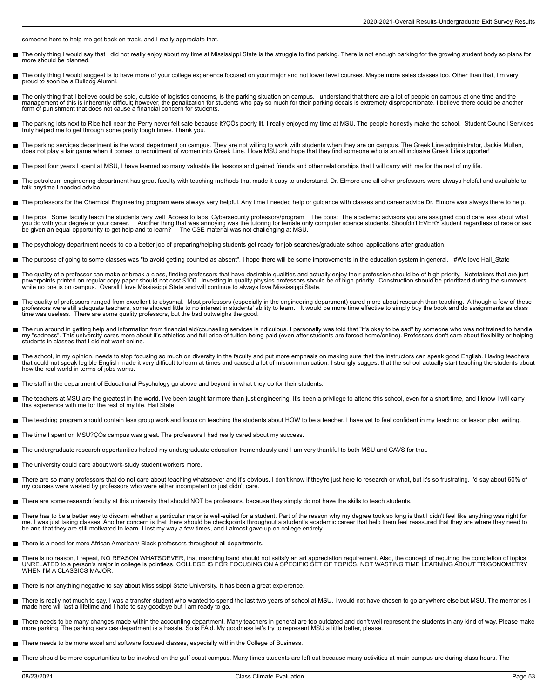someone here to help me get back on track, and I really appreciate that.

- The only thing I would say that I did not really enjoy about my time at Mississippi State is the struggle to find parking. There is not enough parking for the growing student body so plans for  $\blacksquare$ more should be planned.
- The only thing I would suggest is to have more of your college experience focused on your major and not lower level courses. Maybe more sales classes too. Other than that, I'm very proud to soon be a Bulldog Alumni.
- The only thing that I believe could be sold, outside of logistics concerns, is the parking situation on campus. I understand that there are a lot of people on campus at one time and the management of this is inherently difficult; however, the penalization for students who pay so much for their parking decals is extremely disproportionate. I believe there could be another form of punishment that does not cause a financial concern for students.
- The parking lots next to Rice hall near the Perry never felt safe because it?ÇÖs poorly lit. I really enjoyed my time at MSU. The people honestly make the school. Student Council Services<br>truly helped me to get through so
- The parking services department is the worst department on campus. They are not willing to work with students when they are on campus. The Greek Line administrator, Jackie Mullen,<br>does not play a fair game when it comes to
- The past four years I spent at MSU, I have learned so many valuable life lessons and gained friends and other relationships that I will carry with me for the rest of my life.
- The petroleum engineering department has great faculty with teaching methods that made it easy to understand. Dr. Elmore and all other professors were always helpful and available to talk anytime I needed advice.
- The professors for the Chemical Engineering program were always very helpful. Any time I needed help or guidance with classes and career advice Dr. Elmore was always there to help.
- The pros: Some faculty teach the students very well Access to labs Cybersecurity professors/program The cons: The academic advisors you are assigned could care less about what<br>you do with your degree or your career. Anothe be given an equal opportunity to get help and to learn? The CSE material was not challenging at MSU.
- The psychology department needs to do a better job of preparing/helping students get ready for job searches/graduate school applications after graduation.
- The purpose of going to some classes was "to avoid getting counted as absent". I hope there will be some improvements in the education system in general. #We love Hail\_State Е
- The quality of a professor can make or break a class, finding professors that have desirable qualities and actually enjoy their profession should be of high priority. Notetakers that are just<br>powerpoints printed on regula
- The quality of professors ranged from excellent to abysmal. Most professors (especially in the engineering department) cared more about research than teaching. Although a few of these<br>professors were still adequate teacher time was useless. There are some quality professors, but the bad outweighs the good.
- The run around in getting help and information from financial aid/counseling services is ridiculous. I personally was told that "it's okay to be sad" by someone who was not trained to handle my "sadness". This university cares more about it's athletics and full price of tuition being paid (even after students are forced home/online). Professors don't care about flexibility or helping students in classes that I did not want online.
- $\blacksquare$ The school, in my opinion, needs to stop focusing so much on diversity in the faculty and put more emphasis on making sure that the instructors can speak good English. Having teachers<br>that could not speak legible English m how the real world in terms of jobs works.
- The staff in the department of Educational Psychology go above and beyond in what they do for their students.
- г The teachers at MSU are the greatest in the world. I've been taught far more than just engineering. It's been a privilege to attend this school, even for a short time, and I know I will carry<br>this experience with me for th
- The teaching program should contain less group work and focus on teaching the students about HOW to be a teacher. I have yet to feel confident in my teaching or lesson plan writing.
- The time I spent on MSU?ÇÖs campus was great. The professors I had really cared about my success. Н
- The undergraduate research opportunities helped my undergraduate education tremendously and I am very thankful to both MSU and CAVS for that.
- The university could care about work-study student workers more.
- There are so many professors that do not care about teaching whatsoever and it's obvious. I don't know if they're just here to research or what, but it's so frustrating. I'd say about 60% of my courses were wasted by professors who were either incompetent or just didn't care.
- There are some research faculty at this university that should NOT be professors, because they simply do not have the skills to teach students.
- There has to be a better way to discern whether a particular major is well-suited for a student. Part of the reason why my degree took so long is that I didn't feel like anything was right for<br>me. I was just taking classes be and that they are still motivated to learn. I lost my way a few times, and I almost gave up on college entirely.
- There is a need for more African American/ Black professors throughout all departments.
- There is no reason, I repeat, NO REASON WHATSOEVER, that marching band should not satisfy an art appreciation requirement. Also, the concept of requiring the completion of topics<br>UNRELATED to a person's major in college is
- There is not anything negative to say about Mississippi State University. It has been a great expierence.
- There is really not much to say. I was a transfer student who wanted to spend the last two years of school at MSU. I would not have chosen to go anywhere else but MSU. The memories i made here will last a lifetime and I hate to say goodbye but I am ready to go.
- There needs to be many changes made within the accounting department. Many teachers in general are too outdated and don't well represent the students in any kind of way. Please make<br>more parking. The parking services depar
- There needs to be more excel and software focused classes, especially within the College of Business.
- There should be more oppurtunities to be involved on the gulf coast campus. Many times students are left out because many activities at main campus are during class hours. The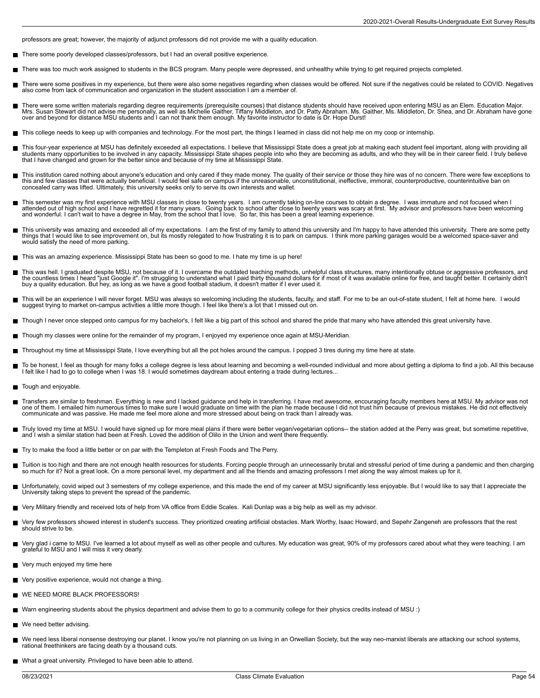professors are great; however, the majority of adjunct professors did not provide me with a quality education.

- There some poorly developed classes/professors, but I had an overall positive experience.
- There was too much work assigned to students in the BCS program. Many people were depressed, and unhealthy while trying to get required projects completed.
- $\blacksquare$ There were some positives in my experience, but there were also some negatives regarding when classes would be offered. Not sure if the negatives could be related to COVID. Negatives<br>also come from lack of communication an
- There were some written materials regarding degree requirements (prerequisite courses) that distance students should have received upon entering MSU as an Elem. Education Major.<br>Mrs. Susan Stewart did not advise me persona
- This college needs to keep up with companies and technology. For the most part, the things I learned in class did not help me on my coop or internship.
- Е This four-year experience at MSU has definitely exceeded all expectations. I believe that Mississippi State does a great job at making each student feel important, along with providing all<br>students many opportunities to be
- This institution cared nothing about anyone's education and only cared if they made money. The quality of their service or those they hire was of no concern. There were few exceptions to<br>this and few classes that were actu concealed carry was lifted. Ultimately, this university seeks only to serve its own interests and wallet.
- This semester was my first experience with MSU classes in close to twenty years. I am currently taking on-line courses to obtain a degree. I was immature and not focused when I attended out of high school and I have regretted it for many years. Going back to school after close to twenty years was scary at first. My advisor and professors have been welcoming<br>and wonderful. I can't wait to have a
- This university was amazing and exceeded all of my expectations. I am the first of my family to attend this university and I'm happy to have attended this university. There are some petty<br>things that I would like to see im would satisfy the need of more parking.
- This was an amazing experience. Mississippi State has been so good to me. I hate my time is up here!
- This was hell. I graduated despite MSU, not because of it. I overcame the outdated teaching methods, unhelpful class structures, many intentionally obtuse or aggressive professors, and<br>the countless times I heard "just Goo
- This will be an experience I will never forget. MSU was always so welcoming including the students, faculty, and staff. For me to be an out-of-state student, I felt at home here. I would<br>suggest trying to market on-campus
- Though I never once stepped onto campus for my bachelor's, I felt like a big part of this school and shared the pride that many who have attended this great university have.
- П Though my classes were online for the remainder of my program, I enjoyed my experience once again at MSU-Meridian.
- Throughout my time at Mississippi State, I love everything but all the pot holes around the campus. I popped 3 tires during my time here at state.
- To be honest, I feel as though for many folks a college degree is less about learning and becoming a well-rounded individual and more about getting a diploma to find a job. All this because I felt like I had to go to college when I was 18. I would sometimes daydream about entering a trade during lectures...
- Tough and enjoyable.
- Transfers are similar to freshman. Everything is new and I lacked guidance and help in transferring. I have met awesome, encouraging faculty members here at MSU. My advisor was not<br>one of them. I emailed him numerous times communicate and was passive. He made me feel more alone and more stressed about being on track than I already was.
- $\blacksquare$ Truly loved my time at MSU. I would have signed up for more meal plans if there were better vegan/vegetarian options-- the station added at the Perry was great, but sometime repetitive,<br>and I wish a similar station had bee
- Try to make the food a little better or on par with the Templeton at Fresh Foods and The Perry.
- Е Tuition is too high and there are not enough health resources for students. Forcing people through an unnecessarily brutal and stressful period of time during a pandemic and then charging<br>so much for it? Not a great look.
- Unfortunately, covid wiped out 3 semesters of my college experience, and this made the end of my career at MSU significantly less enjoyable. But I would like to say that I appreciate the П University taking steps to prevent the spread of the pandemic.
- Very Military friendly and received lots of help from VA office from Eddie Scales. Kali Dunlap was a big help as well as my advisor.
- Very few professors showed interest in student's success. They prioritized creating artificial obstacles. Mark Worthy, Isaac Howard, and Sepehr Zangeneh are professors that the rest  $\blacksquare$ should strive to be.
- Very glad i came to MSU. I've learned a lot about myself as well as other people and cultures. My education was great, 90% of my professors cared about what they were teaching. I am grateful to MSU and I will miss it very dearly.
- Very much enjoyed my time here
- Very positive experience, would not change a thing.
- WE NEED MORE BLACK PROFESSORS!
- Warn engineering students about the physics department and advise them to go to a community college for their physics credits instead of MSU :)
- $\blacksquare$ We need better advising.
- We need less liberal nonsense destroying our planet. I know you're not planning on us living in an Orwellian Society, but the way neo-marxist liberals are attacking our school systems, rational freethinkers are facing death by a thousand cuts.
- What a great university. Privileged to have been able to attend.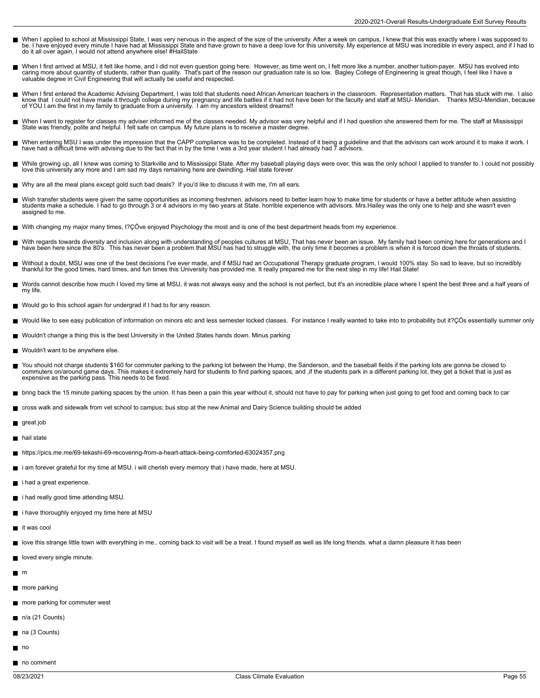- When I applied to school at Mississippi State, I was very nervous in the aspect of the size of the university. After a week on campus, I knew that this was exactly where I was supposed to<br>be. I have enjoyed every minute I
- When I first arrived at MSU, it felt like home, and I did not even question going here. However, as time went on, I felt more like a number, another tuition-payer. MSU has evolved into<br>caring more about quantity of student valuable degree in Civil Engineering that will actually be useful and respected.
- When I first entered the Academic Advising Department, I was told that students need African American teachers in the classroom. Representation matters. That has stuck with me. I also  $\blacksquare$ know that I could not have made it through college during my pregnancy and life battles if it had not have been for the faculty and staff at MSU- Meridian. Thanks MSU-Meridian, because<br>of YOU I am the first in my family to
- П When I went to register for classes my adviser informed me of the classes needed. My advisor was very helpful and if I had question she answered them for me. The staff at Mississippi<br>State was friendly, polite and helpful.
- $\blacksquare$ When entering MSU I was under the impression that the CAPP compliance was to be completed. Instead of it being a guideline and that the advisors can work around it to make it work. I<br>have had a difficult time with advising
- While growing up, all I knew was coming to Starkville and to Mississippi State. After my baseball playing days were over, this was the only school I applied to transfer to. I could not possibly<br>love this university any mor
- Why are all the meal plans except gold such bad deals? If you'd like to discuss it with me, I'm all ears.
- Wish transfer students were given the same opportunities as incoming freshmen. advisors need to better learn how to make time for students or have a better attitude when assisting students make a schedule. I had to go through 3 or 4 advisors in my two years at State. horrible experience with advisors. Mrs.Hailey was the only one to help and she wasn't even assigned to me.
- With changing my major many times, I?ÇÖve enjoyed Psychology the most and is one of the best department heads from my experience.
- With regards towards diversity and inclusion along with understanding of peoples cultures at MSU, That has never been an issue. My family had been coming here for generations and I Н have been here since the 80's. This has never been a problem that MSU has had to struggle with, the only time it becomes a problem is when it is forced down the throats of students.
- Without a doubt, MSU was one of the best decisions I've ever made, and if MSU had an Occupational Therapy graduate program, I would 100% stay. So sad to leave, but so incredibly п thankful for the good times, hard times, and fun times this University has provided me. It really prepared me for the next step in my life! Hail State!
- Words cannot describe how much I loved my time at MSU, it was not always easy and the school is not perfect, but it's an incredible place where I spent the best three and a half years of my life.
- Would go to this school again for undergrad if I had to for any reason.
- Would like to see easy publication of information on minors etc and less semester locked classes. For instance I really wanted to take into to probability but it?ÇÖs essentially summer only
- Wouldn't change a thing this is the best University in the United States hands down. Minus parking
- Wouldn't want to be anywhere else.
- You should not charge students \$160 for commuter parking to the parking lot between the Hump, the Sanderson, and the baseball fields if the parking lots are gonna be closed to commuters on/around game days. This makes it extremely hard for students to find parking spaces, and ,if the students park in a different parking lot, they get a ticket that is just as expensive as the parking pass. This needs to be fixed.
- bring back the 15 minute parking spaces by the union. It has been a pain this year without it, should not have to pay for parking when just going to get food and coming back to car
- cross walk and sidewalk from vet school to campus; bus stop at the new Animal and Dairy Science building should be added
- great job
- nail state
- https://pics.me.me/69-tekashi-69-recovering-from-a-heart-attack-being-comforted-63024357.png
- i am forever grateful for my time at MSU. i will cherish every memory that i have made, here at MSU.
- i had a great experience.
- i had really good time attending MSU.
- i have thoroughly enjoyed my time here at MSU
- $\blacksquare$  it was cool
- love this strange little town with everything in me.. coming back to visit will be a treat. I found myself as well as life long friends. what a damn pleasure it has been
- loved every single minute.
- $m$
- more parking
- more parking for commuter west
- $n/a$  (21 Counts)
- na (3 Counts)
- $n^{\circ}$
- no comment